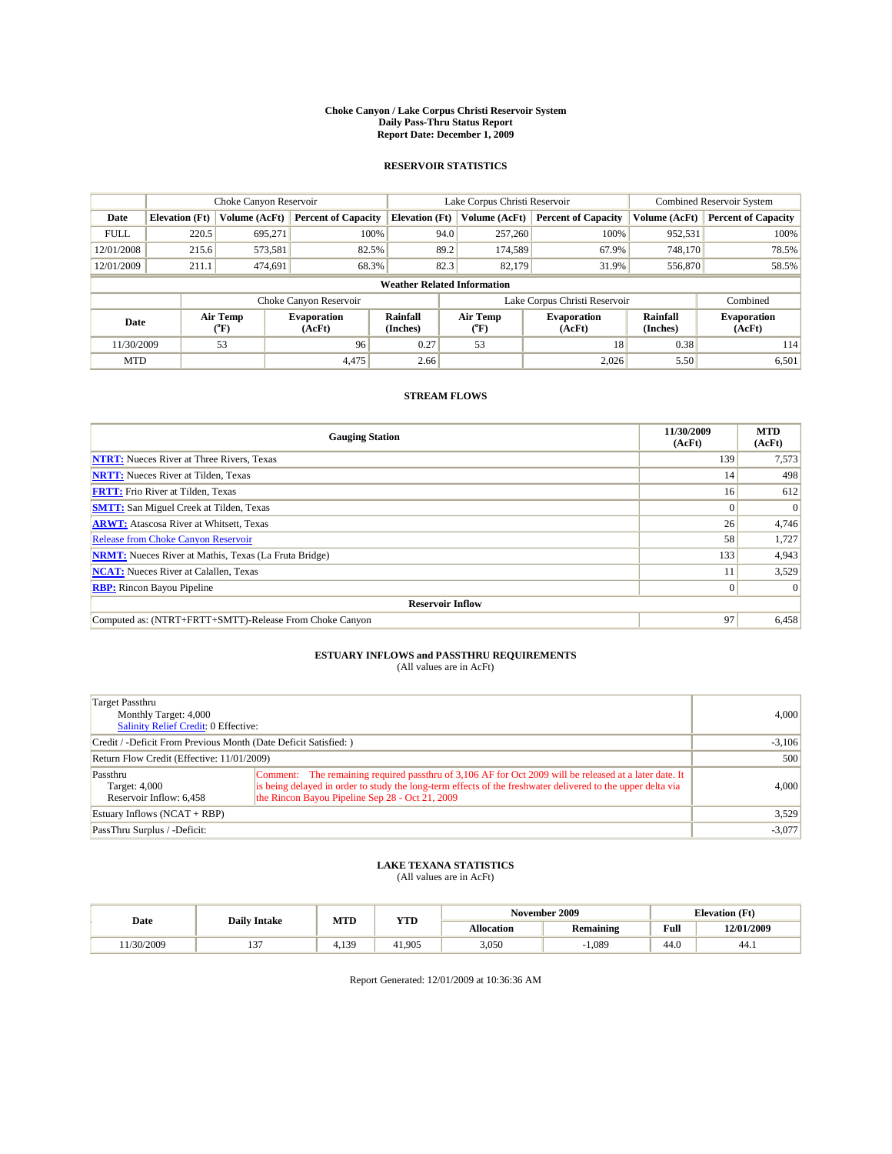#### **Choke Canyon / Lake Corpus Christi Reservoir System Daily Pass-Thru Status Report Report Date: December 1, 2009**

### **RESERVOIR STATISTICS**

|             | Choke Canyon Reservoir             |                          |                              |                       | Lake Corpus Christi Reservoir |                               |                      | <b>Combined Reservoir System</b> |  |  |
|-------------|------------------------------------|--------------------------|------------------------------|-----------------------|-------------------------------|-------------------------------|----------------------|----------------------------------|--|--|
| Date        | <b>Elevation</b> (Ft)              | Volume (AcFt)            | <b>Percent of Capacity</b>   | <b>Elevation (Ft)</b> | Volume (AcFt)                 | <b>Percent of Capacity</b>    | Volume (AcFt)        | <b>Percent of Capacity</b>       |  |  |
| <b>FULL</b> | 220.5                              | 695,271                  | 100%                         | 94.0                  | 257,260                       | 100%                          | 952,531              | 100%                             |  |  |
| 12/01/2008  | 215.6                              | 573,581                  | 82.5%                        | 89.2                  | 174,589                       | 67.9%                         | 748.170              | 78.5%                            |  |  |
| 12/01/2009  | 211.1                              | 474.691                  | 68.3%                        | 82.3                  | 82.179                        | 31.9%                         | 556,870              | 58.5%                            |  |  |
|             | <b>Weather Related Information</b> |                          |                              |                       |                               |                               |                      |                                  |  |  |
|             |                                    |                          | Choke Canyon Reservoir       |                       |                               | Lake Corpus Christi Reservoir |                      | Combined                         |  |  |
| Date        |                                    | Air Temp<br>$\rm ^{o}F)$ | <b>Evaporation</b><br>(AcFt) | Rainfall<br>(Inches)  | Air Temp<br>("F)              | <b>Evaporation</b><br>(AcFt)  | Rainfall<br>(Inches) | <b>Evaporation</b><br>(AcFt)     |  |  |
| 11/30/2009  |                                    | 53                       | 96                           | 0.27                  | 53                            | 18                            | 0.38                 | 114                              |  |  |
| <b>MTD</b>  |                                    |                          | 4,475                        | 2.66                  |                               | 2,026                         | 5.50                 | 6,501                            |  |  |

## **STREAM FLOWS**

| <b>Gauging Station</b>                                       | 11/30/2009<br>(AcFt) | <b>MTD</b><br>(AcFt) |
|--------------------------------------------------------------|----------------------|----------------------|
| <b>NTRT:</b> Nueces River at Three Rivers, Texas             | 139                  | 7,573                |
| <b>NRTT:</b> Nueces River at Tilden, Texas                   | 14                   | 498                  |
| <b>FRTT:</b> Frio River at Tilden, Texas                     | 16 <sup>1</sup>      | 612                  |
| <b>SMTT:</b> San Miguel Creek at Tilden, Texas               | $\Omega$             | $\Omega$             |
| <b>ARWT:</b> Atascosa River at Whitsett, Texas               | 26                   | 4,746                |
| <b>Release from Choke Canyon Reservoir</b>                   | 58                   | 1,727                |
| <b>NRMT:</b> Nueces River at Mathis, Texas (La Fruta Bridge) | 133                  | 4,943                |
| <b>NCAT:</b> Nueces River at Calallen, Texas                 |                      | 3,529                |
| <b>RBP:</b> Rincon Bayou Pipeline                            | $\overline{0}$       | $\Omega$             |
| <b>Reservoir Inflow</b>                                      |                      |                      |
| Computed as: (NTRT+FRTT+SMTT)-Release From Choke Canyon      | 97                   | 6,458                |

# **ESTUARY INFLOWS and PASSTHRU REQUIREMENTS**<br>(All values are in AcFt)

| <b>Target Passthru</b><br>Monthly Target: 4,000<br><b>Salinity Relief Credit: 0 Effective:</b> | 4.000                                                                                                                                                                                                                                                                    |       |
|------------------------------------------------------------------------------------------------|--------------------------------------------------------------------------------------------------------------------------------------------------------------------------------------------------------------------------------------------------------------------------|-------|
| Credit / -Deficit From Previous Month (Date Deficit Satisfied: )                               | $-3,106$                                                                                                                                                                                                                                                                 |       |
| Return Flow Credit (Effective: 11/01/2009)                                                     | 500                                                                                                                                                                                                                                                                      |       |
| Passthru<br>Target: 4,000<br>Reservoir Inflow: 6,458                                           | Comment: The remaining required passthru of 3,106 AF for Oct 2009 will be released at a later date. It<br>is being delayed in order to study the long-term effects of the freshwater delivered to the upper delta via<br>the Rincon Bayou Pipeline Sep 28 - Oct 21, 2009 | 4.000 |
| Estuary Inflows (NCAT + RBP)                                                                   | 3,529                                                                                                                                                                                                                                                                    |       |
| PassThru Surplus / -Deficit:                                                                   | $-3,077$                                                                                                                                                                                                                                                                 |       |

## **LAKE TEXANA STATISTICS** (All values are in AcFt)

| Date     | <b>Daily Intake</b> | MTD  | YTD    |                   | November 2009    |      | <b>Elevation</b> (Ft) |
|----------|---------------------|------|--------|-------------------|------------------|------|-----------------------|
|          |                     |      |        | <b>Allocation</b> | <b>Remaining</b> | Full | 12/01/2009            |
| /30/2009 | $\sim$<br>. .       | .139 | 41.905 | 3,050             | .089             | 44.0 | 44.1                  |

Report Generated: 12/01/2009 at 10:36:36 AM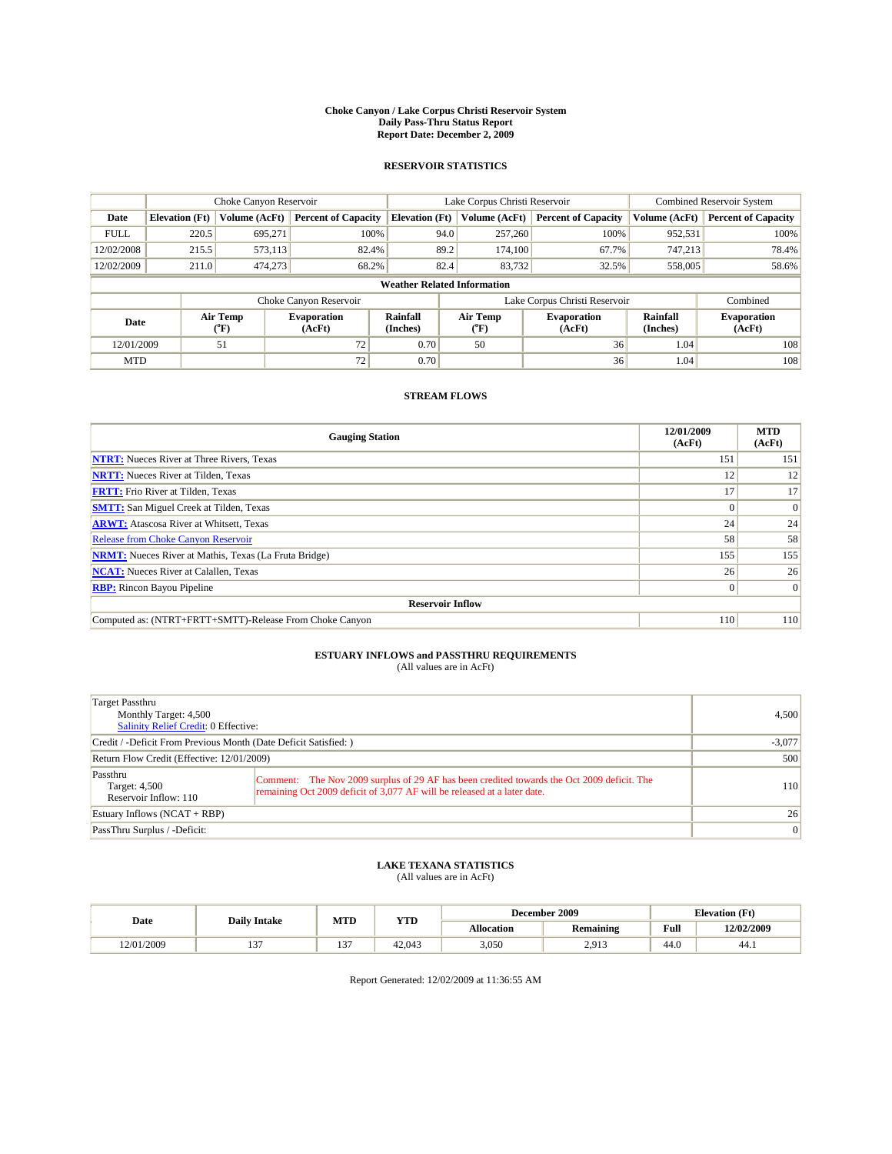#### **Choke Canyon / Lake Corpus Christi Reservoir System Daily Pass-Thru Status Report Report Date: December 2, 2009**

### **RESERVOIR STATISTICS**

|             | Choke Canyon Reservoir             |                             |                              |                       | Lake Corpus Christi Reservoir |                               |                              | <b>Combined Reservoir System</b> |                              |  |
|-------------|------------------------------------|-----------------------------|------------------------------|-----------------------|-------------------------------|-------------------------------|------------------------------|----------------------------------|------------------------------|--|
| Date        | <b>Elevation</b> (Ft)              | Volume (AcFt)               | <b>Percent of Capacity</b>   | <b>Elevation</b> (Ft) |                               | Volume (AcFt)                 | <b>Percent of Capacity</b>   | Volume (AcFt)                    | <b>Percent of Capacity</b>   |  |
| <b>FULL</b> | 220.5                              | 695,271                     | 100%                         |                       | 94.0                          | 257,260                       | 100%                         | 952,531                          | 100%                         |  |
| 12/02/2008  | 215.5                              | 573.113                     | 82.4%                        |                       | 89.2                          | 174,100                       | 67.7%                        | 747.213                          | 78.4%                        |  |
| 12/02/2009  | 211.0                              | 474,273                     | 68.2%                        |                       | 82.4                          | 83,732                        | 32.5%                        | 558,005                          | 58.6%                        |  |
|             | <b>Weather Related Information</b> |                             |                              |                       |                               |                               |                              |                                  |                              |  |
|             |                                    |                             | Choke Canyon Reservoir       |                       |                               | Lake Corpus Christi Reservoir |                              |                                  | Combined                     |  |
| Date        |                                    | Air Temp<br>${}^{\circ}$ F) | <b>Evaporation</b><br>(AcFt) | Rainfall<br>(Inches)  |                               | Air Temp<br>("F)              | <b>Evaporation</b><br>(AcFt) | Rainfall<br>(Inches)             | <b>Evaporation</b><br>(AcFt) |  |
| 12/01/2009  |                                    | 51                          | 72                           | 0.70                  |                               | 50                            | 36                           | 1.04                             | 108                          |  |
| <b>MTD</b>  |                                    |                             | 72                           | 0.70                  |                               |                               | 36                           | 1.04                             | 108                          |  |

## **STREAM FLOWS**

| <b>Gauging Station</b>                                       | 12/01/2009<br>(AcFt) | <b>MTD</b><br>(AcFt) |
|--------------------------------------------------------------|----------------------|----------------------|
| <b>NTRT:</b> Nueces River at Three Rivers, Texas             | 151                  | 151                  |
| <b>NRTT:</b> Nueces River at Tilden, Texas                   | 12                   | 12                   |
| <b>FRTT:</b> Frio River at Tilden, Texas                     | 17                   | 17                   |
| <b>SMTT:</b> San Miguel Creek at Tilden, Texas               | $\theta$             | $\Omega$             |
| <b>ARWT:</b> Atascosa River at Whitsett, Texas               | 24                   | 24                   |
| <b>Release from Choke Canyon Reservoir</b>                   | 58                   | 58                   |
| <b>NRMT:</b> Nueces River at Mathis, Texas (La Fruta Bridge) | 155                  | 155                  |
| <b>NCAT:</b> Nueces River at Calallen, Texas                 | 26                   | 26                   |
| <b>RBP:</b> Rincon Bayou Pipeline                            | $\overline{0}$       | $\Omega$             |
| <b>Reservoir Inflow</b>                                      |                      |                      |
| Computed as: (NTRT+FRTT+SMTT)-Release From Choke Canyon      | 110                  | 110                  |

# **ESTUARY INFLOWS and PASSTHRU REQUIREMENTS**<br>(All values are in AcFt)

| Target Passthru<br>Monthly Target: 4,500<br><b>Salinity Relief Credit: 0 Effective:</b> |                                                                                                                                                                        | 4,500 |
|-----------------------------------------------------------------------------------------|------------------------------------------------------------------------------------------------------------------------------------------------------------------------|-------|
| Credit / -Deficit From Previous Month (Date Deficit Satisfied: )                        | $-3,077$                                                                                                                                                               |       |
| Return Flow Credit (Effective: 12/01/2009)                                              | 500                                                                                                                                                                    |       |
| Passthru<br>Target: 4,500<br>Reservoir Inflow: 110                                      | Comment: The Nov 2009 surplus of 29 AF has been credited towards the Oct 2009 deficit. The<br>remaining Oct 2009 deficit of 3,077 AF will be released at a later date. | 110   |
| Estuary Inflows (NCAT + RBP)                                                            | 26                                                                                                                                                                     |       |
| PassThru Surplus / -Deficit:                                                            | 0                                                                                                                                                                      |       |

## **LAKE TEXANA STATISTICS** (All values are in AcFt)

|            | <b>Daily Intake</b> | MTD        | <b>YTD</b> | December 2009 |           |      | <b>Elevation</b> (Ft) |
|------------|---------------------|------------|------------|---------------|-----------|------|-----------------------|
| Date       |                     |            |            | Allocation    | Remaining | Full | 12/02/2009            |
| 12/01/2009 | $\sim$<br>…         | $-$<br>. . | 42.043     | 3,050         | 2.913     | 44.0 | 44.1                  |

Report Generated: 12/02/2009 at 11:36:55 AM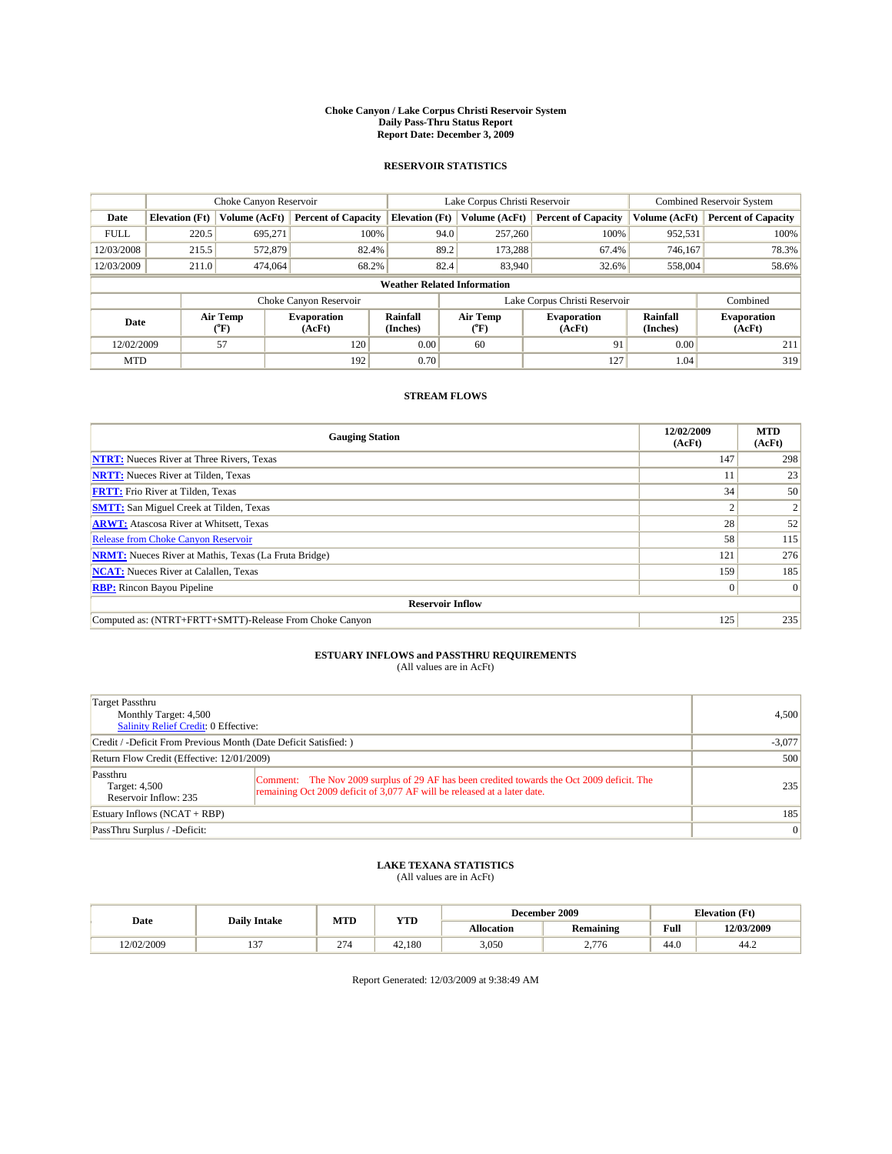#### **Choke Canyon / Lake Corpus Christi Reservoir System Daily Pass-Thru Status Report Report Date: December 3, 2009**

### **RESERVOIR STATISTICS**

|             | Choke Canyon Reservoir             |                      |                              |                             | Lake Corpus Christi Reservoir |                               |                      | <b>Combined Reservoir System</b> |  |  |
|-------------|------------------------------------|----------------------|------------------------------|-----------------------------|-------------------------------|-------------------------------|----------------------|----------------------------------|--|--|
| Date        | <b>Elevation</b> (Ft)              | <b>Volume (AcFt)</b> | <b>Percent of Capacity</b>   | <b>Elevation</b> (Ft)       | Volume (AcFt)                 | <b>Percent of Capacity</b>    | Volume (AcFt)        | <b>Percent of Capacity</b>       |  |  |
| <b>FULL</b> | 220.5                              | 695,271              | 100%                         | 94.0                        | 257,260                       | 100%                          | 952,531              | 100%                             |  |  |
| 12/03/2008  | 215.5                              | 572,879              | 82.4%                        | 89.2                        | 173,288                       | 67.4%                         | 746,167              | 78.3%                            |  |  |
| 12/03/2009  | 211.0                              | 474,064              | 68.2%                        | 82.4                        | 83,940                        | 32.6%                         | 558,004              | 58.6%                            |  |  |
|             | <b>Weather Related Information</b> |                      |                              |                             |                               |                               |                      |                                  |  |  |
|             |                                    |                      | Choke Canyon Reservoir       |                             |                               | Lake Corpus Christi Reservoir |                      | Combined                         |  |  |
| Date        |                                    | Air Temp<br>(°F)     | <b>Evaporation</b><br>(AcFt) | <b>Rainfall</b><br>(Inches) | Air Temp<br>(°F)              | <b>Evaporation</b><br>(AcFt)  | Rainfall<br>(Inches) | <b>Evaporation</b><br>(AcFt)     |  |  |
| 12/02/2009  |                                    | 57                   | 120                          | 0.00                        | 60                            | 91                            | 0.00                 | 211                              |  |  |
| <b>MTD</b>  |                                    |                      | 192                          | 0.70                        |                               | 127                           | 1.04                 | 319                              |  |  |

## **STREAM FLOWS**

| <b>Gauging Station</b>                                       | 12/02/2009<br>(AcFt) | <b>MTD</b><br>(AcFt) |
|--------------------------------------------------------------|----------------------|----------------------|
| <b>NTRT:</b> Nueces River at Three Rivers, Texas             | 147                  | 298                  |
| <b>NRTT:</b> Nueces River at Tilden, Texas                   |                      | 23                   |
| <b>FRTT:</b> Frio River at Tilden, Texas                     | 34                   | 50                   |
| <b>SMTT:</b> San Miguel Creek at Tilden, Texas               |                      |                      |
| <b>ARWT:</b> Atascosa River at Whitsett, Texas               | 28                   | 52                   |
| Release from Choke Canyon Reservoir                          | 58                   | 115                  |
| <b>NRMT:</b> Nueces River at Mathis, Texas (La Fruta Bridge) | 121                  | 276                  |
| <b>NCAT:</b> Nueces River at Calallen, Texas                 | 159                  | 185                  |
| <b>RBP:</b> Rincon Bayou Pipeline                            | $\overline{0}$       | $\Omega$             |
| <b>Reservoir Inflow</b>                                      |                      |                      |
| Computed as: (NTRT+FRTT+SMTT)-Release From Choke Canyon      | 125                  | 235                  |

# **ESTUARY INFLOWS and PASSTHRU REQUIREMENTS**<br>(All values are in AcFt)

| Target Passthru<br>Monthly Target: 4,500<br>Salinity Relief Credit: 0 Effective: |                                                                                                                                                                        | 4,500           |
|----------------------------------------------------------------------------------|------------------------------------------------------------------------------------------------------------------------------------------------------------------------|-----------------|
| Credit / -Deficit From Previous Month (Date Deficit Satisfied: )                 |                                                                                                                                                                        | $-3,077$        |
| Return Flow Credit (Effective: 12/01/2009)                                       | 500                                                                                                                                                                    |                 |
| Passthru<br>Target: 4,500<br>Reservoir Inflow: 235                               | Comment: The Nov 2009 surplus of 29 AF has been credited towards the Oct 2009 deficit. The<br>remaining Oct 2009 deficit of 3,077 AF will be released at a later date. | 235             |
| Estuary Inflows (NCAT + RBP)                                                     |                                                                                                                                                                        | 185             |
| PassThru Surplus / -Deficit:                                                     |                                                                                                                                                                        | $\vert 0 \vert$ |

## **LAKE TEXANA STATISTICS** (All values are in AcFt)

|            |                     | MTD                | <b>YTD</b> |                   | December 2009           |      | <b>Elevation</b> (Ft) |
|------------|---------------------|--------------------|------------|-------------------|-------------------------|------|-----------------------|
| Date       | <b>Daily Intake</b> |                    |            | <b>Allocation</b> | Remaining               | Full | 12/03/2009            |
| 12/02/2009 | $\sim$<br>. .       | $\sim$<br>$\sim$ 1 | 42.180     | 3,050             | $- -$<br>76<br><u>.</u> | 44.0 | 44.2                  |

Report Generated: 12/03/2009 at 9:38:49 AM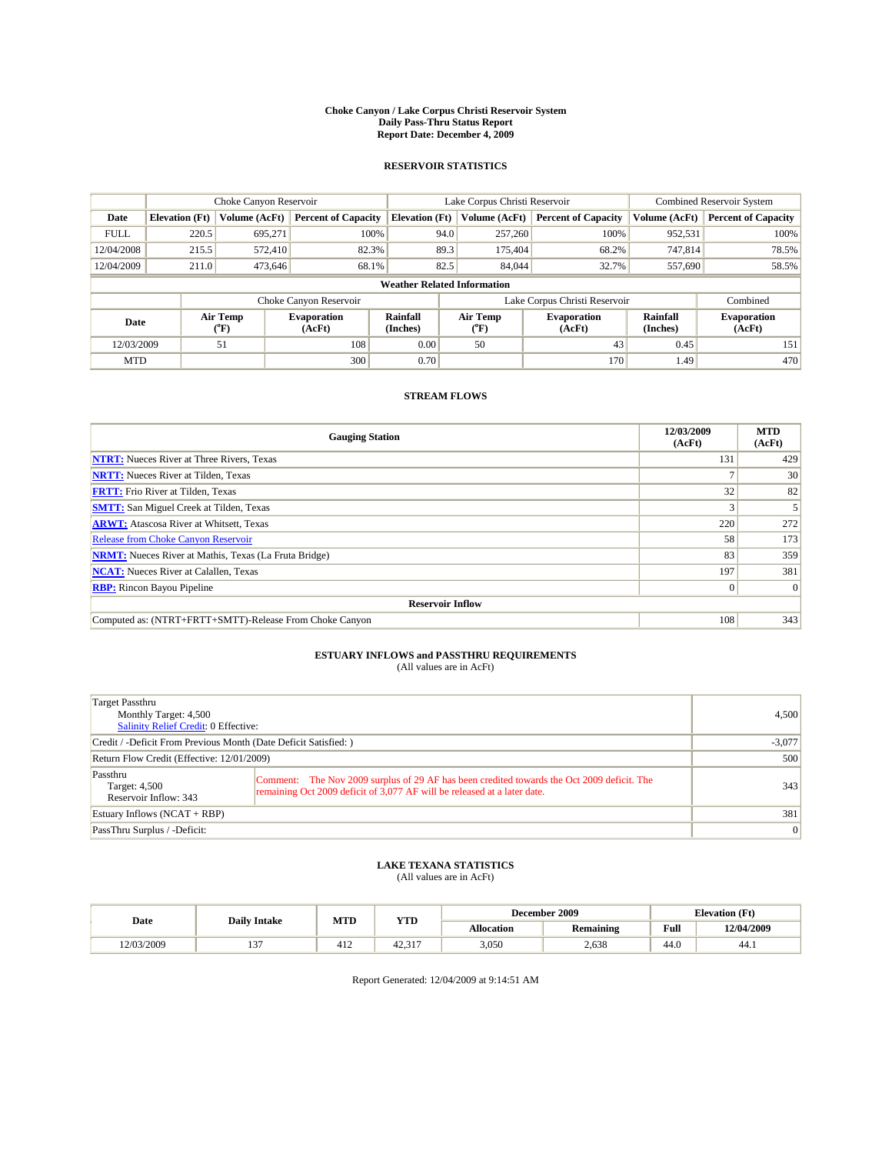#### **Choke Canyon / Lake Corpus Christi Reservoir System Daily Pass-Thru Status Report Report Date: December 4, 2009**

### **RESERVOIR STATISTICS**

|             | Choke Canyon Reservoir             |                      |                              |                             | Lake Corpus Christi Reservoir |                               |                      | <b>Combined Reservoir System</b> |  |
|-------------|------------------------------------|----------------------|------------------------------|-----------------------------|-------------------------------|-------------------------------|----------------------|----------------------------------|--|
| Date        | <b>Elevation</b> (Ft)              | <b>Volume (AcFt)</b> | <b>Percent of Capacity</b>   | <b>Elevation</b> (Ft)       | Volume (AcFt)                 | <b>Percent of Capacity</b>    | Volume (AcFt)        | <b>Percent of Capacity</b>       |  |
| <b>FULL</b> | 220.5                              | 695,271              | 100%                         | 94.0                        | 257,260                       | 100%                          | 952,531              | 100%                             |  |
| 12/04/2008  | 215.5                              | 572,410              | 82.3%                        | 89.3                        | 175,404                       | 68.2%                         | 747,814              | 78.5%                            |  |
| 12/04/2009  | 211.0                              | 473,646              | 68.1%                        | 82.5                        | 84,044                        | 32.7%                         | 557,690              | 58.5%                            |  |
|             | <b>Weather Related Information</b> |                      |                              |                             |                               |                               |                      |                                  |  |
|             |                                    |                      | Choke Canyon Reservoir       |                             |                               | Lake Corpus Christi Reservoir |                      | Combined                         |  |
| Date        |                                    | Air Temp<br>(°F)     | <b>Evaporation</b><br>(AcFt) | <b>Rainfall</b><br>(Inches) | Air Temp<br>(°F)              | <b>Evaporation</b><br>(AcFt)  | Rainfall<br>(Inches) | <b>Evaporation</b><br>(AcFt)     |  |
| 12/03/2009  |                                    | 51                   | 108                          | 0.00                        | 50                            | 43                            | 0.45                 | 151                              |  |
| <b>MTD</b>  |                                    |                      | 300                          | 0.70                        |                               | 170                           | 1.49                 | 470                              |  |

## **STREAM FLOWS**

| <b>Gauging Station</b>                                       | 12/03/2009<br>(AcFt) | <b>MTD</b><br>(AcFt) |  |  |  |  |
|--------------------------------------------------------------|----------------------|----------------------|--|--|--|--|
| <b>NTRT:</b> Nueces River at Three Rivers, Texas             | 131                  | 429                  |  |  |  |  |
| <b>NRTT:</b> Nueces River at Tilden, Texas                   |                      | 30                   |  |  |  |  |
| <b>FRTT:</b> Frio River at Tilden, Texas                     | 32                   | 82                   |  |  |  |  |
| <b>SMTT:</b> San Miguel Creek at Tilden, Texas               |                      |                      |  |  |  |  |
| <b>ARWT:</b> Atascosa River at Whitsett, Texas               | 220                  | 272                  |  |  |  |  |
| <b>Release from Choke Canyon Reservoir</b>                   | 58                   | 173                  |  |  |  |  |
| <b>NRMT:</b> Nueces River at Mathis, Texas (La Fruta Bridge) | 83                   | 359                  |  |  |  |  |
| <b>NCAT:</b> Nueces River at Calallen, Texas                 | 197                  | 381                  |  |  |  |  |
| <b>RBP:</b> Rincon Bayou Pipeline                            | $\overline{0}$       | $\Omega$             |  |  |  |  |
| <b>Reservoir Inflow</b>                                      |                      |                      |  |  |  |  |
| Computed as: (NTRT+FRTT+SMTT)-Release From Choke Canyon      | 108                  | 343                  |  |  |  |  |

# **ESTUARY INFLOWS and PASSTHRU REQUIREMENTS**<br>(All values are in AcFt)

| Target Passthru<br>Monthly Target: 4,500<br>Salinity Relief Credit: 0 Effective: |                                                                                                                                                                        | 4.500    |
|----------------------------------------------------------------------------------|------------------------------------------------------------------------------------------------------------------------------------------------------------------------|----------|
| Credit / -Deficit From Previous Month (Date Deficit Satisfied: )                 |                                                                                                                                                                        | $-3,077$ |
| Return Flow Credit (Effective: 12/01/2009)                                       | 500                                                                                                                                                                    |          |
| Passthru<br>Target: 4,500<br>Reservoir Inflow: 343                               | Comment: The Nov 2009 surplus of 29 AF has been credited towards the Oct 2009 deficit. The<br>remaining Oct 2009 deficit of 3,077 AF will be released at a later date. | 343      |
| Estuary Inflows (NCAT + RBP)                                                     |                                                                                                                                                                        | 381      |
| PassThru Surplus / -Deficit:                                                     | $\vert 0 \vert$                                                                                                                                                        |          |

## **LAKE TEXANA STATISTICS** (All values are in AcFt)

|            | <b>Daily Intake</b> | MTD         | <b>YTD</b>             |            | December 2009    |                                             | <b>Elevation</b> (Ft) |
|------------|---------------------|-------------|------------------------|------------|------------------|---------------------------------------------|-----------------------|
| Date       |                     |             |                        | Allocation | <b>Remaining</b> | Full<br>the contract of the contract of the | 12/04/2009            |
| 12/03/2009 | $\sim$              | 4.10<br>412 | $\sim$ $\sim$<br>44.91 | 3,050      | 2.638            | 44.0                                        | 44.)                  |

Report Generated: 12/04/2009 at 9:14:51 AM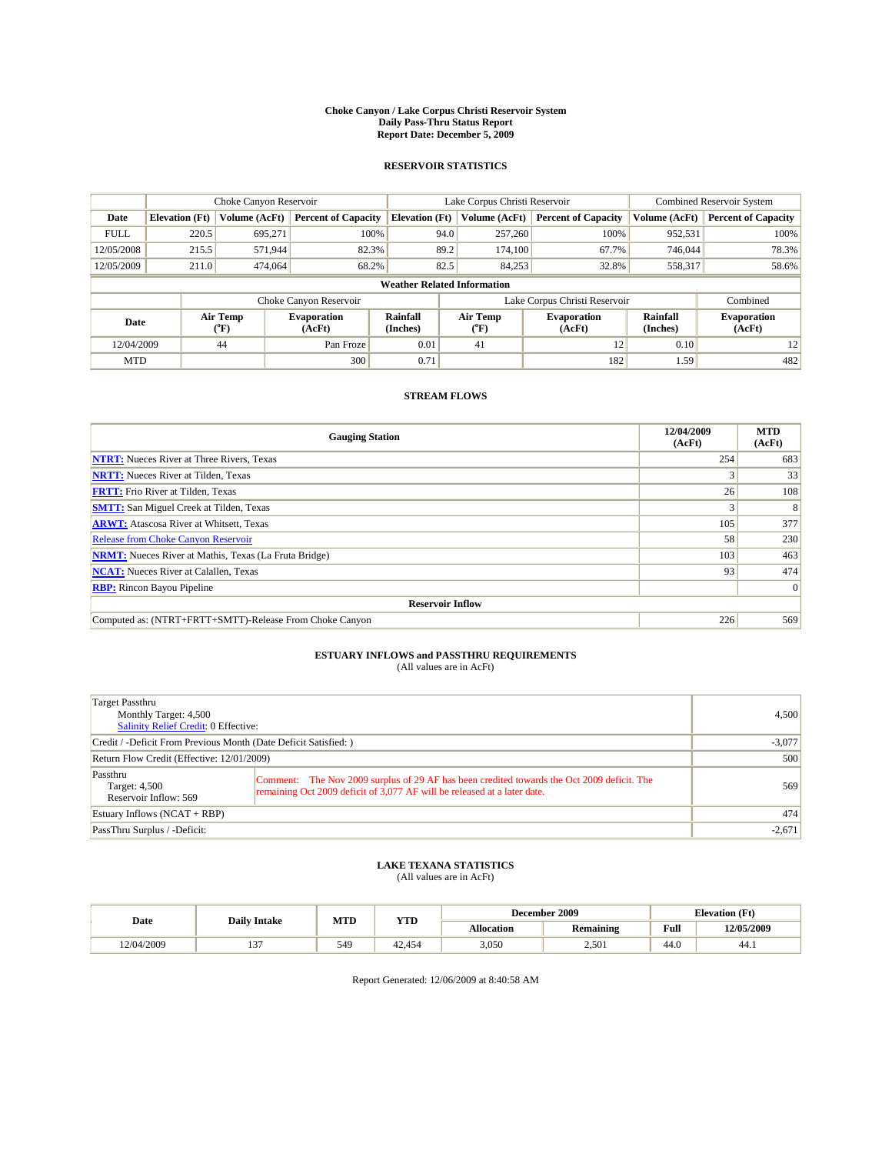#### **Choke Canyon / Lake Corpus Christi Reservoir System Daily Pass-Thru Status Report Report Date: December 5, 2009**

### **RESERVOIR STATISTICS**

|             | Choke Canyon Reservoir             |                      |                              |                             | Lake Corpus Christi Reservoir | <b>Combined Reservoir System</b> |                      |                              |  |
|-------------|------------------------------------|----------------------|------------------------------|-----------------------------|-------------------------------|----------------------------------|----------------------|------------------------------|--|
| Date        | <b>Elevation</b> (Ft)              | <b>Volume (AcFt)</b> | <b>Percent of Capacity</b>   | <b>Elevation</b> (Ft)       | Volume (AcFt)                 | <b>Percent of Capacity</b>       | Volume (AcFt)        | <b>Percent of Capacity</b>   |  |
| <b>FULL</b> | 220.5                              | 695,271              | 100%                         | 94.0                        | 257,260                       | 100%                             | 952,531              | 100%                         |  |
| 12/05/2008  | 215.5                              | 571,944              | 82.3%                        | 89.2                        | 174,100                       | 67.7%                            | 746,044              | 78.3%                        |  |
| 12/05/2009  | 211.0                              | 474,064              | 68.2%                        | 82.5                        | 84,253                        | 32.8%                            | 558,317              | 58.6%                        |  |
|             | <b>Weather Related Information</b> |                      |                              |                             |                               |                                  |                      |                              |  |
|             |                                    |                      | Choke Canyon Reservoir       |                             |                               | Lake Corpus Christi Reservoir    |                      | Combined                     |  |
| Date        |                                    | Air Temp<br>(°F)     | <b>Evaporation</b><br>(AcFt) | <b>Rainfall</b><br>(Inches) | Air Temp<br>(°F)              | <b>Evaporation</b><br>(AcFt)     | Rainfall<br>(Inches) | <b>Evaporation</b><br>(AcFt) |  |
| 12/04/2009  |                                    | 44                   | Pan Froze                    | 0.01                        | 41                            | 12                               | 0.10                 | 12                           |  |
| <b>MTD</b>  |                                    |                      | 300                          | 0.71                        |                               | 182                              | 1.59                 | 482                          |  |

## **STREAM FLOWS**

| <b>Gauging Station</b>                                       | 12/04/2009<br>(AcFt) | <b>MTD</b><br>(AcFt) |  |  |  |  |
|--------------------------------------------------------------|----------------------|----------------------|--|--|--|--|
| <b>NTRT:</b> Nueces River at Three Rivers, Texas             | 254                  | 683                  |  |  |  |  |
| <b>NRTT:</b> Nueces River at Tilden, Texas                   |                      | 33                   |  |  |  |  |
| <b>FRTT:</b> Frio River at Tilden, Texas                     | 26                   | 108                  |  |  |  |  |
| <b>SMTT:</b> San Miguel Creek at Tilden, Texas               |                      | 8                    |  |  |  |  |
| <b>ARWT:</b> Atascosa River at Whitsett, Texas               | 105                  | 377                  |  |  |  |  |
| <b>Release from Choke Canyon Reservoir</b>                   | 58                   | 230                  |  |  |  |  |
| <b>NRMT:</b> Nueces River at Mathis, Texas (La Fruta Bridge) | 103                  | 463                  |  |  |  |  |
| <b>NCAT:</b> Nueces River at Calallen, Texas                 | 93                   | 474                  |  |  |  |  |
| <b>RBP:</b> Rincon Bayou Pipeline                            |                      | $\Omega$             |  |  |  |  |
| <b>Reservoir Inflow</b>                                      |                      |                      |  |  |  |  |
| Computed as: (NTRT+FRTT+SMTT)-Release From Choke Canyon      | 226                  | 569                  |  |  |  |  |

# **ESTUARY INFLOWS and PASSTHRU REQUIREMENTS**<br>(All values are in AcFt)

| Target Passthru<br>Monthly Target: 4,500<br>Salinity Relief Credit: 0 Effective: |                                                                                                                                                                        | 4,500    |
|----------------------------------------------------------------------------------|------------------------------------------------------------------------------------------------------------------------------------------------------------------------|----------|
| Credit / -Deficit From Previous Month (Date Deficit Satisfied: )                 |                                                                                                                                                                        | $-3,077$ |
| Return Flow Credit (Effective: 12/01/2009)                                       | 500                                                                                                                                                                    |          |
| Passthru<br>Target: 4,500<br>Reservoir Inflow: 569                               | Comment: The Nov 2009 surplus of 29 AF has been credited towards the Oct 2009 deficit. The<br>remaining Oct 2009 deficit of 3,077 AF will be released at a later date. | 569      |
| Estuary Inflows (NCAT + RBP)                                                     |                                                                                                                                                                        | 474      |
| PassThru Surplus / -Deficit:                                                     |                                                                                                                                                                        | $-2,671$ |

## **LAKE TEXANA STATISTICS** (All values are in AcFt)

|            | <b>Daily Intake</b> | MTD | <b>YTD</b> | December 2009 |                  |                                             | <b>Elevation</b> (Ft) |
|------------|---------------------|-----|------------|---------------|------------------|---------------------------------------------|-----------------------|
| Date       |                     |     |            | Allocation    | <b>Remaining</b> | Full<br>the contract of the contract of the | 12/05/2009            |
| 12/04/2009 | $\sim$              | 549 | 42.454     | 3,050         | 2,501            | 44.0                                        | 44.)                  |

Report Generated: 12/06/2009 at 8:40:58 AM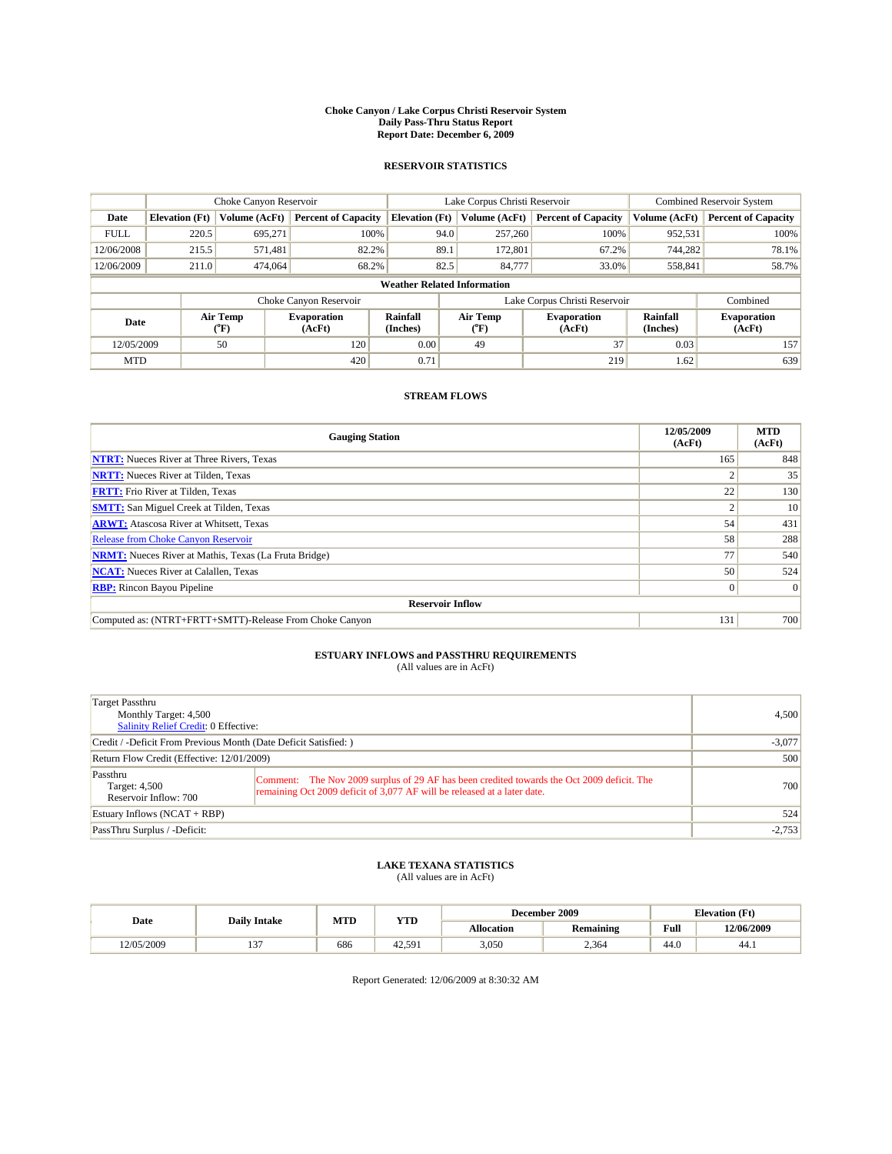#### **Choke Canyon / Lake Corpus Christi Reservoir System Daily Pass-Thru Status Report Report Date: December 6, 2009**

### **RESERVOIR STATISTICS**

|             | Choke Canyon Reservoir             |                            |                              |                             | Lake Corpus Christi Reservoir |                               |                      | Combined Reservoir System    |  |
|-------------|------------------------------------|----------------------------|------------------------------|-----------------------------|-------------------------------|-------------------------------|----------------------|------------------------------|--|
| Date        | <b>Elevation</b> (Ft)              | <b>Volume (AcFt)</b>       | <b>Percent of Capacity</b>   | <b>Elevation</b> (Ft)       | Volume (AcFt)                 | <b>Percent of Capacity</b>    | Volume (AcFt)        | <b>Percent of Capacity</b>   |  |
| <b>FULL</b> | 220.5                              | 695,271                    | 100%                         | 94.0                        | 257,260                       | 100%                          | 952,531              | 100%                         |  |
| 12/06/2008  | 215.5                              | 571,481                    | 82.2%                        | 89.1                        | 172,801                       | 67.2%                         | 744.282              | 78.1%                        |  |
| 12/06/2009  | 211.0                              | 474,064                    | 68.2%                        | 82.5                        | 84,777                        | 33.0%                         | 558,841              | 58.7%                        |  |
|             | <b>Weather Related Information</b> |                            |                              |                             |                               |                               |                      |                              |  |
|             |                                    |                            | Choke Canyon Reservoir       |                             |                               | Lake Corpus Christi Reservoir |                      | Combined                     |  |
| Date        |                                    | Air Temp<br>${}^{\circ}F)$ | <b>Evaporation</b><br>(AcFt) | <b>Rainfall</b><br>(Inches) | Air Temp<br>$(^{\circ}F)$     | <b>Evaporation</b><br>(AcFt)  | Rainfall<br>(Inches) | <b>Evaporation</b><br>(AcFt) |  |
| 12/05/2009  |                                    | 50                         | 120                          | 0.00                        | 49                            | 37                            | 0.03                 | 157                          |  |
| <b>MTD</b>  |                                    |                            | 420                          | 0.71                        |                               | 219                           | 1.62                 | 639                          |  |

## **STREAM FLOWS**

| <b>Gauging Station</b>                                       | 12/05/2009<br>(AcFt) | <b>MTD</b><br>(AcFt) |  |  |  |  |
|--------------------------------------------------------------|----------------------|----------------------|--|--|--|--|
| <b>NTRT:</b> Nueces River at Three Rivers, Texas             | 165                  | 848                  |  |  |  |  |
| <b>NRTT:</b> Nueces River at Tilden, Texas                   |                      | 35                   |  |  |  |  |
| <b>FRTT:</b> Frio River at Tilden, Texas                     | 22                   | 130                  |  |  |  |  |
| <b>SMTT:</b> San Miguel Creek at Tilden, Texas               |                      | 10                   |  |  |  |  |
| <b>ARWT:</b> Atascosa River at Whitsett, Texas               | 54                   | 431                  |  |  |  |  |
| <b>Release from Choke Canyon Reservoir</b>                   | 58                   | 288                  |  |  |  |  |
| <b>NRMT:</b> Nueces River at Mathis, Texas (La Fruta Bridge) | 77                   | 540                  |  |  |  |  |
| <b>NCAT:</b> Nueces River at Calallen, Texas                 | 50                   | 524                  |  |  |  |  |
| <b>RBP:</b> Rincon Bayou Pipeline                            | $\overline{0}$       | $\Omega$             |  |  |  |  |
| <b>Reservoir Inflow</b>                                      |                      |                      |  |  |  |  |
| Computed as: (NTRT+FRTT+SMTT)-Release From Choke Canyon      | 131                  | 700                  |  |  |  |  |

# **ESTUARY INFLOWS and PASSTHRU REQUIREMENTS**<br>(All values are in AcFt)

| Target Passthru<br>Monthly Target: 4,500<br>Salinity Relief Credit: 0 Effective: |                                                                                                                                                                        | 4.500    |
|----------------------------------------------------------------------------------|------------------------------------------------------------------------------------------------------------------------------------------------------------------------|----------|
| Credit / -Deficit From Previous Month (Date Deficit Satisfied: )                 |                                                                                                                                                                        | $-3,077$ |
| Return Flow Credit (Effective: 12/01/2009)                                       | 500                                                                                                                                                                    |          |
| Passthru<br>Target: 4,500<br>Reservoir Inflow: 700                               | Comment: The Nov 2009 surplus of 29 AF has been credited towards the Oct 2009 deficit. The<br>remaining Oct 2009 deficit of 3,077 AF will be released at a later date. | 700      |
| Estuary Inflows (NCAT + RBP)                                                     |                                                                                                                                                                        | 524      |
| PassThru Surplus / -Deficit:                                                     |                                                                                                                                                                        | $-2,753$ |

## **LAKE TEXANA STATISTICS** (All values are in AcFt)

|            | <b>Daily Intake</b> | MTD | <b>YTD</b> | December 2009 |                  |      | <b>Elevation</b> (Ft) |  |
|------------|---------------------|-----|------------|---------------|------------------|------|-----------------------|--|
| Date       |                     |     |            | Allocation    | <b>Remaining</b> | Full | 12/06/2009            |  |
| 12/05/2009 | . .                 | 686 | 42.591     | 3,050         | 2,364            | 44.0 | 44.1                  |  |

Report Generated: 12/06/2009 at 8:30:32 AM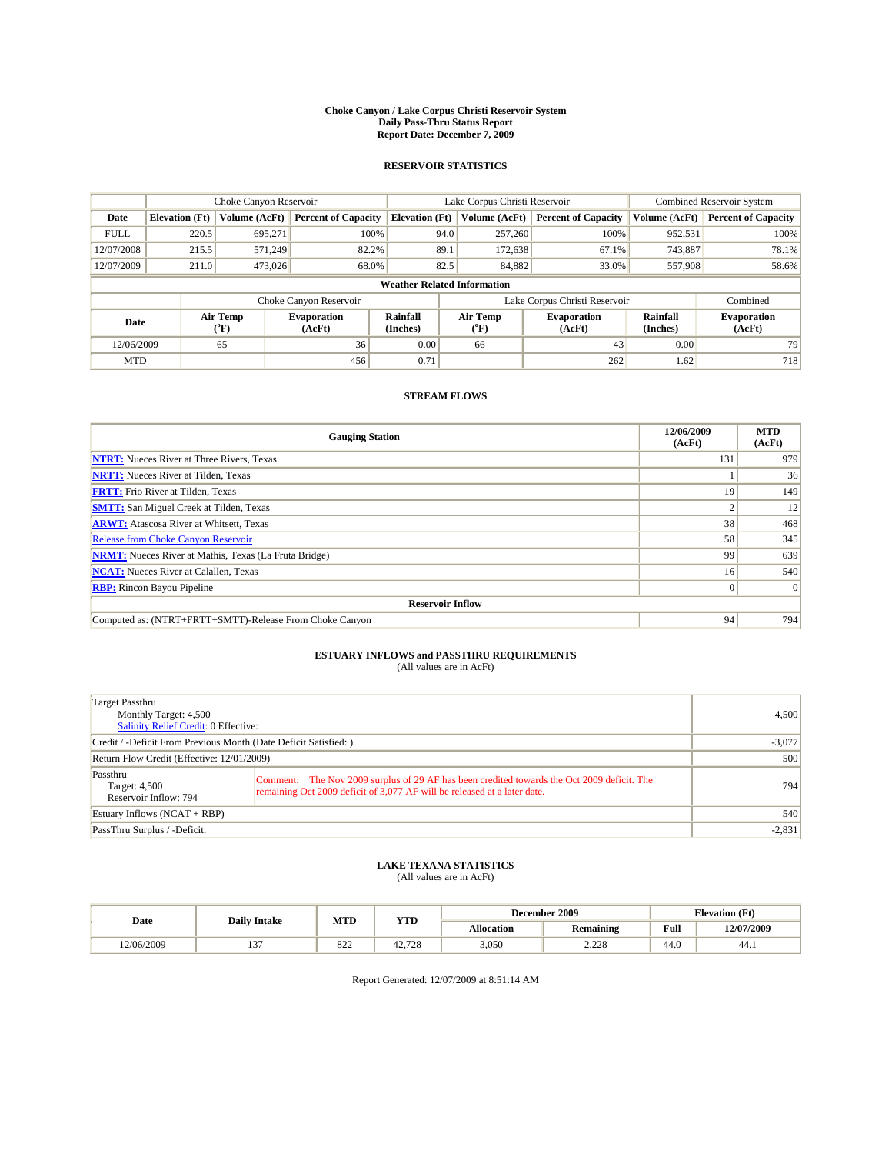#### **Choke Canyon / Lake Corpus Christi Reservoir System Daily Pass-Thru Status Report Report Date: December 7, 2009**

### **RESERVOIR STATISTICS**

|             | Choke Canyon Reservoir             |                             |                            |                             | Lake Corpus Christi Reservoir |                     |                               |                      | <b>Combined Reservoir System</b> |  |
|-------------|------------------------------------|-----------------------------|----------------------------|-----------------------------|-------------------------------|---------------------|-------------------------------|----------------------|----------------------------------|--|
| Date        | <b>Elevation</b> (Ft)              | Volume (AcFt)               | <b>Percent of Capacity</b> | <b>Elevation</b> (Ft)       |                               | Volume (AcFt)       | <b>Percent of Capacity</b>    | Volume (AcFt)        | <b>Percent of Capacity</b>       |  |
| <b>FULL</b> | 220.5                              | 695.271                     | 100%                       |                             | 94.0                          | 257,260             | 100%                          | 952,531              | 100%                             |  |
| 12/07/2008  | 215.5                              | 571.249                     | 82.2%                      |                             | 89.1                          | 172,638             | 67.1%                         | 743.887              | 78.1%                            |  |
| 12/07/2009  | 211.0                              | 473,026                     | 68.0%                      |                             | 82.5                          | 84,882              | 33.0%                         | 557,908              | 58.6%                            |  |
|             | <b>Weather Related Information</b> |                             |                            |                             |                               |                     |                               |                      |                                  |  |
|             |                                    |                             | Choke Canyon Reservoir     |                             |                               |                     | Lake Corpus Christi Reservoir |                      | Combined                         |  |
| Date        |                                    | Air Temp<br>${}^{\circ}$ F) | Evaporation<br>(AcFt)      | <b>Rainfall</b><br>(Inches) |                               | Air Temp<br>$(^oF)$ | <b>Evaporation</b><br>(AcFt)  | Rainfall<br>(Inches) | <b>Evaporation</b><br>(AcFt)     |  |
| 12/06/2009  |                                    | 65                          | 36                         | 0.00                        |                               | 66                  | 43                            | 0.00                 | 79                               |  |
| <b>MTD</b>  |                                    |                             | 456                        | 0.71                        |                               |                     | 262                           | 1.62                 | 718                              |  |

## **STREAM FLOWS**

| <b>Gauging Station</b>                                       | 12/06/2009<br>(AcFt) | <b>MTD</b><br>(AcFt) |
|--------------------------------------------------------------|----------------------|----------------------|
| <b>NTRT:</b> Nueces River at Three Rivers, Texas             | 131                  | 979                  |
| <b>NRTT:</b> Nueces River at Tilden, Texas                   |                      | 36                   |
| <b>FRTT:</b> Frio River at Tilden, Texas                     | 19                   | 149                  |
| <b>SMTT:</b> San Miguel Creek at Tilden, Texas               |                      | 12                   |
| <b>ARWT:</b> Atascosa River at Whitsett, Texas               | 38                   | 468                  |
| <b>Release from Choke Canyon Reservoir</b>                   | 58                   | 345                  |
| <b>NRMT:</b> Nueces River at Mathis, Texas (La Fruta Bridge) | 99                   | 639                  |
| <b>NCAT:</b> Nueces River at Calallen, Texas                 | 16 <sup>1</sup>      | 540                  |
| <b>RBP:</b> Rincon Bayou Pipeline                            | $\overline{0}$       | $\Omega$             |
| <b>Reservoir Inflow</b>                                      |                      |                      |
| Computed as: (NTRT+FRTT+SMTT)-Release From Choke Canyon      | 94                   | 794                  |

# **ESTUARY INFLOWS and PASSTHRU REQUIREMENTS**<br>(All values are in AcFt)

| Target Passthru<br>Monthly Target: 4,500<br><b>Salinity Relief Credit: 0 Effective:</b> |                                                                                                                                                                        | 4,500 |
|-----------------------------------------------------------------------------------------|------------------------------------------------------------------------------------------------------------------------------------------------------------------------|-------|
| Credit / -Deficit From Previous Month (Date Deficit Satisfied: )                        | $-3,077$                                                                                                                                                               |       |
| Return Flow Credit (Effective: 12/01/2009)                                              | 500                                                                                                                                                                    |       |
| Passthru<br>Target: 4,500<br>Reservoir Inflow: 794                                      | Comment: The Nov 2009 surplus of 29 AF has been credited towards the Oct 2009 deficit. The<br>remaining Oct 2009 deficit of 3,077 AF will be released at a later date. | 794   |
| Estuary Inflows (NCAT + RBP)                                                            |                                                                                                                                                                        | 540   |
| PassThru Surplus / -Deficit:                                                            | $-2,831$                                                                                                                                                               |       |

## **LAKE TEXANA STATISTICS** (All values are in AcFt)

|            | MTD<br><b>YTD</b><br><b>Daily Intake</b> |                                                |              |            | December 2009    | <b>Elevation</b> (Ft) |            |
|------------|------------------------------------------|------------------------------------------------|--------------|------------|------------------|-----------------------|------------|
| Date       |                                          |                                                |              | Allocation | <b>Remaining</b> | Full                  | 12/07/2009 |
| 12/06/2009 | . .                                      | $\Omega$ <sup><math>\Omega</math></sup><br>844 | .728<br>44., | 3,050      | .220<br>2.22U    | 44.0                  | 44.)       |

Report Generated: 12/07/2009 at 8:51:14 AM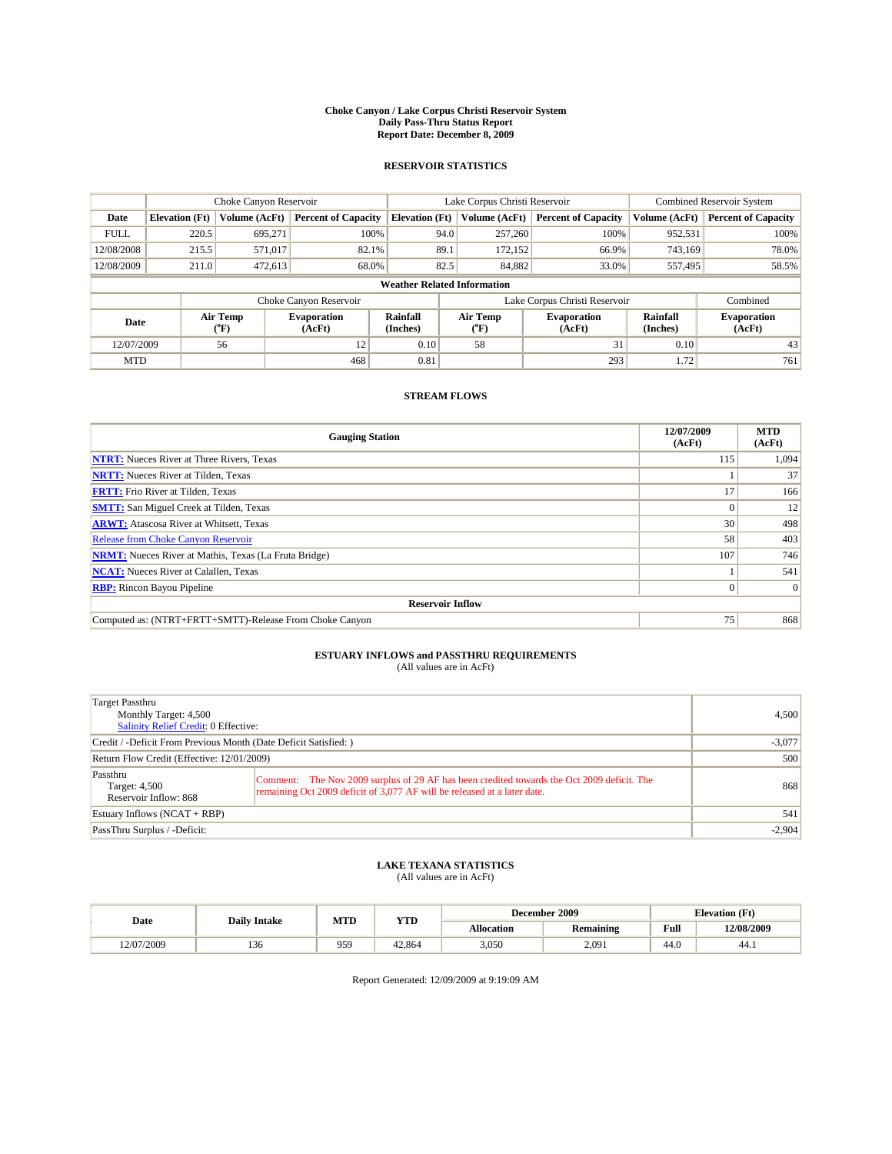#### **Choke Canyon / Lake Corpus Christi Reservoir System Daily Pass-Thru Status Report Report Date: December 8, 2009**

### **RESERVOIR STATISTICS**

|             | Choke Canyon Reservoir             |                      |                              |                             | Lake Corpus Christi Reservoir | <b>Combined Reservoir System</b> |                      |                              |  |  |
|-------------|------------------------------------|----------------------|------------------------------|-----------------------------|-------------------------------|----------------------------------|----------------------|------------------------------|--|--|
| Date        | <b>Elevation</b> (Ft)              | <b>Volume (AcFt)</b> | <b>Percent of Capacity</b>   | <b>Elevation</b> (Ft)       | Volume (AcFt)                 | <b>Percent of Capacity</b>       | Volume (AcFt)        | <b>Percent of Capacity</b>   |  |  |
| <b>FULL</b> | 220.5                              | 695,271              | 100%                         | 94.0                        | 257,260                       | 100%                             | 952,531              | 100%                         |  |  |
| 12/08/2008  | 215.5                              | 571,017              | 82.1%                        | 89.1                        | 172.152                       | 66.9%                            | 743.169              | 78.0%                        |  |  |
| 12/08/2009  | 211.0                              | 472,613              | 68.0%                        | 82.5                        | 84,882                        | 33.0%                            | 557,495              | 58.5%                        |  |  |
|             | <b>Weather Related Information</b> |                      |                              |                             |                               |                                  |                      |                              |  |  |
|             |                                    |                      | Choke Canyon Reservoir       |                             |                               | Lake Corpus Christi Reservoir    |                      | Combined                     |  |  |
| Date        |                                    | Air Temp<br>(°F)     | <b>Evaporation</b><br>(AcFt) | <b>Rainfall</b><br>(Inches) | Air Temp<br>(°F)              | <b>Evaporation</b><br>(AcFt)     | Rainfall<br>(Inches) | <b>Evaporation</b><br>(AcFt) |  |  |
| 12/07/2009  |                                    | 56                   | 12                           | 0.10                        | 58                            | 31                               | 0.10                 | 43                           |  |  |
| <b>MTD</b>  |                                    |                      | 468                          | 0.81                        |                               | 293                              | 1.72                 | 761                          |  |  |

## **STREAM FLOWS**

| <b>Gauging Station</b>                                       | 12/07/2009<br>(AcFt) | <b>MTD</b><br>(AcFt) |
|--------------------------------------------------------------|----------------------|----------------------|
| <b>NTRT:</b> Nueces River at Three Rivers, Texas             | 115                  | 1,094                |
| <b>NRTT:</b> Nueces River at Tilden, Texas                   |                      | 37                   |
| <b>FRTT:</b> Frio River at Tilden, Texas                     | 17                   | 166                  |
| <b>SMTT:</b> San Miguel Creek at Tilden, Texas               |                      | 12                   |
| <b>ARWT:</b> Atascosa River at Whitsett, Texas               | 30                   | 498                  |
| Release from Choke Canyon Reservoir                          | 58                   | 403                  |
| <b>NRMT:</b> Nueces River at Mathis, Texas (La Fruta Bridge) | 107                  | 746                  |
| <b>NCAT:</b> Nueces River at Calallen, Texas                 |                      | 541                  |
| <b>RBP:</b> Rincon Bayou Pipeline                            | $\Omega$             | $\Omega$             |
| <b>Reservoir Inflow</b>                                      |                      |                      |
| Computed as: (NTRT+FRTT+SMTT)-Release From Choke Canyon      | 75                   | 868                  |

# **ESTUARY INFLOWS and PASSTHRU REQUIREMENTS**<br>(All values are in AcFt)

| Target Passthru<br>Monthly Target: 4,500<br>Salinity Relief Credit: 0 Effective: |                                                                                                                                                                        | 4,500    |
|----------------------------------------------------------------------------------|------------------------------------------------------------------------------------------------------------------------------------------------------------------------|----------|
| Credit / -Deficit From Previous Month (Date Deficit Satisfied: )                 |                                                                                                                                                                        | $-3,077$ |
| Return Flow Credit (Effective: 12/01/2009)                                       | 500                                                                                                                                                                    |          |
| Passthru<br>Target: 4,500<br>Reservoir Inflow: 868                               | Comment: The Nov 2009 surplus of 29 AF has been credited towards the Oct 2009 deficit. The<br>remaining Oct 2009 deficit of 3,077 AF will be released at a later date. | 868      |
| Estuary Inflows (NCAT + RBP)                                                     |                                                                                                                                                                        | 541      |
| PassThru Surplus / -Deficit:                                                     |                                                                                                                                                                        | $-2,904$ |

## **LAKE TEXANA STATISTICS** (All values are in AcFt)

|            | <b>Daily Intake</b> | MTD | <b>YTD</b> |                   | December 2009 |      | <b>Elevation</b> (Ft) |
|------------|---------------------|-----|------------|-------------------|---------------|------|-----------------------|
| Date       |                     |     |            | <b>Allocation</b> | Remaining     | Full | 12/08/2009            |
| 12/07/2009 | 1.JU                | 959 | 42,864     | 3,050             | 2.091         | 44.0 | 44.1                  |

Report Generated: 12/09/2009 at 9:19:09 AM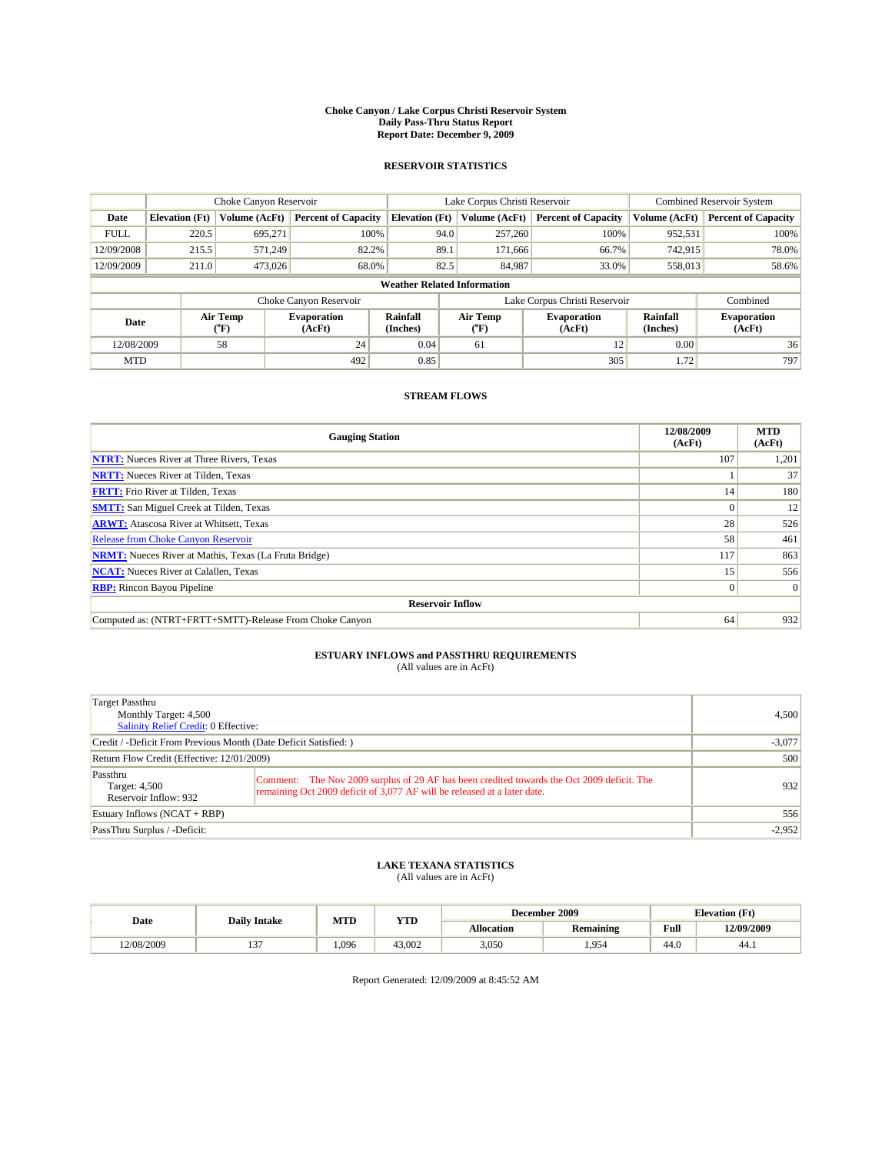#### **Choke Canyon / Lake Corpus Christi Reservoir System Daily Pass-Thru Status Report Report Date: December 9, 2009**

### **RESERVOIR STATISTICS**

|             | Choke Canyon Reservoir             |                      |                            |                       | Lake Corpus Christi Reservoir | Combined Reservoir System     |                      |                              |  |  |
|-------------|------------------------------------|----------------------|----------------------------|-----------------------|-------------------------------|-------------------------------|----------------------|------------------------------|--|--|
| Date        | <b>Elevation</b> (Ft)              | <b>Volume (AcFt)</b> | <b>Percent of Capacity</b> | <b>Elevation</b> (Ft) | Volume (AcFt)                 | <b>Percent of Capacity</b>    | Volume (AcFt)        | <b>Percent of Capacity</b>   |  |  |
| <b>FULL</b> | 220.5                              | 695,271              | 100%                       | 94.0                  | 257,260                       | 100%                          | 952,531              | 100%                         |  |  |
| 12/09/2008  | 215.5                              | 571,249              | 82.2%                      | 89.1                  | 171,666                       | 66.7%                         | 742,915              | 78.0%                        |  |  |
| 12/09/2009  | 211.0                              | 473,026              | 68.0%                      | 82.5                  | 84,987                        | 33.0%                         | 558,013              | 58.6%                        |  |  |
|             | <b>Weather Related Information</b> |                      |                            |                       |                               |                               |                      |                              |  |  |
|             |                                    |                      | Choke Canyon Reservoir     |                       |                               | Lake Corpus Christi Reservoir |                      | Combined                     |  |  |
| Date        |                                    | Air Temp<br>(°F)     | Evaporation<br>(AcFt)      | Rainfall<br>(Inches)  | Air Temp<br>("F)              | <b>Evaporation</b><br>(AcFt)  | Rainfall<br>(Inches) | <b>Evaporation</b><br>(AcFt) |  |  |
| 12/08/2009  |                                    | 58                   | 24                         | 0.04                  | 61                            | 12                            | 0.00                 | 36                           |  |  |
| <b>MTD</b>  |                                    |                      | 492                        | 0.85                  |                               | 305                           | 1.72                 | 797                          |  |  |

## **STREAM FLOWS**

| <b>Gauging Station</b>                                       | 12/08/2009<br>(AcFt) | <b>MTD</b><br>(AcFt) |
|--------------------------------------------------------------|----------------------|----------------------|
| <b>NTRT:</b> Nueces River at Three Rivers, Texas             | 107                  | 1,201                |
| <b>NRTT:</b> Nueces River at Tilden, Texas                   |                      | 37                   |
| <b>FRTT:</b> Frio River at Tilden, Texas                     | 14                   | 180                  |
| <b>SMTT:</b> San Miguel Creek at Tilden, Texas               |                      | 12                   |
| <b>ARWT:</b> Atascosa River at Whitsett, Texas               | 28                   | 526                  |
| Release from Choke Canyon Reservoir                          | 58                   | 461                  |
| <b>NRMT:</b> Nueces River at Mathis, Texas (La Fruta Bridge) | 117                  | 863                  |
| <b>NCAT:</b> Nueces River at Calallen, Texas                 | 15                   | 556                  |
| <b>RBP:</b> Rincon Bayou Pipeline                            | $\overline{0}$       | $\Omega$             |
| <b>Reservoir Inflow</b>                                      |                      |                      |
| Computed as: (NTRT+FRTT+SMTT)-Release From Choke Canyon      | 64                   | 932                  |

# **ESTUARY INFLOWS and PASSTHRU REQUIREMENTS**<br>(All values are in AcFt)

| Target Passthru<br>Monthly Target: 4,500<br>Salinity Relief Credit: 0 Effective: |                                                                                                                                                                        | 4,500    |
|----------------------------------------------------------------------------------|------------------------------------------------------------------------------------------------------------------------------------------------------------------------|----------|
| Credit / -Deficit From Previous Month (Date Deficit Satisfied: )                 |                                                                                                                                                                        | $-3,077$ |
| Return Flow Credit (Effective: 12/01/2009)                                       | 500                                                                                                                                                                    |          |
| Passthru<br>Target: 4,500<br>Reservoir Inflow: 932                               | Comment: The Nov 2009 surplus of 29 AF has been credited towards the Oct 2009 deficit. The<br>remaining Oct 2009 deficit of 3,077 AF will be released at a later date. | 932      |
| Estuary Inflows (NCAT + RBP)                                                     |                                                                                                                                                                        | 556      |
| PassThru Surplus / -Deficit:                                                     |                                                                                                                                                                        | $-2,952$ |

## **LAKE TEXANA STATISTICS** (All values are in AcFt)

|            | <b>Daily Intake</b> | MTD  | <b>YTD</b> | December 2009 |                  |      | <b>Elevation</b> (Ft) |  |
|------------|---------------------|------|------------|---------------|------------------|------|-----------------------|--|
| Date       |                     |      |            | Allocation    | <b>Remaining</b> | Full | 12/09/2009            |  |
| 12/08/2009 | . .                 | .096 | 43,002     | 3,050         | .954             | 44.0 | 44.1                  |  |

Report Generated: 12/09/2009 at 8:45:52 AM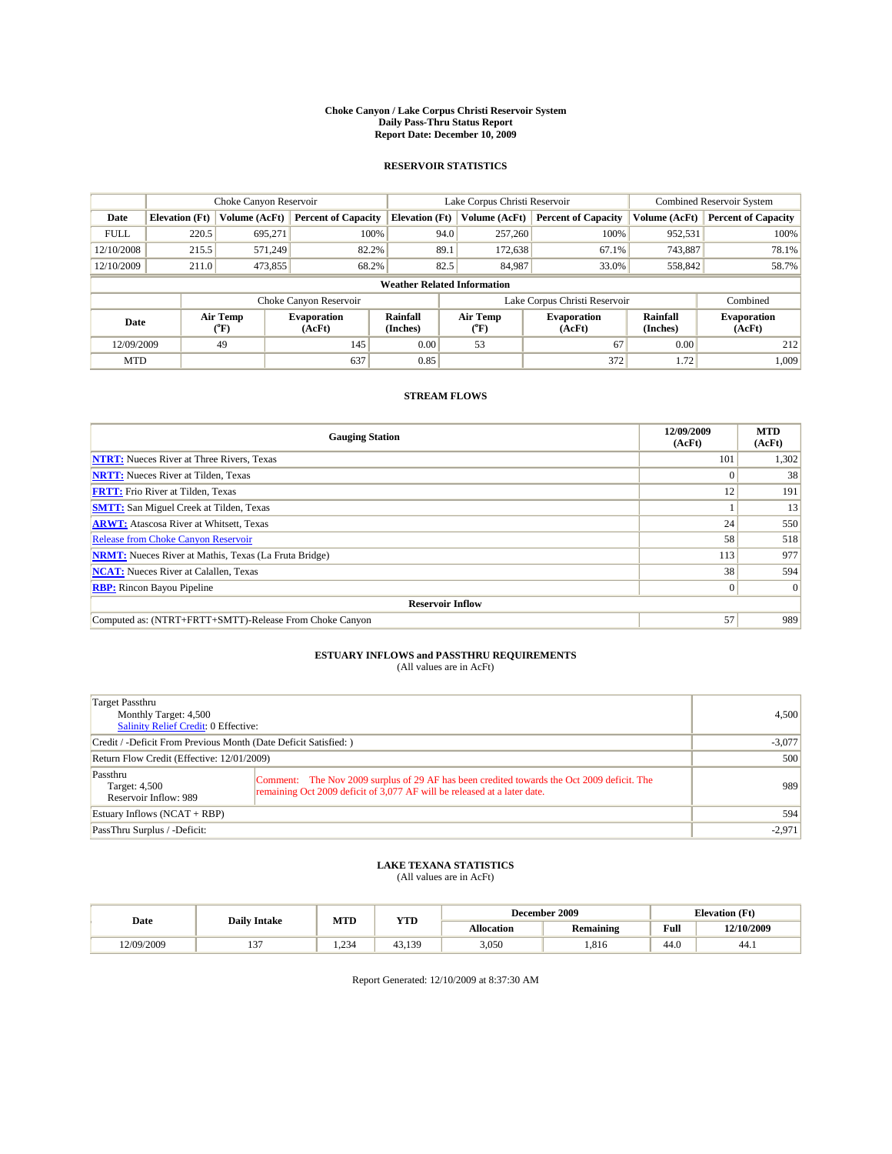#### **Choke Canyon / Lake Corpus Christi Reservoir System Daily Pass-Thru Status Report Report Date: December 10, 2009**

### **RESERVOIR STATISTICS**

|             |                       | Choke Canyon Reservoir |                              |                                                                                 | Lake Corpus Christi Reservoir | <b>Combined Reservoir System</b> |                              |                            |
|-------------|-----------------------|------------------------|------------------------------|---------------------------------------------------------------------------------|-------------------------------|----------------------------------|------------------------------|----------------------------|
| Date        | <b>Elevation</b> (Ft) | <b>Volume (AcFt)</b>   | <b>Percent of Capacity</b>   | <b>Elevation</b> (Ft)                                                           | Volume (AcFt)                 | <b>Percent of Capacity</b>       | Volume (AcFt)                | <b>Percent of Capacity</b> |
| <b>FULL</b> | 220.5                 | 695,271                | 100%                         | 94.0                                                                            | 257,260                       | 100%                             | 952,531                      | 100%                       |
| 12/10/2008  | 215.5                 | 571.249                | 82.2%                        | 89.1                                                                            | 172,638                       | 67.1%                            | 743,887                      | 78.1%                      |
| 12/10/2009  | 211.0                 | 473,855                | 68.2%                        | 82.5                                                                            | 84,987                        | 33.0%                            | 558,842                      | 58.7%                      |
|             |                       |                        |                              | <b>Weather Related Information</b>                                              |                               |                                  |                              |                            |
|             |                       |                        | Choke Canyon Reservoir       |                                                                                 |                               | Lake Corpus Christi Reservoir    |                              | Combined                   |
| Date        |                       | Air Temp<br>(°F)       | <b>Evaporation</b><br>(AcFt) | Air Temp<br><b>Rainfall</b><br><b>Evaporation</b><br>(Inches)<br>(AcFt)<br>(°F) |                               | Rainfall<br>(Inches)             | <b>Evaporation</b><br>(AcFt) |                            |
| 12/09/2009  |                       | 49                     | 145                          | 0.00                                                                            | 53                            | 67                               | 0.00                         | 212                        |
| <b>MTD</b>  |                       |                        | 637                          | 0.85                                                                            |                               | 372                              | 1.72                         | 1.009                      |

## **STREAM FLOWS**

| <b>Gauging Station</b>                                       | 12/09/2009<br>(AcFt) | <b>MTD</b><br>(AcFt) |  |  |  |  |
|--------------------------------------------------------------|----------------------|----------------------|--|--|--|--|
| <b>NTRT:</b> Nueces River at Three Rivers, Texas             | 101                  | 1,302                |  |  |  |  |
| <b>NRTT:</b> Nueces River at Tilden, Texas                   |                      | 38                   |  |  |  |  |
| <b>FRTT:</b> Frio River at Tilden, Texas                     | 12                   | 191                  |  |  |  |  |
| <b>SMTT:</b> San Miguel Creek at Tilden, Texas               |                      | 13                   |  |  |  |  |
| <b>ARWT:</b> Atascosa River at Whitsett, Texas               | 24                   | 550                  |  |  |  |  |
| Release from Choke Canyon Reservoir                          | 58                   | 518                  |  |  |  |  |
| <b>NRMT:</b> Nueces River at Mathis, Texas (La Fruta Bridge) | 113                  | 977                  |  |  |  |  |
| <b>NCAT:</b> Nueces River at Calallen, Texas                 | 38                   | 594                  |  |  |  |  |
| <b>RBP:</b> Rincon Bayou Pipeline                            | $\overline{0}$       | $\Omega$             |  |  |  |  |
| <b>Reservoir Inflow</b>                                      |                      |                      |  |  |  |  |
| Computed as: (NTRT+FRTT+SMTT)-Release From Choke Canyon      | 57                   | 989                  |  |  |  |  |

## **ESTUARY INFLOWS and PASSTHRU REQUIREMENTS**

|  | (All values are in AcFt) |
|--|--------------------------|
|--|--------------------------|

| Target Passthru<br>Monthly Target: 4,500<br>Salinity Relief Credit: 0 Effective: |                                                                                                                                                                        | 4,500    |
|----------------------------------------------------------------------------------|------------------------------------------------------------------------------------------------------------------------------------------------------------------------|----------|
| Credit / -Deficit From Previous Month (Date Deficit Satisfied: )                 |                                                                                                                                                                        | $-3,077$ |
| Return Flow Credit (Effective: 12/01/2009)                                       |                                                                                                                                                                        | 500      |
| Passthru<br>Target: 4,500<br>Reservoir Inflow: 989                               | Comment: The Nov 2009 surplus of 29 AF has been credited towards the Oct 2009 deficit. The<br>remaining Oct 2009 deficit of 3,077 AF will be released at a later date. | 989      |
| Estuary Inflows $(NCAT + RBP)$                                                   |                                                                                                                                                                        | 594      |
| PassThru Surplus / -Deficit:                                                     |                                                                                                                                                                        | $-2,971$ |

## **LAKE TEXANA STATISTICS** (All values are in AcFt)

|           | <b>Daily Intake</b> | MTD  | <b>YTD</b> | December 2009 |                  |                                             | <b>Elevation</b> (Ft) |  |
|-----------|---------------------|------|------------|---------------|------------------|---------------------------------------------|-----------------------|--|
| Date      |                     |      |            | Allocation    | <b>Remaining</b> | Full<br>the contract of the contract of the | 12/10/2009            |  |
| 2/09/2009 | $\sim$<br>. .       | .234 | 43.139     | 3,050         | .816             | 44.0                                        | 44.)                  |  |

Report Generated: 12/10/2009 at 8:37:30 AM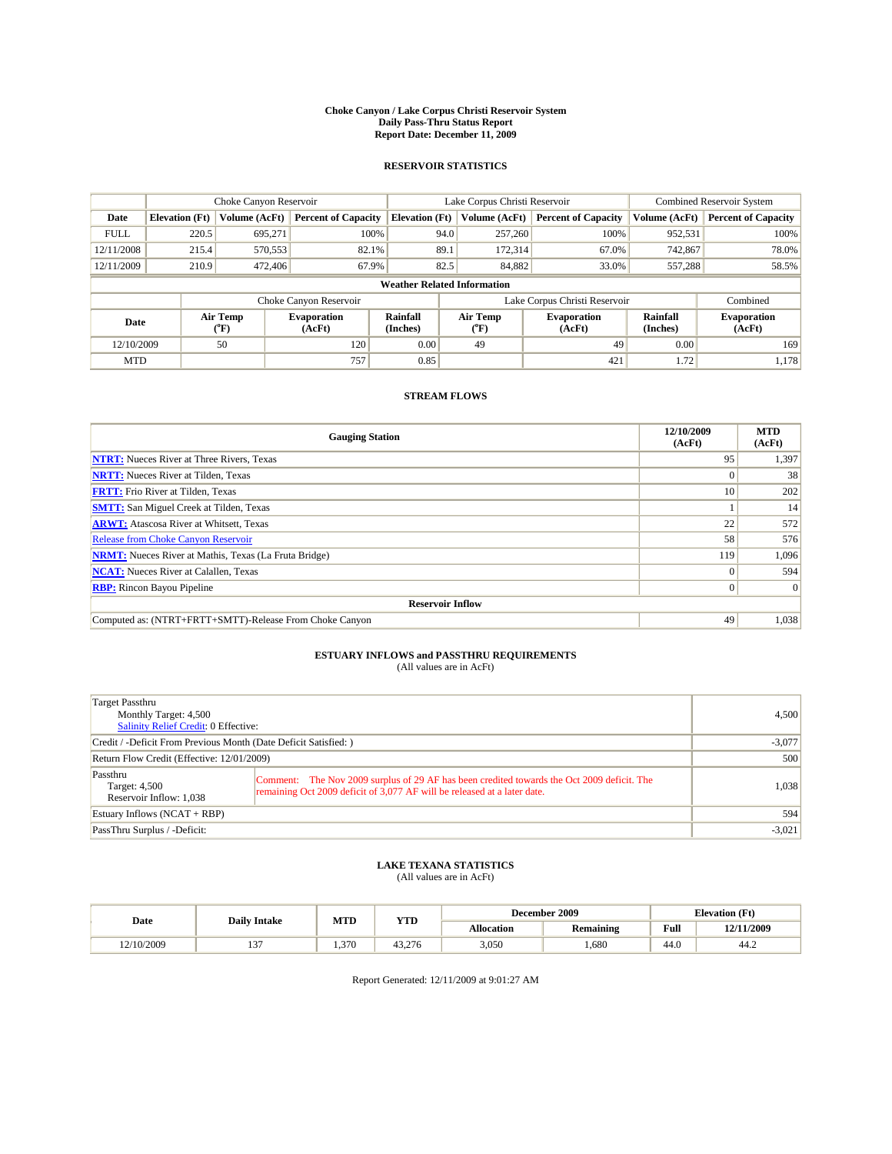#### **Choke Canyon / Lake Corpus Christi Reservoir System Daily Pass-Thru Status Report Report Date: December 11, 2009**

### **RESERVOIR STATISTICS**

|             |                       | Choke Canyon Reservoir |                              |                                    | Lake Corpus Christi Reservoir                    | <b>Combined Reservoir System</b> |                      |                              |
|-------------|-----------------------|------------------------|------------------------------|------------------------------------|--------------------------------------------------|----------------------------------|----------------------|------------------------------|
| Date        | <b>Elevation</b> (Ft) | <b>Volume (AcFt)</b>   | <b>Percent of Capacity</b>   | <b>Elevation</b> (Ft)              | Volume (AcFt)                                    | <b>Percent of Capacity</b>       | Volume (AcFt)        | <b>Percent of Capacity</b>   |
| <b>FULL</b> | 220.5                 | 695,271                | 100%                         | 94.0                               | 257,260                                          | 100%                             | 952,531              | 100%                         |
| 12/11/2008  | 215.4                 | 570,553                | 82.1%                        | 89.1                               | 172,314                                          | 67.0%                            | 742,867              | 78.0%                        |
| 12/11/2009  | 210.9                 | 472,406                | 67.9%                        | 82.5                               | 84,882                                           | 33.0%                            | 557,288              | 58.5%                        |
|             |                       |                        |                              | <b>Weather Related Information</b> |                                                  |                                  |                      |                              |
|             |                       |                        | Choke Canyon Reservoir       |                                    |                                                  | Lake Corpus Christi Reservoir    |                      | Combined                     |
| Date        |                       | Air Temp<br>(°F)       | <b>Evaporation</b><br>(AcFt) | <b>Rainfall</b><br>(Inches)        | Air Temp<br><b>Evaporation</b><br>(AcFt)<br>(°F) |                                  | Rainfall<br>(Inches) | <b>Evaporation</b><br>(AcFt) |
| 12/10/2009  |                       | 50                     | 120                          | 0.00                               | 49                                               | 49                               | 0.00                 | 169                          |
| <b>MTD</b>  |                       |                        | 757                          | 0.85                               |                                                  | 421                              | 1.72                 | 1.178                        |

## **STREAM FLOWS**

| <b>Gauging Station</b>                                       | 12/10/2009<br>(AcFt) | <b>MTD</b><br>(AcFt) |  |  |  |  |
|--------------------------------------------------------------|----------------------|----------------------|--|--|--|--|
| <b>NTRT:</b> Nueces River at Three Rivers, Texas             | 95                   | 1,397                |  |  |  |  |
| <b>NRTT:</b> Nueces River at Tilden, Texas                   | $\Omega$             | 38                   |  |  |  |  |
| <b>FRTT:</b> Frio River at Tilden, Texas                     | 10 <sup>1</sup>      | 202                  |  |  |  |  |
| <b>SMTT:</b> San Miguel Creek at Tilden, Texas               |                      | 14                   |  |  |  |  |
| <b>ARWT:</b> Atascosa River at Whitsett, Texas               | 22                   | 572                  |  |  |  |  |
| <b>Release from Choke Canyon Reservoir</b>                   | 58                   | 576                  |  |  |  |  |
| <b>NRMT:</b> Nueces River at Mathis, Texas (La Fruta Bridge) | 119                  | 1,096                |  |  |  |  |
| <b>NCAT:</b> Nueces River at Calallen, Texas                 | $\Omega$             | 594                  |  |  |  |  |
| <b>RBP:</b> Rincon Bayou Pipeline                            | $\overline{0}$       | $\Omega$             |  |  |  |  |
| <b>Reservoir Inflow</b>                                      |                      |                      |  |  |  |  |
| Computed as: (NTRT+FRTT+SMTT)-Release From Choke Canyon      | 49                   | 1,038                |  |  |  |  |

# **ESTUARY INFLOWS and PASSTHRU REQUIREMENTS**<br>(All values are in AcFt)

| Target Passthru<br>Monthly Target: 4,500<br>Salinity Relief Credit: 0 Effective: |                                                                                                                                                                        | 4,500    |
|----------------------------------------------------------------------------------|------------------------------------------------------------------------------------------------------------------------------------------------------------------------|----------|
| Credit / -Deficit From Previous Month (Date Deficit Satisfied: )                 |                                                                                                                                                                        | $-3,077$ |
| Return Flow Credit (Effective: 12/01/2009)                                       |                                                                                                                                                                        | 500      |
| Passthru<br>Target: 4,500<br>Reservoir Inflow: 1,038                             | Comment: The Nov 2009 surplus of 29 AF has been credited towards the Oct 2009 deficit. The<br>remaining Oct 2009 deficit of 3,077 AF will be released at a later date. | 1,038    |
| Estuary Inflows (NCAT + RBP)                                                     |                                                                                                                                                                        | 594      |
| PassThru Surplus / -Deficit:                                                     |                                                                                                                                                                        | $-3,021$ |

## **LAKE TEXANA STATISTICS** (All values are in AcFt)

|           | <b>Daily Intake</b> | MTD   | <b>YTD</b> | December 2009 |                  |                    | <b>Elevation</b> (Ft) |
|-----------|---------------------|-------|------------|---------------|------------------|--------------------|-----------------------|
| Date      |                     |       |            | Allocation    | <b>Remaining</b> | Full               | 12/11/2009            |
| 2/10/2009 | $\sim$<br>          | 1.370 | 43.276     | 3,050         | .680             | $\sqrt{ }$<br>44.0 | 44.2                  |

Report Generated: 12/11/2009 at 9:01:27 AM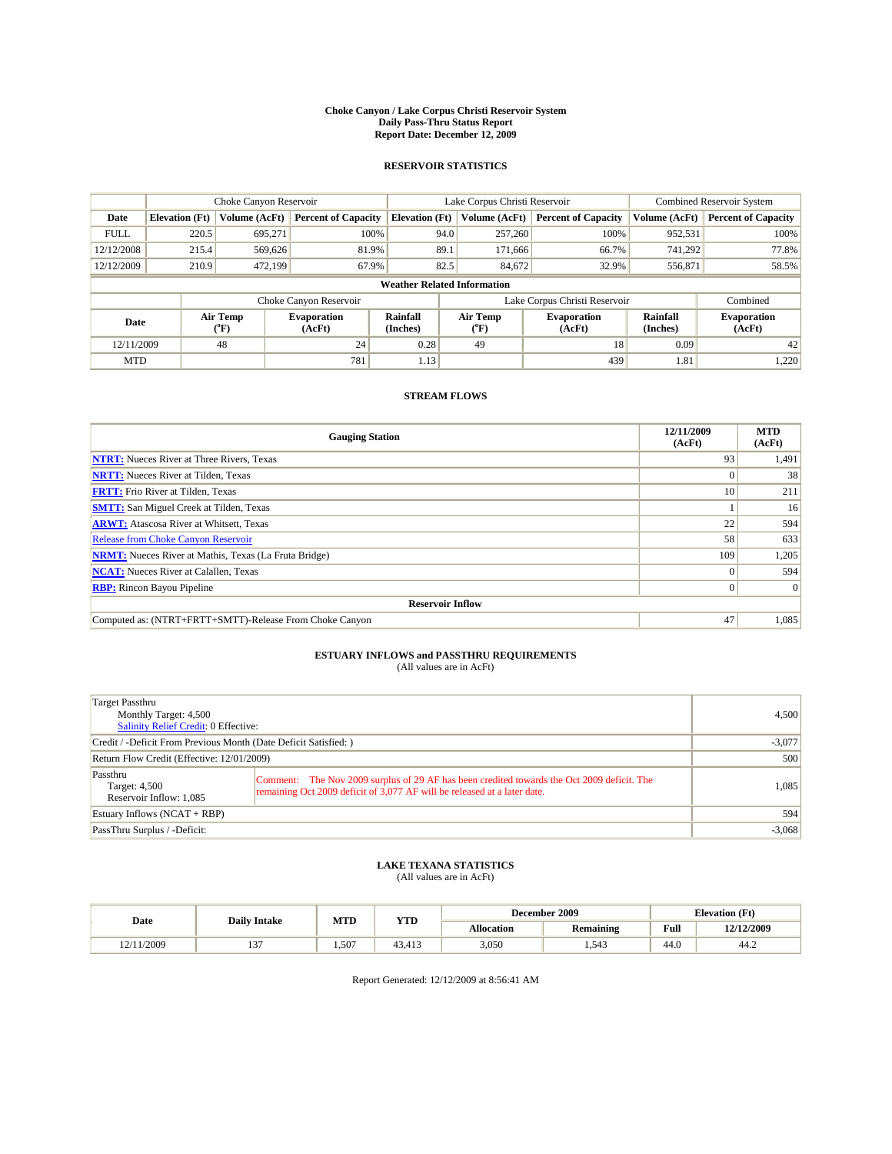#### **Choke Canyon / Lake Corpus Christi Reservoir System Daily Pass-Thru Status Report Report Date: December 12, 2009**

### **RESERVOIR STATISTICS**

|             |                                                                                                                                                | Choke Canyon Reservoir |                            |                                    | Lake Corpus Christi Reservoir | Combined Reservoir System     |               |                            |
|-------------|------------------------------------------------------------------------------------------------------------------------------------------------|------------------------|----------------------------|------------------------------------|-------------------------------|-------------------------------|---------------|----------------------------|
| Date        | <b>Elevation</b> (Ft)                                                                                                                          | Volume (AcFt)          | <b>Percent of Capacity</b> | <b>Elevation</b> (Ft)              | Volume (AcFt)                 | <b>Percent of Capacity</b>    | Volume (AcFt) | <b>Percent of Capacity</b> |
| <b>FULL</b> | 220.5                                                                                                                                          | 695,271                | 100%                       | 94.0                               | 257,260                       | 100%                          | 952,531       | 100%                       |
| 12/12/2008  | 215.4                                                                                                                                          | 569,626                | 81.9%                      | 89.1                               | 171,666                       | 66.7%                         | 741.292       | 77.8%                      |
| 12/12/2009  | 210.9                                                                                                                                          | 472.199                | 67.9%                      | 82.5                               | 84,672                        | 32.9%                         | 556,871       | 58.5%                      |
|             |                                                                                                                                                |                        |                            | <b>Weather Related Information</b> |                               |                               |               |                            |
|             |                                                                                                                                                |                        | Choke Canyon Reservoir     |                                    |                               | Lake Corpus Christi Reservoir |               | Combined                   |
|             | Air Temp<br><b>Rainfall</b><br>Air Temp<br><b>Evaporation</b><br><b>Evaporation</b><br>Date<br>(AcFt)<br>(Inches)<br>(°F)<br>$(^oF)$<br>(AcFt) |                        | Rainfall<br>(Inches)       | <b>Evaporation</b><br>(AcFt)       |                               |                               |               |                            |
| 12/11/2009  |                                                                                                                                                | 48                     | 24                         | 0.28                               | 49                            | 18                            | 0.09          | 42                         |
| <b>MTD</b>  |                                                                                                                                                |                        | 781                        | 1.13                               |                               | 439                           | 1.81          | 1,220                      |

## **STREAM FLOWS**

| <b>Gauging Station</b>                                       | 12/11/2009<br>(AcFt) | <b>MTD</b><br>(AcFt) |  |  |  |  |
|--------------------------------------------------------------|----------------------|----------------------|--|--|--|--|
| <b>NTRT:</b> Nueces River at Three Rivers, Texas             | 93                   | 1,491                |  |  |  |  |
| <b>NRTT:</b> Nueces River at Tilden, Texas                   | $\Omega$             | 38                   |  |  |  |  |
| <b>FRTT:</b> Frio River at Tilden, Texas                     | 10 <sup>1</sup>      | 211                  |  |  |  |  |
| <b>SMTT:</b> San Miguel Creek at Tilden, Texas               |                      | 16                   |  |  |  |  |
| <b>ARWT:</b> Atascosa River at Whitsett, Texas               | 22                   | 594                  |  |  |  |  |
| Release from Choke Canyon Reservoir                          | 58                   | 633                  |  |  |  |  |
| <b>NRMT:</b> Nueces River at Mathis, Texas (La Fruta Bridge) | 109                  | 1,205                |  |  |  |  |
| <b>NCAT:</b> Nueces River at Calallen, Texas                 | $\Omega$             | 594                  |  |  |  |  |
| <b>RBP:</b> Rincon Bayou Pipeline                            | $\overline{0}$       | $\Omega$             |  |  |  |  |
| <b>Reservoir Inflow</b>                                      |                      |                      |  |  |  |  |
| Computed as: (NTRT+FRTT+SMTT)-Release From Choke Canyon      | 47                   | 1,085                |  |  |  |  |

# **ESTUARY INFLOWS and PASSTHRU REQUIREMENTS**<br>(All values are in AcFt)

| Target Passthru<br>Monthly Target: 4,500<br><b>Salinity Relief Credit: 0 Effective:</b> |                                                                                                                                                                        | 4,500    |
|-----------------------------------------------------------------------------------------|------------------------------------------------------------------------------------------------------------------------------------------------------------------------|----------|
| Credit / -Deficit From Previous Month (Date Deficit Satisfied: )                        | $-3,077$                                                                                                                                                               |          |
| Return Flow Credit (Effective: 12/01/2009)                                              | 500                                                                                                                                                                    |          |
| Passthru<br>Target: 4,500<br>Reservoir Inflow: 1,085                                    | Comment: The Nov 2009 surplus of 29 AF has been credited towards the Oct 2009 deficit. The<br>remaining Oct 2009 deficit of 3,077 AF will be released at a later date. | 1.085    |
| Estuary Inflows (NCAT + RBP)                                                            |                                                                                                                                                                        | 594      |
| PassThru Surplus / -Deficit:                                                            |                                                                                                                                                                        | $-3,068$ |

## **LAKE TEXANA STATISTICS** (All values are in AcFt)

|            |                     | MTD<br><b>YTD</b> |        |            | December 2009    |      | <b>Elevation</b> (Ft) |
|------------|---------------------|-------------------|--------|------------|------------------|------|-----------------------|
| Date       | <b>Daily Intake</b> |                   |        | Allocation | <b>Remaining</b> | Full | 12/12/2009            |
| 12/11/2009 | $\sim$<br>…         | 1.507             | 43,41. | 3,050      | .543             | 44.0 | 44.2                  |

Report Generated: 12/12/2009 at 8:56:41 AM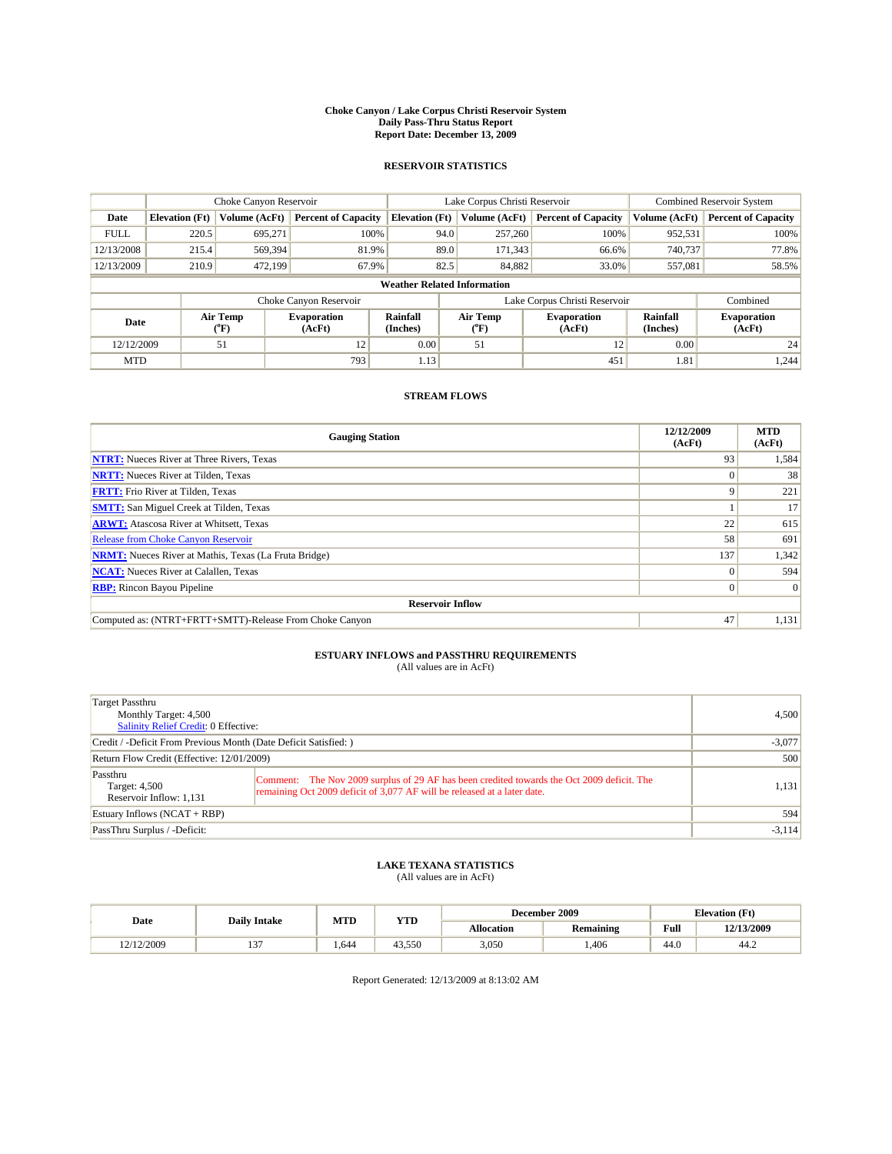#### **Choke Canyon / Lake Corpus Christi Reservoir System Daily Pass-Thru Status Report Report Date: December 13, 2009**

### **RESERVOIR STATISTICS**

|             | Choke Canyon Reservoir                                   |               |                            |                                    | Lake Corpus Christi Reservoir | <b>Combined Reservoir System</b> |                              |                            |
|-------------|----------------------------------------------------------|---------------|----------------------------|------------------------------------|-------------------------------|----------------------------------|------------------------------|----------------------------|
| Date        | <b>Elevation</b> (Ft)                                    | Volume (AcFt) | <b>Percent of Capacity</b> | <b>Elevation</b> (Ft)              | Volume (AcFt)                 | <b>Percent of Capacity</b>       | Volume (AcFt)                | <b>Percent of Capacity</b> |
| <b>FULL</b> | 220.5                                                    | 695,271       | 100%                       | 94.0                               | 257,260                       | 100%                             | 952,531                      | 100%                       |
| 12/13/2008  | 215.4                                                    | 569,394       | 81.9%                      | 89.0                               | 171,343                       | 66.6%                            | 740,737                      | 77.8%                      |
| 12/13/2009  | 210.9                                                    | 472.199       | 67.9%                      | 82.5                               | 84,882                        | 33.0%                            | 557,081                      | 58.5%                      |
|             |                                                          |               |                            | <b>Weather Related Information</b> |                               |                                  |                              |                            |
|             |                                                          |               | Choke Canyon Reservoir     |                                    |                               | Lake Corpus Christi Reservoir    |                              | Combined                   |
|             | Air Temp<br><b>Evaporation</b><br>Date<br>(AcFt)<br>(°F) |               | Rainfall<br>(Inches)       | Air Temp<br>("F)                   | <b>Evaporation</b><br>(AcFt)  | Rainfall<br>(Inches)             | <b>Evaporation</b><br>(AcFt) |                            |
| 12/12/2009  |                                                          | 51            | 12                         | 0.00                               | 51                            | 12                               | 0.00                         | 24                         |
| <b>MTD</b>  |                                                          |               | 793                        | 1.13                               |                               | 451                              | 1.81                         | 1,244                      |

## **STREAM FLOWS**

| <b>Gauging Station</b>                                       | 12/12/2009<br>(AcFt) | <b>MTD</b><br>(AcFt) |
|--------------------------------------------------------------|----------------------|----------------------|
| <b>NTRT:</b> Nueces River at Three Rivers, Texas             | 93                   | 1,584                |
| <b>NRTT:</b> Nueces River at Tilden, Texas                   | $\Omega$             | 38                   |
| <b>FRTT:</b> Frio River at Tilden, Texas                     | 9                    | 221                  |
| <b>SMTT:</b> San Miguel Creek at Tilden, Texas               |                      | 17                   |
| <b>ARWT:</b> Atascosa River at Whitsett, Texas               | 22                   | 615                  |
| <b>Release from Choke Canyon Reservoir</b>                   | 58                   | 691                  |
| <b>NRMT:</b> Nueces River at Mathis, Texas (La Fruta Bridge) | 137                  | 1,342                |
| <b>NCAT:</b> Nueces River at Calallen, Texas                 | $\Omega$             | 594                  |
| <b>RBP:</b> Rincon Bayou Pipeline                            | $\overline{0}$       | $\Omega$             |
| <b>Reservoir Inflow</b>                                      |                      |                      |
| Computed as: (NTRT+FRTT+SMTT)-Release From Choke Canyon      | 47                   | 1,131                |

# **ESTUARY INFLOWS and PASSTHRU REQUIREMENTS**<br>(All values are in AcFt)

| Target Passthru<br>Monthly Target: 4,500<br><b>Salinity Relief Credit: 0 Effective:</b> | 4,500                                                                                                                                                                  |          |
|-----------------------------------------------------------------------------------------|------------------------------------------------------------------------------------------------------------------------------------------------------------------------|----------|
| Credit / -Deficit From Previous Month (Date Deficit Satisfied: )                        | $-3,077$                                                                                                                                                               |          |
| Return Flow Credit (Effective: 12/01/2009)                                              |                                                                                                                                                                        | 500      |
| Passthru<br>Target: 4,500<br>Reservoir Inflow: 1,131                                    | Comment: The Nov 2009 surplus of 29 AF has been credited towards the Oct 2009 deficit. The<br>remaining Oct 2009 deficit of 3,077 AF will be released at a later date. | 1,131    |
| Estuary Inflows (NCAT + RBP)                                                            |                                                                                                                                                                        | 594      |
| PassThru Surplus / -Deficit:                                                            |                                                                                                                                                                        | $-3,114$ |

## **LAKE TEXANA STATISTICS** (All values are in AcFt)

|            | <b>Daily Intake</b> | MTD  | <b>YTD</b> |                   | December 2009    |                                             | <b>Elevation</b> (Ft) |
|------------|---------------------|------|------------|-------------------|------------------|---------------------------------------------|-----------------------|
| Date       |                     |      |            | <b>Allocation</b> | <b>Remaining</b> | Full<br>the contract of the contract of the | 12/13/2009            |
| 12/12/2009 | $\sim$<br>. .       | .644 | 43,550     | 3,050             | .406             | 44.0                                        | 44.2                  |

Report Generated: 12/13/2009 at 8:13:02 AM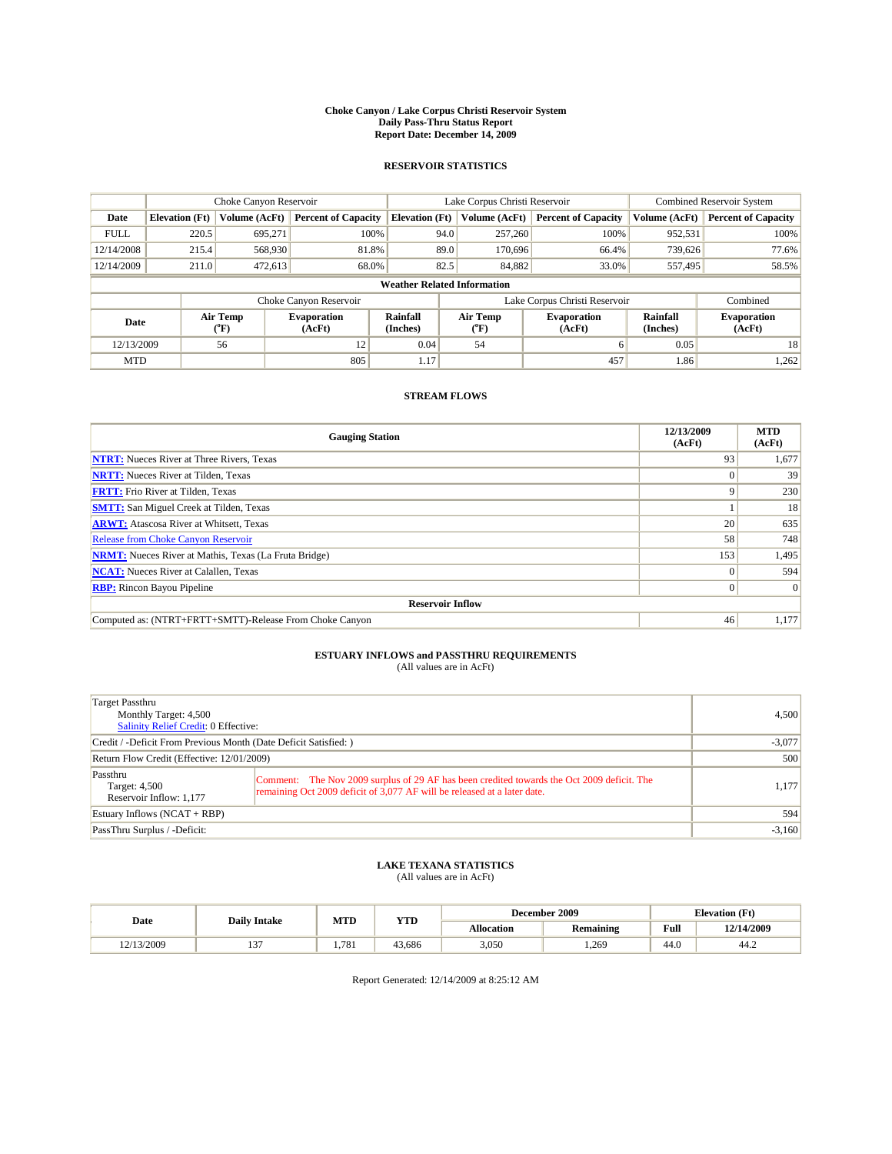#### **Choke Canyon / Lake Corpus Christi Reservoir System Daily Pass-Thru Status Report Report Date: December 14, 2009**

### **RESERVOIR STATISTICS**

|             | Choke Canyon Reservoir |                  |                              |                                    | Lake Corpus Christi Reservoir |                               |                      | <b>Combined Reservoir System</b> |  |
|-------------|------------------------|------------------|------------------------------|------------------------------------|-------------------------------|-------------------------------|----------------------|----------------------------------|--|
| Date        | <b>Elevation</b> (Ft)  | Volume (AcFt)    | <b>Percent of Capacity</b>   | <b>Elevation</b> (Ft)              | Volume (AcFt)                 | <b>Percent of Capacity</b>    | Volume (AcFt)        | <b>Percent of Capacity</b>       |  |
| <b>FULL</b> | 220.5                  | 695,271          | 100%                         | 94.0                               | 257,260                       | 100%                          | 952,531              | 100%                             |  |
| 12/14/2008  | 215.4                  | 568,930          | 81.8%                        | 89.0                               | 170,696                       | 66.4%                         | 739,626              | 77.6%                            |  |
| 12/14/2009  | 211.0                  | 472,613          | 68.0%                        | 82.5                               | 84,882                        | 33.0%                         | 557,495              | 58.5%                            |  |
|             |                        |                  |                              | <b>Weather Related Information</b> |                               |                               |                      |                                  |  |
|             |                        |                  | Choke Canyon Reservoir       |                                    |                               | Lake Corpus Christi Reservoir |                      | Combined                         |  |
| Date        |                        | Air Temp<br>(°F) | <b>Evaporation</b><br>(AcFt) | <b>Rainfall</b><br>(Inches)        | Air Temp<br>(°F)              | <b>Evaporation</b><br>(AcFt)  | Rainfall<br>(Inches) | <b>Evaporation</b><br>(AcFt)     |  |
| 12/13/2009  |                        | 56               | 12                           | 0.04                               | 54                            | 6                             | 0.05                 | 18                               |  |
| <b>MTD</b>  |                        |                  | 805                          | 1.17                               |                               | 457                           | 1.86                 | 1,262                            |  |

## **STREAM FLOWS**

| <b>Gauging Station</b>                                       | 12/13/2009<br>(AcFt) | <b>MTD</b><br>(AcFt) |
|--------------------------------------------------------------|----------------------|----------------------|
| <b>NTRT:</b> Nueces River at Three Rivers, Texas             | 93                   | 1,677                |
| <b>NRTT:</b> Nueces River at Tilden, Texas                   |                      | 39                   |
| <b>FRTT:</b> Frio River at Tilden, Texas                     | Q                    | 230                  |
| <b>SMTT:</b> San Miguel Creek at Tilden, Texas               |                      | 18                   |
| <b>ARWT:</b> Atascosa River at Whitsett, Texas               | 20                   | 635                  |
| <b>Release from Choke Canyon Reservoir</b>                   | 58                   | 748                  |
| <b>NRMT:</b> Nueces River at Mathis, Texas (La Fruta Bridge) | 153                  | 1,495                |
| <b>NCAT:</b> Nueces River at Calallen, Texas                 | $\theta$             | 594                  |
| <b>RBP:</b> Rincon Bayou Pipeline                            | $\overline{0}$       | $\Omega$             |
| <b>Reservoir Inflow</b>                                      |                      |                      |
| Computed as: (NTRT+FRTT+SMTT)-Release From Choke Canyon      | 46                   | 1,177                |

# **ESTUARY INFLOWS and PASSTHRU REQUIREMENTS**<br>(All values are in AcFt)

| Target Passthru<br>Monthly Target: 4,500<br><b>Salinity Relief Credit: 0 Effective:</b> | 4,500                                                                                                                                                                  |       |
|-----------------------------------------------------------------------------------------|------------------------------------------------------------------------------------------------------------------------------------------------------------------------|-------|
| Credit / -Deficit From Previous Month (Date Deficit Satisfied: )                        | $-3,077$                                                                                                                                                               |       |
| Return Flow Credit (Effective: 12/01/2009)                                              | 500                                                                                                                                                                    |       |
| Passthru<br>Target: 4,500<br>Reservoir Inflow: 1,177                                    | Comment: The Nov 2009 surplus of 29 AF has been credited towards the Oct 2009 deficit. The<br>remaining Oct 2009 deficit of 3,077 AF will be released at a later date. | 1,177 |
| Estuary Inflows (NCAT + RBP)                                                            | 594                                                                                                                                                                    |       |
| PassThru Surplus / -Deficit:                                                            | $-3,160$                                                                                                                                                               |       |

## **LAKE TEXANA STATISTICS** (All values are in AcFt)

|            | <b>Daily Intake</b> | MTD<br><b>YTD</b> |        |                   | December 2009    |                                             | <b>Elevation</b> (Ft) |
|------------|---------------------|-------------------|--------|-------------------|------------------|---------------------------------------------|-----------------------|
| Date       |                     |                   |        | <b>Allocation</b> | <b>Remaining</b> | Full<br>the contract of the contract of the | 12/14/2009            |
| 12/13/2009 | $\sim$<br>. .       | .781              | 43.686 | 3,050             | .269             | 44.0                                        | 44.2                  |

Report Generated: 12/14/2009 at 8:25:12 AM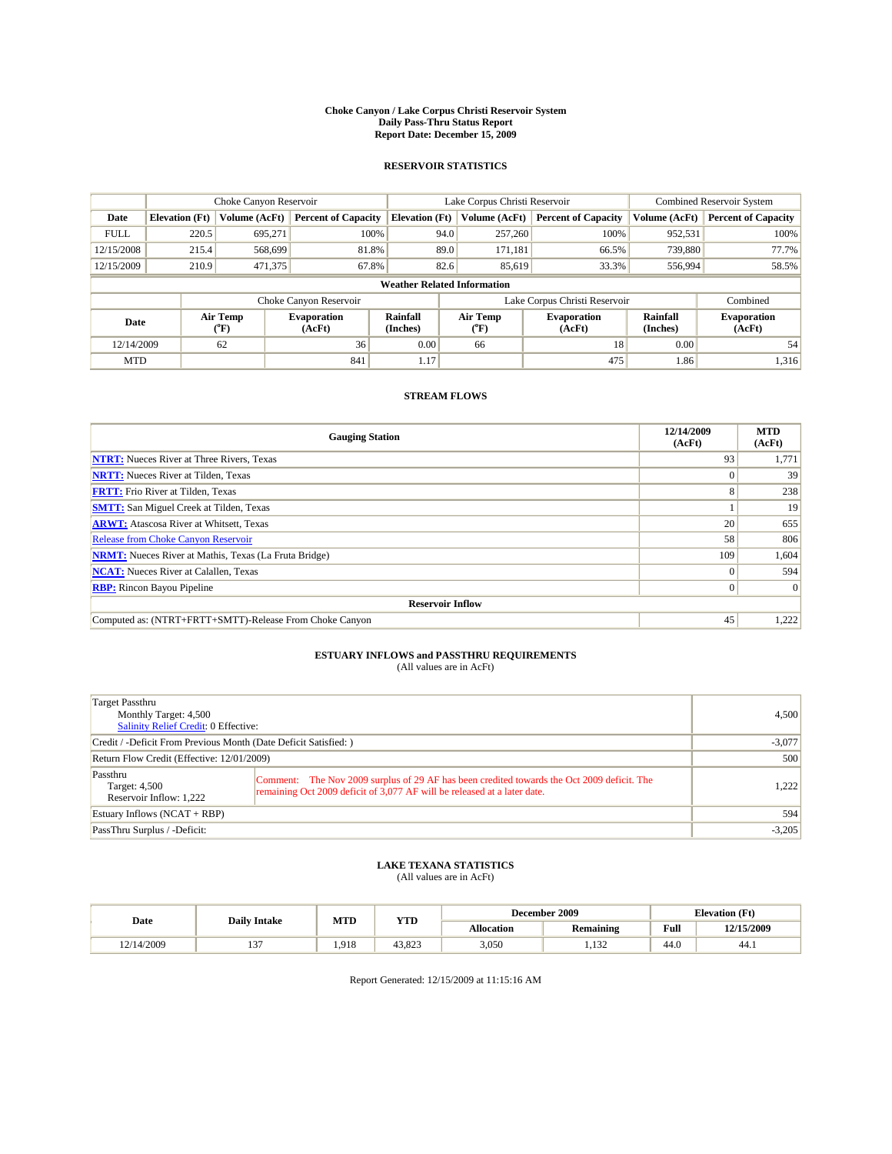#### **Choke Canyon / Lake Corpus Christi Reservoir System Daily Pass-Thru Status Report Report Date: December 15, 2009**

### **RESERVOIR STATISTICS**

|             | Choke Canyon Reservoir |                  |                              |                                    | Lake Corpus Christi Reservoir |                               |                      | <b>Combined Reservoir System</b> |  |
|-------------|------------------------|------------------|------------------------------|------------------------------------|-------------------------------|-------------------------------|----------------------|----------------------------------|--|
| Date        | <b>Elevation</b> (Ft)  | Volume (AcFt)    | <b>Percent of Capacity</b>   | <b>Elevation</b> (Ft)              | Volume (AcFt)                 | <b>Percent of Capacity</b>    | Volume (AcFt)        | <b>Percent of Capacity</b>       |  |
| <b>FULL</b> | 220.5                  | 695,271          | 100%                         | 94.0                               | 257,260                       | 100%                          | 952,531              | 100%                             |  |
| 12/15/2008  | 215.4                  | 568,699          | 81.8%                        | 89.0                               | 171,181                       | 66.5%                         | 739,880              | 77.7%                            |  |
| 12/15/2009  | 210.9                  | 471,375          | 67.8%                        | 82.6                               | 85,619                        | 33.3%                         | 556,994              | 58.5%                            |  |
|             |                        |                  |                              | <b>Weather Related Information</b> |                               |                               |                      |                                  |  |
|             |                        |                  | Choke Canyon Reservoir       |                                    |                               | Lake Corpus Christi Reservoir |                      | Combined                         |  |
| Date        |                        | Air Temp<br>(°F) | <b>Evaporation</b><br>(AcFt) | <b>Rainfall</b><br>(Inches)        | Air Temp<br>(°F)              | <b>Evaporation</b><br>(AcFt)  | Rainfall<br>(Inches) | <b>Evaporation</b><br>(AcFt)     |  |
| 12/14/2009  |                        | 62               | 36                           | 0.00                               | 66                            | 18                            | 0.00                 | 54                               |  |
| <b>MTD</b>  |                        |                  | 841                          | 1.17                               |                               | 475                           | 1.86                 | 1,316                            |  |

## **STREAM FLOWS**

| <b>Gauging Station</b>                                       | 12/14/2009<br>(AcFt) | <b>MTD</b><br>(AcFt) |
|--------------------------------------------------------------|----------------------|----------------------|
| <b>NTRT:</b> Nueces River at Three Rivers, Texas             | 93                   | 1,771                |
| <b>NRTT:</b> Nueces River at Tilden, Texas                   | $\Omega$             | 39                   |
| <b>FRTT:</b> Frio River at Tilden, Texas                     | 8                    | 238                  |
| <b>SMTT:</b> San Miguel Creek at Tilden, Texas               |                      | 19                   |
| <b>ARWT:</b> Atascosa River at Whitsett, Texas               | 20                   | 655                  |
| <b>Release from Choke Canyon Reservoir</b>                   | 58                   | 806                  |
| <b>NRMT:</b> Nueces River at Mathis, Texas (La Fruta Bridge) | 109                  | 1,604                |
| <b>NCAT:</b> Nueces River at Calallen, Texas                 | $\Omega$             | 594                  |
| <b>RBP:</b> Rincon Bayou Pipeline                            | $\overline{0}$       | $\Omega$             |
| <b>Reservoir Inflow</b>                                      |                      |                      |
| Computed as: (NTRT+FRTT+SMTT)-Release From Choke Canyon      | 45                   | 1,222                |

# **ESTUARY INFLOWS and PASSTHRU REQUIREMENTS**<br>(All values are in AcFt)

| Target Passthru<br>Monthly Target: 4,500<br>Salinity Relief Credit: 0 Effective: |                                                                                                                                                                        | 4.500    |
|----------------------------------------------------------------------------------|------------------------------------------------------------------------------------------------------------------------------------------------------------------------|----------|
| Credit / -Deficit From Previous Month (Date Deficit Satisfied: )                 | $-3,077$                                                                                                                                                               |          |
| Return Flow Credit (Effective: 12/01/2009)                                       | 500                                                                                                                                                                    |          |
| Passthru<br>Target: 4,500<br>Reservoir Inflow: 1,222                             | Comment: The Nov 2009 surplus of 29 AF has been credited towards the Oct 2009 deficit. The<br>remaining Oct 2009 deficit of 3,077 AF will be released at a later date. | 1.222    |
| Estuary Inflows (NCAT + RBP)                                                     | 594                                                                                                                                                                    |          |
| PassThru Surplus / -Deficit:                                                     |                                                                                                                                                                        | $-3,205$ |

## **LAKE TEXANA STATISTICS** (All values are in AcFt)

|            |                     | MTD   | <b>YTD</b> |            | December 2009      |      | <b>Elevation</b> (Ft) |  |
|------------|---------------------|-------|------------|------------|--------------------|------|-----------------------|--|
| Date       | <b>Daily Intake</b> |       |            | Allocation | Remaining          | Full | 12/15/2009            |  |
| 12/14/2009 | $\sim$<br>…         | 1.918 | 43.823     | 3,050      | $\lambda$<br>1,194 | 44.0 | 44.1                  |  |

Report Generated: 12/15/2009 at 11:15:16 AM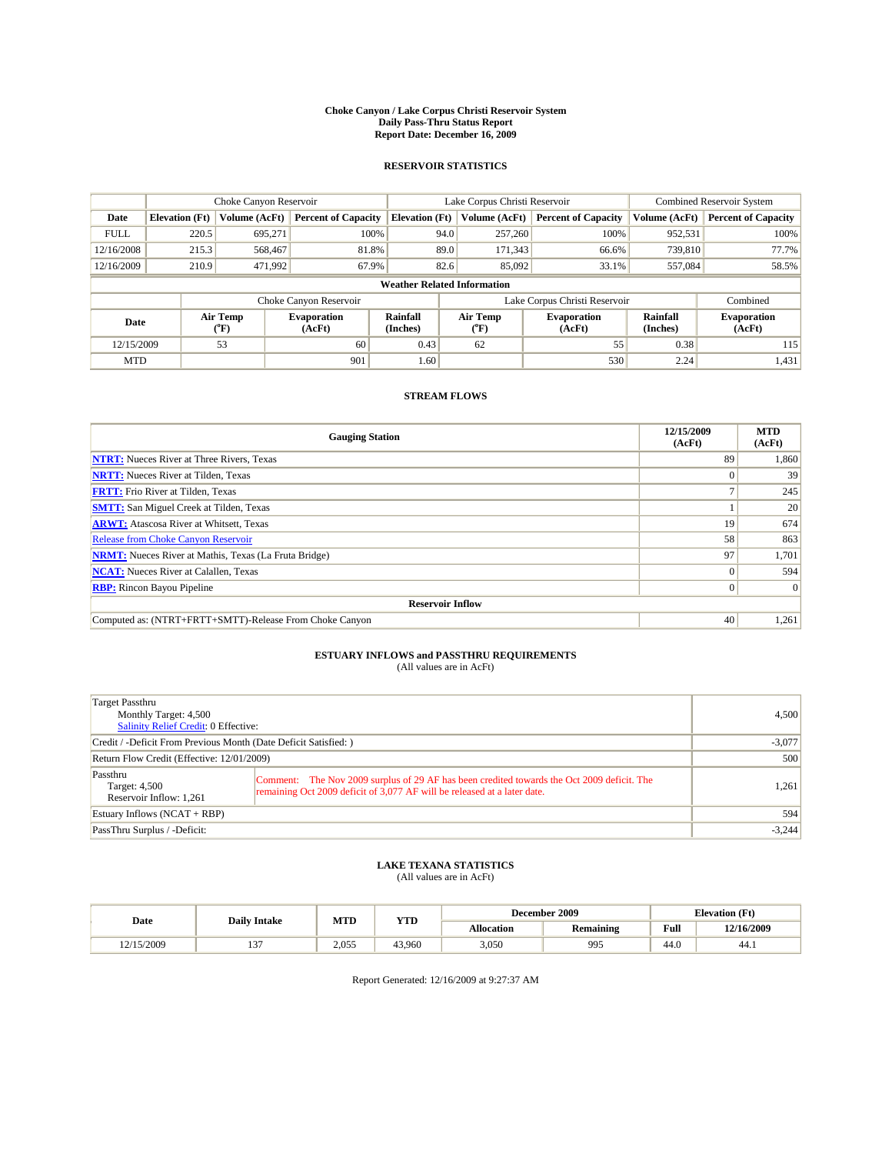#### **Choke Canyon / Lake Corpus Christi Reservoir System Daily Pass-Thru Status Report Report Date: December 16, 2009**

### **RESERVOIR STATISTICS**

|             | Choke Canyon Reservoir             |                            |                              |                                                                                                 | Lake Corpus Christi Reservoir |                            |                              | Combined Reservoir System  |  |
|-------------|------------------------------------|----------------------------|------------------------------|-------------------------------------------------------------------------------------------------|-------------------------------|----------------------------|------------------------------|----------------------------|--|
| Date        | <b>Elevation</b> (Ft)              | Volume (AcFt)              | <b>Percent of Capacity</b>   | <b>Elevation (Ft)</b>                                                                           | Volume (AcFt)                 | <b>Percent of Capacity</b> | Volume (AcFt)                | <b>Percent of Capacity</b> |  |
| <b>FULL</b> | 220.5                              | 695,271                    | 100%                         |                                                                                                 | 257,260<br>94.0               | 100%                       | 952,531                      | 100%                       |  |
| 12/16/2008  | 215.3                              | 568,467                    | 81.8%                        |                                                                                                 | 89.0<br>171,343               | 66.6%                      | 739,810                      | 77.7%                      |  |
| 12/16/2009  | 210.9                              | 471,992                    | 67.9%                        |                                                                                                 | 82.6<br>85,092                | 33.1%                      | 557,084                      | 58.5%                      |  |
|             | <b>Weather Related Information</b> |                            |                              |                                                                                                 |                               |                            |                              |                            |  |
|             |                                    |                            | Choke Canyon Reservoir       |                                                                                                 | Lake Corpus Christi Reservoir |                            |                              | Combined                   |  |
| Date        |                                    | Air Temp<br>${}^{\circ}F)$ | <b>Evaporation</b><br>(AcFt) | Rainfall<br>Air Temp<br><b>Evaporation</b><br>(Inches)<br>$(^{\mathrm{o}}\mathrm{F})$<br>(AcFt) |                               | Rainfall<br>(Inches)       | <b>Evaporation</b><br>(AcFt) |                            |  |
| 12/15/2009  |                                    | 53                         | 60                           | 0.43                                                                                            | 62                            | 55                         | 0.38                         | 115                        |  |
| <b>MTD</b>  |                                    |                            | 901                          | 1.60                                                                                            |                               | 530                        | 2.24                         | 1,431                      |  |

## **STREAM FLOWS**

| <b>Gauging Station</b>                                       | 12/15/2009<br>(AcFt) | <b>MTD</b><br>(AcFt) |
|--------------------------------------------------------------|----------------------|----------------------|
| <b>NTRT:</b> Nueces River at Three Rivers, Texas             | 89                   | 1,860                |
| <b>NRTT:</b> Nueces River at Tilden, Texas                   |                      | 39                   |
| <b>FRTT:</b> Frio River at Tilden, Texas                     |                      | 245                  |
| <b>SMTT:</b> San Miguel Creek at Tilden, Texas               |                      | 20                   |
| <b>ARWT:</b> Atascosa River at Whitsett, Texas               | 19                   | 674                  |
| <b>Release from Choke Canyon Reservoir</b>                   | 58                   | 863                  |
| <b>NRMT:</b> Nueces River at Mathis, Texas (La Fruta Bridge) | 97                   | 1,701                |
| <b>NCAT:</b> Nueces River at Calallen, Texas                 | $\Omega$             | 594                  |
| <b>RBP:</b> Rincon Bayou Pipeline                            | $\overline{0}$       | $\Omega$             |
| <b>Reservoir Inflow</b>                                      |                      |                      |
| Computed as: (NTRT+FRTT+SMTT)-Release From Choke Canyon      | 40                   | 1,261                |

# **ESTUARY INFLOWS and PASSTHRU REQUIREMENTS**<br>(All values are in AcFt)

| Target Passthru<br>Monthly Target: 4,500<br>Salinity Relief Credit: 0 Effective: |                                                                                                                                                                        | 4.500 |
|----------------------------------------------------------------------------------|------------------------------------------------------------------------------------------------------------------------------------------------------------------------|-------|
| Credit / -Deficit From Previous Month (Date Deficit Satisfied: )                 | $-3,077$                                                                                                                                                               |       |
| Return Flow Credit (Effective: 12/01/2009)                                       | 500                                                                                                                                                                    |       |
| Passthru<br>Target: 4,500<br>Reservoir Inflow: 1,261                             | Comment: The Nov 2009 surplus of 29 AF has been credited towards the Oct 2009 deficit. The<br>remaining Oct 2009 deficit of 3,077 AF will be released at a later date. | 1,261 |
| Estuary Inflows (NCAT + RBP)                                                     | 594                                                                                                                                                                    |       |
| PassThru Surplus / -Deficit:                                                     | $-3,244$                                                                                                                                                               |       |

## **LAKE TEXANA STATISTICS** (All values are in AcFt)

|            | <b>Daily Intake</b> | MTD<br><b>YTD</b> |        |                   | December 2009    |                                             | <b>Elevation</b> (Ft) |
|------------|---------------------|-------------------|--------|-------------------|------------------|---------------------------------------------|-----------------------|
| Date       |                     |                   |        | <b>Allocation</b> | <b>Remaining</b> | Full<br>the contract of the contract of the | 12/16/2009            |
| 12/15/2009 | $\sim$<br>. .       | 2.055             | 43.960 | 3,050             | 995              | 44.0                                        | 44.)                  |

Report Generated: 12/16/2009 at 9:27:37 AM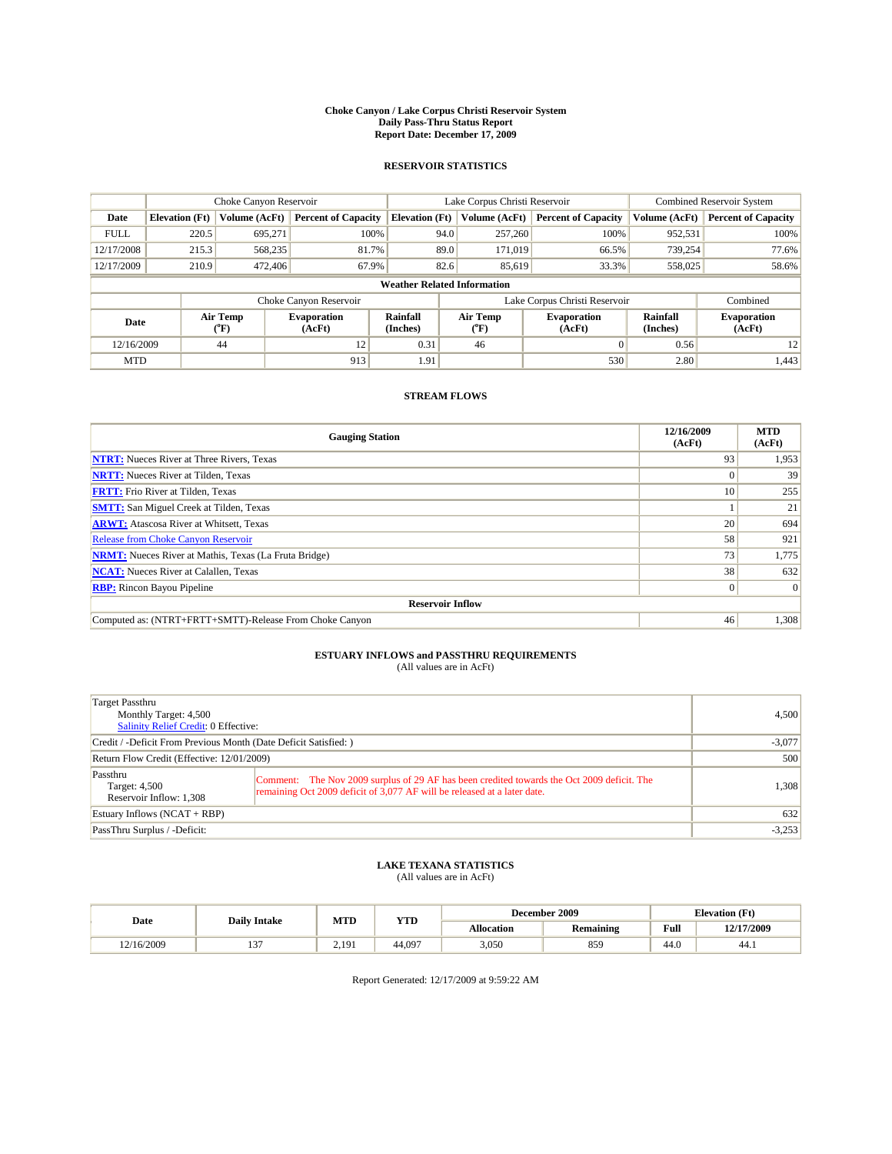#### **Choke Canyon / Lake Corpus Christi Reservoir System Daily Pass-Thru Status Report Report Date: December 17, 2009**

### **RESERVOIR STATISTICS**

|             | Choke Canyon Reservoir |                             |                                                                                                                               |                       | Lake Corpus Christi Reservoir      | <b>Combined Reservoir System</b> |               |                            |
|-------------|------------------------|-----------------------------|-------------------------------------------------------------------------------------------------------------------------------|-----------------------|------------------------------------|----------------------------------|---------------|----------------------------|
| Date        | <b>Elevation</b> (Ft)  | Volume (AcFt)               | <b>Percent of Capacity</b>                                                                                                    | <b>Elevation</b> (Ft) | Volume (AcFt)                      | <b>Percent of Capacity</b>       | Volume (AcFt) | <b>Percent of Capacity</b> |
| <b>FULL</b> | 220.5                  | 695,271                     | 100%                                                                                                                          |                       | 257,260<br>94.0                    | 100%                             | 952,531       | 100%                       |
| 12/17/2008  | 215.3                  | 568,235                     | 81.7%                                                                                                                         |                       | 89.0<br>171,019                    | 66.5%                            | 739,254       | 77.6%                      |
| 12/17/2009  | 210.9                  | 472,406                     | 67.9%                                                                                                                         |                       | 82.6<br>85.619                     | 33.3%                            | 558,025       | 58.6%                      |
|             |                        |                             |                                                                                                                               |                       | <b>Weather Related Information</b> |                                  |               |                            |
|             |                        |                             | Choke Canyon Reservoir                                                                                                        |                       | Lake Corpus Christi Reservoir      |                                  |               | Combined                   |
| Date        |                        | Air Temp<br>${}^{\circ}$ F) | <b>Rainfall</b><br>Air Temp<br><b>Evaporation</b><br><b>Evaporation</b><br>(Inches)<br>(AcFt)<br>$(^{o}\mathrm{F})$<br>(AcFt) |                       | Rainfall<br>(Inches)               | <b>Evaporation</b><br>(AcFt)     |               |                            |
| 12/16/2009  |                        | 44                          | 12                                                                                                                            | 0.31                  | 46                                 | $\Omega$                         | 0.56          | 12                         |
| <b>MTD</b>  |                        |                             | 913                                                                                                                           | 1.91                  |                                    | 530                              | 2.80          | 1,443                      |

## **STREAM FLOWS**

| <b>Gauging Station</b>                                       | 12/16/2009<br>(AcFt) | <b>MTD</b><br>(AcFt) |
|--------------------------------------------------------------|----------------------|----------------------|
| <b>NTRT:</b> Nueces River at Three Rivers, Texas             | 93                   | 1,953                |
| <b>NRTT:</b> Nueces River at Tilden, Texas                   | $\Omega$             | 39                   |
| <b>FRTT:</b> Frio River at Tilden, Texas                     | 10 <sup>1</sup>      | 255                  |
| <b>SMTT:</b> San Miguel Creek at Tilden, Texas               |                      | 21                   |
| <b>ARWT:</b> Atascosa River at Whitsett, Texas               | 20                   | 694                  |
| Release from Choke Canyon Reservoir                          | 58                   | 921                  |
| <b>NRMT:</b> Nueces River at Mathis, Texas (La Fruta Bridge) | 73 <sub>1</sub>      | 1,775                |
| <b>NCAT:</b> Nueces River at Calallen, Texas                 | 38                   | 632                  |
| <b>RBP:</b> Rincon Bayou Pipeline                            | $\overline{0}$       | $\Omega$             |
| <b>Reservoir Inflow</b>                                      |                      |                      |
| Computed as: (NTRT+FRTT+SMTT)-Release From Choke Canyon      | 46                   | 1,308                |

# **ESTUARY INFLOWS and PASSTHRU REQUIREMENTS**<br>(All values are in AcFt)

| Target Passthru<br>Monthly Target: 4,500<br>Salinity Relief Credit: 0 Effective: |                                                                                                                                                                        | 4.500    |
|----------------------------------------------------------------------------------|------------------------------------------------------------------------------------------------------------------------------------------------------------------------|----------|
| Credit / -Deficit From Previous Month (Date Deficit Satisfied: )                 | $-3,077$                                                                                                                                                               |          |
| Return Flow Credit (Effective: 12/01/2009)                                       | 500                                                                                                                                                                    |          |
| Passthru<br>Target: 4,500<br>Reservoir Inflow: 1,308                             | Comment: The Nov 2009 surplus of 29 AF has been credited towards the Oct 2009 deficit. The<br>remaining Oct 2009 deficit of 3,077 AF will be released at a later date. | 1.308    |
| Estuary Inflows (NCAT + RBP)                                                     |                                                                                                                                                                        | 632      |
| PassThru Surplus / -Deficit:                                                     |                                                                                                                                                                        | $-3,253$ |

## **LAKE TEXANA STATISTICS** (All values are in AcFt)

|            | <b>Daily Intake</b> |     | <b>YTD</b> | December 2009 |                  | <b>Elevation</b> (Ft) |            |
|------------|---------------------|-----|------------|---------------|------------------|-----------------------|------------|
| Date       |                     | MTD |            | Allocation    | <b>Remaining</b> | Full                  | 12/17/2009 |
| 12/16/2009 | $\sim$<br>          | 191 | 44.097     | 3,050         | 859              | $\Lambda$<br>44.0     | 44.1       |

Report Generated: 12/17/2009 at 9:59:22 AM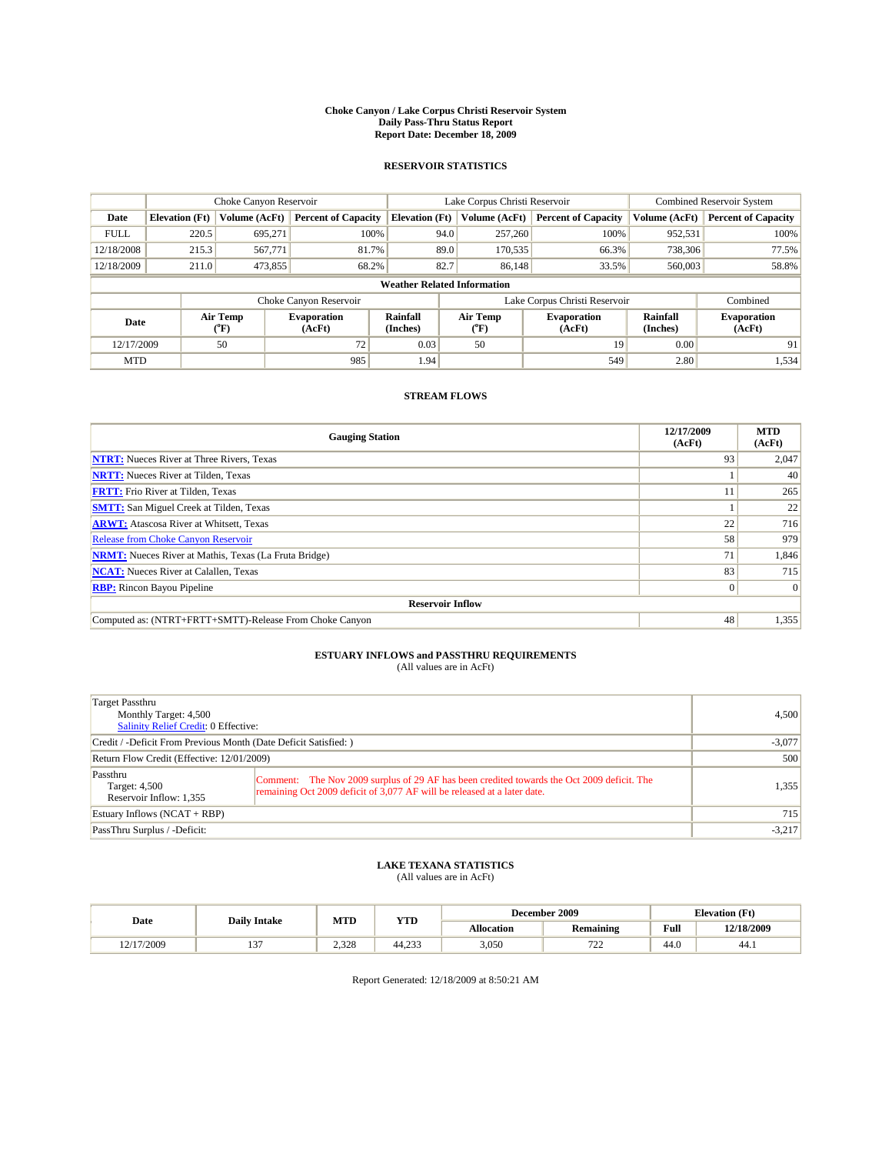#### **Choke Canyon / Lake Corpus Christi Reservoir System Daily Pass-Thru Status Report Report Date: December 18, 2009**

### **RESERVOIR STATISTICS**

|             | Choke Canyon Reservoir                                   |                      |                             |                                    | Lake Corpus Christi Reservoir | <b>Combined Reservoir System</b> |                              |                            |
|-------------|----------------------------------------------------------|----------------------|-----------------------------|------------------------------------|-------------------------------|----------------------------------|------------------------------|----------------------------|
| Date        | <b>Elevation</b> (Ft)                                    | <b>Volume (AcFt)</b> | <b>Percent of Capacity</b>  | <b>Elevation</b> (Ft)              | Volume (AcFt)                 | <b>Percent of Capacity</b>       | Volume (AcFt)                | <b>Percent of Capacity</b> |
| <b>FULL</b> | 220.5                                                    | 695,271              | 100%                        | 94.0                               | 257,260                       | 100%                             | 952,531                      | 100%                       |
| 12/18/2008  | 215.3                                                    | 567,771              | 81.7%                       | 89.0                               | 170,535                       | 66.3%                            | 738,306                      | 77.5%                      |
| 12/18/2009  | 211.0                                                    | 473,855              | 68.2%                       | 82.7                               | 86.148                        | 33.5%                            | 560,003                      | 58.8%                      |
|             |                                                          |                      |                             | <b>Weather Related Information</b> |                               |                                  |                              |                            |
|             |                                                          |                      | Choke Canyon Reservoir      |                                    | Lake Corpus Christi Reservoir |                                  |                              | Combined                   |
|             | Air Temp<br><b>Evaporation</b><br>Date<br>(AcFt)<br>(°F) |                      | <b>Rainfall</b><br>(Inches) | Air Temp<br>(°F)                   | <b>Evaporation</b><br>(AcFt)  | Rainfall<br>(Inches)             | <b>Evaporation</b><br>(AcFt) |                            |
| 12/17/2009  |                                                          | 50                   | 72                          | 0.03                               | 50                            | 19                               | 0.00                         | 91                         |
| <b>MTD</b>  |                                                          |                      | 985                         | 1.94                               |                               | 549                              | 2.80                         | 1,534                      |

## **STREAM FLOWS**

| <b>Gauging Station</b>                                       | 12/17/2009<br>(AcFt) | <b>MTD</b><br>(AcFt) |
|--------------------------------------------------------------|----------------------|----------------------|
| <b>NTRT:</b> Nueces River at Three Rivers, Texas             | 93                   | 2,047                |
| <b>NRTT:</b> Nueces River at Tilden, Texas                   |                      | 40                   |
| <b>FRTT:</b> Frio River at Tilden, Texas                     |                      | 265                  |
| <b>SMTT:</b> San Miguel Creek at Tilden, Texas               |                      | 22                   |
| <b>ARWT:</b> Atascosa River at Whitsett, Texas               | 22                   | 716                  |
| <b>Release from Choke Canyon Reservoir</b>                   | 58                   | 979                  |
| <b>NRMT:</b> Nueces River at Mathis, Texas (La Fruta Bridge) | 71                   | 1,846                |
| <b>NCAT:</b> Nueces River at Calallen, Texas                 | 83                   | 715                  |
| <b>RBP:</b> Rincon Bayou Pipeline                            | $\overline{0}$       | $\Omega$             |
| <b>Reservoir Inflow</b>                                      |                      |                      |
| Computed as: (NTRT+FRTT+SMTT)-Release From Choke Canyon      | 48                   | 1,355                |

# **ESTUARY INFLOWS and PASSTHRU REQUIREMENTS**<br>(All values are in AcFt)

| Target Passthru<br>Monthly Target: 4,500<br>Salinity Relief Credit: 0 Effective: |                                                                                                                                                                        | 4.500    |
|----------------------------------------------------------------------------------|------------------------------------------------------------------------------------------------------------------------------------------------------------------------|----------|
| Credit / -Deficit From Previous Month (Date Deficit Satisfied: )                 | $-3,077$                                                                                                                                                               |          |
| Return Flow Credit (Effective: 12/01/2009)                                       | 500                                                                                                                                                                    |          |
| Passthru<br>Target: 4,500<br>Reservoir Inflow: 1,355                             | Comment: The Nov 2009 surplus of 29 AF has been credited towards the Oct 2009 deficit. The<br>remaining Oct 2009 deficit of 3,077 AF will be released at a later date. | 1,355    |
| Estuary Inflows (NCAT + RBP)                                                     | 715                                                                                                                                                                    |          |
| PassThru Surplus / -Deficit:                                                     |                                                                                                                                                                        | $-3,217$ |

## **LAKE TEXANA STATISTICS** (All values are in AcFt)

|            | <b>Daily Intake</b> | MTD   | <b>YTD</b> |            | December 2009    | <b>Elevation</b> (Ft) |            |
|------------|---------------------|-------|------------|------------|------------------|-----------------------|------------|
| Date       |                     |       |            | Allocation | <b>Remaining</b> | Full                  | 12/18/2009 |
| 12/17/2009 | $\sim$<br>          | 2.328 | 44.233     | 3,050      | 722<br>ے ر       | $\sqrt{ }$<br>44.0    | 44.1       |

Report Generated: 12/18/2009 at 8:50:21 AM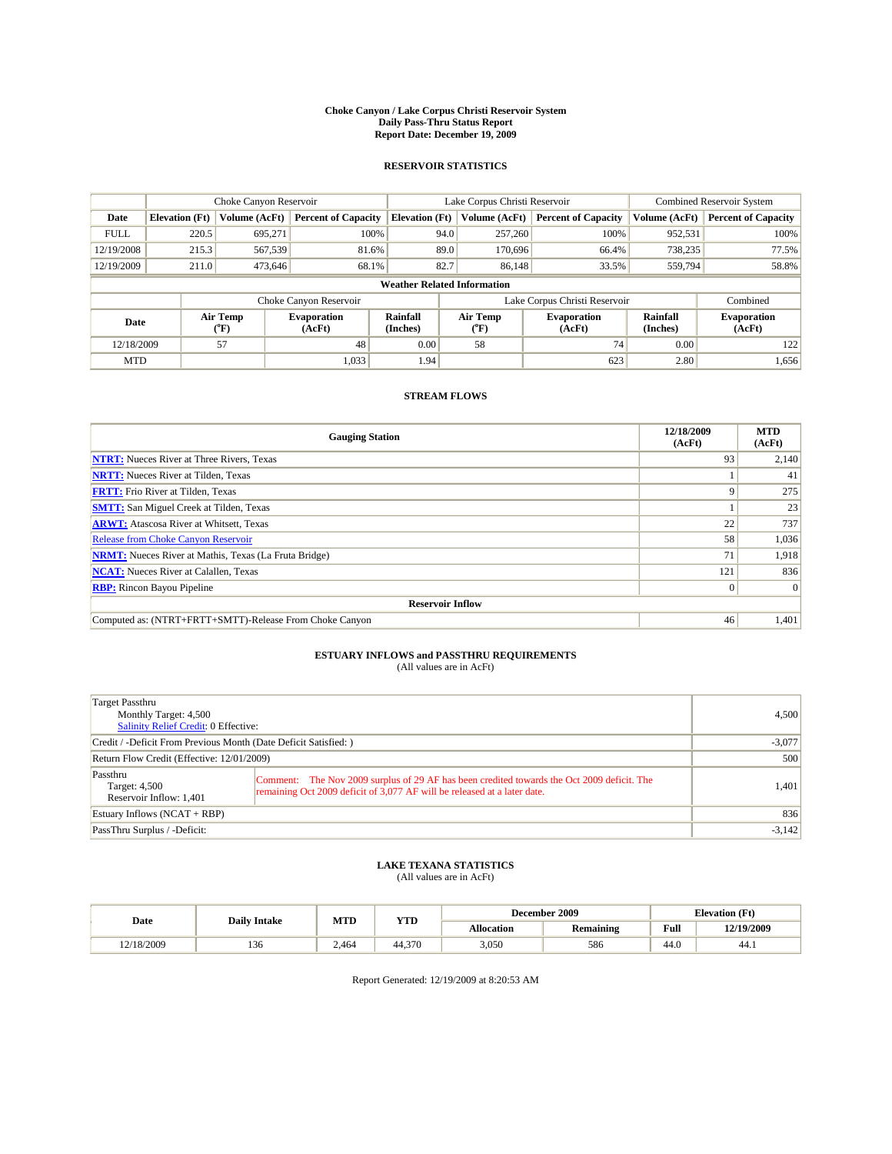#### **Choke Canyon / Lake Corpus Christi Reservoir System Daily Pass-Thru Status Report Report Date: December 19, 2009**

### **RESERVOIR STATISTICS**

|             | Choke Canyon Reservoir |                      |                              |                                    | Lake Corpus Christi Reservoir | <b>Combined Reservoir System</b>                     |               |                              |
|-------------|------------------------|----------------------|------------------------------|------------------------------------|-------------------------------|------------------------------------------------------|---------------|------------------------------|
| Date        | <b>Elevation</b> (Ft)  | <b>Volume (AcFt)</b> | <b>Percent of Capacity</b>   | <b>Elevation</b> (Ft)              | Volume (AcFt)                 | <b>Percent of Capacity</b>                           | Volume (AcFt) | <b>Percent of Capacity</b>   |
| <b>FULL</b> | 220.5                  | 695,271              | 100%                         | 94.0                               | 257,260                       | 100%                                                 | 952,531       | 100%                         |
| 12/19/2008  | 215.3                  | 567,539              | 81.6%                        | 89.0                               | 170,696                       | 66.4%                                                | 738,235       | 77.5%                        |
| 12/19/2009  | 211.0                  | 473,646              | 68.1%                        | 82.7                               | 86,148                        | 33.5%                                                | 559,794       | 58.8%                        |
|             |                        |                      |                              | <b>Weather Related Information</b> |                               |                                                      |               |                              |
|             |                        |                      | Choke Canyon Reservoir       |                                    |                               | Lake Corpus Christi Reservoir                        |               | Combined                     |
| Date        |                        | Air Temp<br>(°F)     | <b>Evaporation</b><br>(AcFt) | <b>Rainfall</b><br>(Inches)        | Air Temp<br>(°F)              | Rainfall<br><b>Evaporation</b><br>(Inches)<br>(AcFt) |               | <b>Evaporation</b><br>(AcFt) |
| 12/18/2009  |                        | 57                   | 48                           | 0.00                               | 58                            | 74                                                   | 0.00          | 122                          |
| <b>MTD</b>  |                        |                      | 1,033                        | 1.94                               |                               | 623                                                  | 2.80          | 1,656                        |

## **STREAM FLOWS**

| <b>Gauging Station</b>                                       | 12/18/2009<br>(AcFt) | <b>MTD</b><br>(AcFt) |
|--------------------------------------------------------------|----------------------|----------------------|
| <b>NTRT:</b> Nueces River at Three Rivers, Texas             | 93                   | 2,140                |
| <b>NRTT:</b> Nueces River at Tilden, Texas                   |                      | 41                   |
| <b>FRTT:</b> Frio River at Tilden, Texas                     | Q                    | 275                  |
| <b>SMTT:</b> San Miguel Creek at Tilden, Texas               |                      | 23                   |
| <b>ARWT:</b> Atascosa River at Whitsett, Texas               | 22                   | 737                  |
| <b>Release from Choke Canyon Reservoir</b>                   | 58                   | 1,036                |
| <b>NRMT:</b> Nueces River at Mathis, Texas (La Fruta Bridge) | 71                   | 1,918                |
| <b>NCAT:</b> Nueces River at Calallen, Texas                 | 121                  | 836                  |
| <b>RBP:</b> Rincon Bayou Pipeline                            | $\overline{0}$       | $\Omega$             |
| <b>Reservoir Inflow</b>                                      |                      |                      |
| Computed as: (NTRT+FRTT+SMTT)-Release From Choke Canyon      | 46                   | 1,401                |

# **ESTUARY INFLOWS and PASSTHRU REQUIREMENTS**<br>(All values are in AcFt)

| Target Passthru<br>Monthly Target: 4,500<br>Salinity Relief Credit: 0 Effective: |                                                                                                                                                                        | 4,500    |
|----------------------------------------------------------------------------------|------------------------------------------------------------------------------------------------------------------------------------------------------------------------|----------|
| Credit / -Deficit From Previous Month (Date Deficit Satisfied: )                 |                                                                                                                                                                        | $-3,077$ |
| Return Flow Credit (Effective: 12/01/2009)                                       | 500                                                                                                                                                                    |          |
| Passthru<br>Target: 4,500<br>Reservoir Inflow: 1,401                             | Comment: The Nov 2009 surplus of 29 AF has been credited towards the Oct 2009 deficit. The<br>remaining Oct 2009 deficit of 3,077 AF will be released at a later date. | 1,401    |
| Estuary Inflows (NCAT + RBP)                                                     |                                                                                                                                                                        | 836      |
| PassThru Surplus / -Deficit:                                                     |                                                                                                                                                                        | $-3,142$ |

## **LAKE TEXANA STATISTICS** (All values are in AcFt)

|            | MTD<br><b>Daily Intake</b> |       | <b>YTD</b> |            | December 2009    | <b>Elevation</b> (Ft)                       |            |
|------------|----------------------------|-------|------------|------------|------------------|---------------------------------------------|------------|
| Date       |                            |       |            | Allocation | <b>Remaining</b> | Full<br>the contract of the contract of the | 12/19/2009 |
| 12/18/2009 | 136                        | 2.464 | 44.370     | 3,050      | 586              | 44.0                                        | 44.)       |

Report Generated: 12/19/2009 at 8:20:53 AM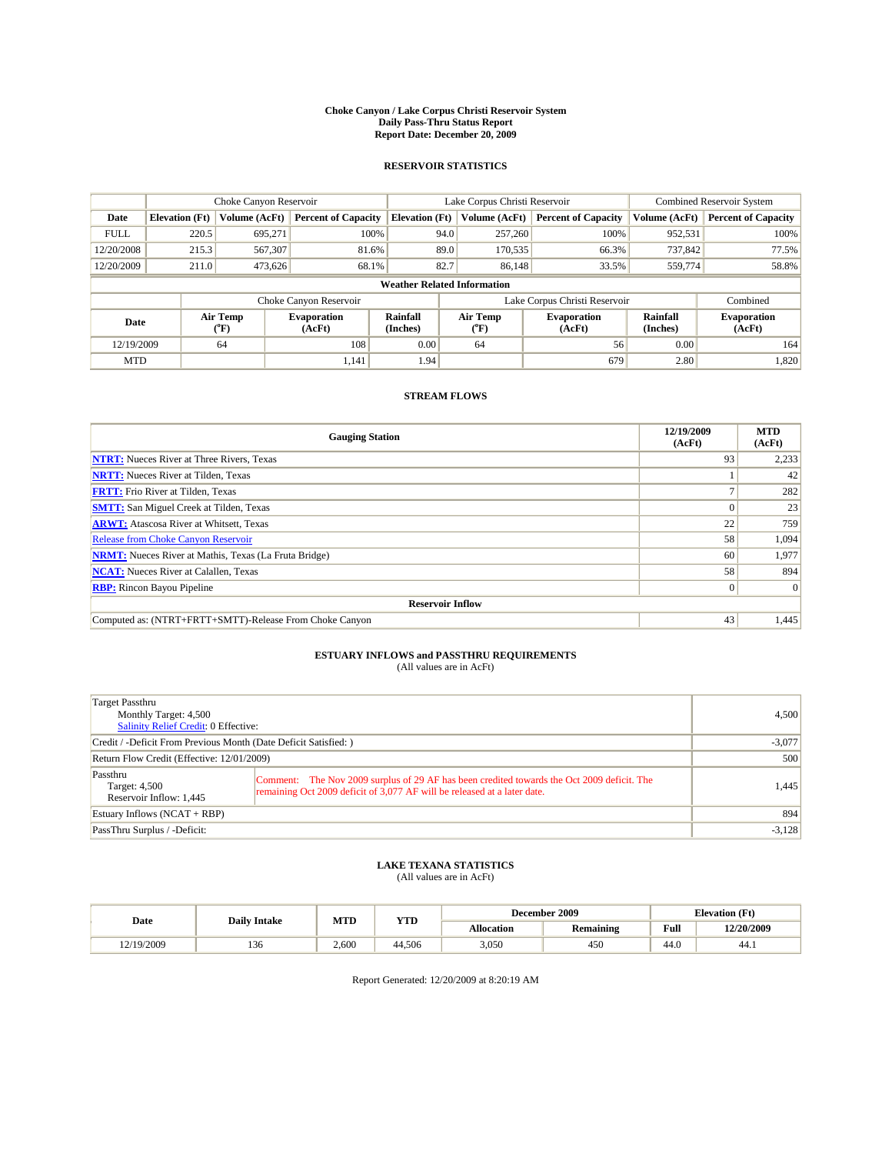#### **Choke Canyon / Lake Corpus Christi Reservoir System Daily Pass-Thru Status Report Report Date: December 20, 2009**

### **RESERVOIR STATISTICS**

|             | Choke Canyon Reservoir |                  |                              |                                    | Lake Corpus Christi Reservoir     | <b>Combined Reservoir System</b>                     |               |                              |
|-------------|------------------------|------------------|------------------------------|------------------------------------|-----------------------------------|------------------------------------------------------|---------------|------------------------------|
| Date        | <b>Elevation</b> (Ft)  | Volume (AcFt)    | <b>Percent of Capacity</b>   | <b>Elevation</b> (Ft)              | Volume (AcFt)                     | <b>Percent of Capacity</b>                           | Volume (AcFt) | <b>Percent of Capacity</b>   |
| <b>FULL</b> | 220.5                  | 695,271          | 100%                         | 94.0                               | 257,260                           | 100%                                                 | 952,531       | 100%                         |
| 12/20/2008  | 215.3                  | 567,307          | 81.6%                        | 89.0                               | 170,535                           | 66.3%                                                | 737,842       | 77.5%                        |
| 12/20/2009  | 211.0                  | 473,626          | 68.1%                        | 82.7                               | 86,148                            | 33.5%                                                | 559,774       | 58.8%                        |
|             |                        |                  |                              | <b>Weather Related Information</b> |                                   |                                                      |               |                              |
|             |                        |                  | Choke Canyon Reservoir       |                                    |                                   | Lake Corpus Christi Reservoir                        |               | Combined                     |
| Date        |                        | Air Temp<br>(°F) | <b>Evaporation</b><br>(AcFt) | Rainfall<br>(Inches)               | Air Temp<br>$({}^{\circ}{\rm F})$ | Rainfall<br><b>Evaporation</b><br>(Inches)<br>(AcFt) |               | <b>Evaporation</b><br>(AcFt) |
| 12/19/2009  |                        | 64               | 108                          | 0.00                               | 64                                | 56                                                   | 0.00          | 164                          |
| <b>MTD</b>  |                        |                  | 1,141                        | 1.94                               |                                   | 679                                                  | 2.80          | 1,820                        |

## **STREAM FLOWS**

| <b>Gauging Station</b>                                       | 12/19/2009<br>(AcFt) | <b>MTD</b><br>(AcFt) |
|--------------------------------------------------------------|----------------------|----------------------|
| <b>NTRT:</b> Nueces River at Three Rivers, Texas             | 93                   | 2,233                |
| <b>NRTT:</b> Nueces River at Tilden, Texas                   |                      | 42                   |
| <b>FRTT:</b> Frio River at Tilden, Texas                     |                      | 282                  |
| <b>SMTT:</b> San Miguel Creek at Tilden, Texas               |                      | 23                   |
| <b>ARWT:</b> Atascosa River at Whitsett, Texas               | 22                   | 759                  |
| <b>Release from Choke Canyon Reservoir</b>                   | 58                   | 1,094                |
| <b>NRMT:</b> Nueces River at Mathis, Texas (La Fruta Bridge) | 60                   | 1,977                |
| <b>NCAT:</b> Nueces River at Calallen, Texas                 | 58                   | 894                  |
| <b>RBP:</b> Rincon Bayou Pipeline                            | $\overline{0}$       | $\Omega$             |
| <b>Reservoir Inflow</b>                                      |                      |                      |
| Computed as: (NTRT+FRTT+SMTT)-Release From Choke Canyon      | 43                   | 1,445                |

# **ESTUARY INFLOWS and PASSTHRU REQUIREMENTS**<br>(All values are in AcFt)

| Target Passthru<br>Monthly Target: 4,500<br>Salinity Relief Credit: 0 Effective: |                                                                                                                                                                        | 4,500    |
|----------------------------------------------------------------------------------|------------------------------------------------------------------------------------------------------------------------------------------------------------------------|----------|
| Credit / -Deficit From Previous Month (Date Deficit Satisfied: )                 |                                                                                                                                                                        | $-3,077$ |
| Return Flow Credit (Effective: 12/01/2009)                                       | 500                                                                                                                                                                    |          |
| Passthru<br>Target: 4,500<br>Reservoir Inflow: 1,445                             | Comment: The Nov 2009 surplus of 29 AF has been credited towards the Oct 2009 deficit. The<br>remaining Oct 2009 deficit of 3,077 AF will be released at a later date. | 1,445    |
| Estuary Inflows (NCAT + RBP)                                                     |                                                                                                                                                                        | 894      |
| PassThru Surplus / -Deficit:                                                     |                                                                                                                                                                        | $-3,128$ |

## **LAKE TEXANA STATISTICS** (All values are in AcFt)

|            | <b>Daily Intake</b> | MTD   | <b>YTD</b> |            | December 2009    | <b>Elevation</b> (Ft) |            |
|------------|---------------------|-------|------------|------------|------------------|-----------------------|------------|
| Date       |                     |       |            | Allocation | <b>Remaining</b> | Full                  | 12/20/2009 |
| 12/19/2009 | 136                 | 2.600 | 44.506     | 3,050      | 450              | $\sqrt{ }$<br>44.0    | 44.1       |

Report Generated: 12/20/2009 at 8:20:19 AM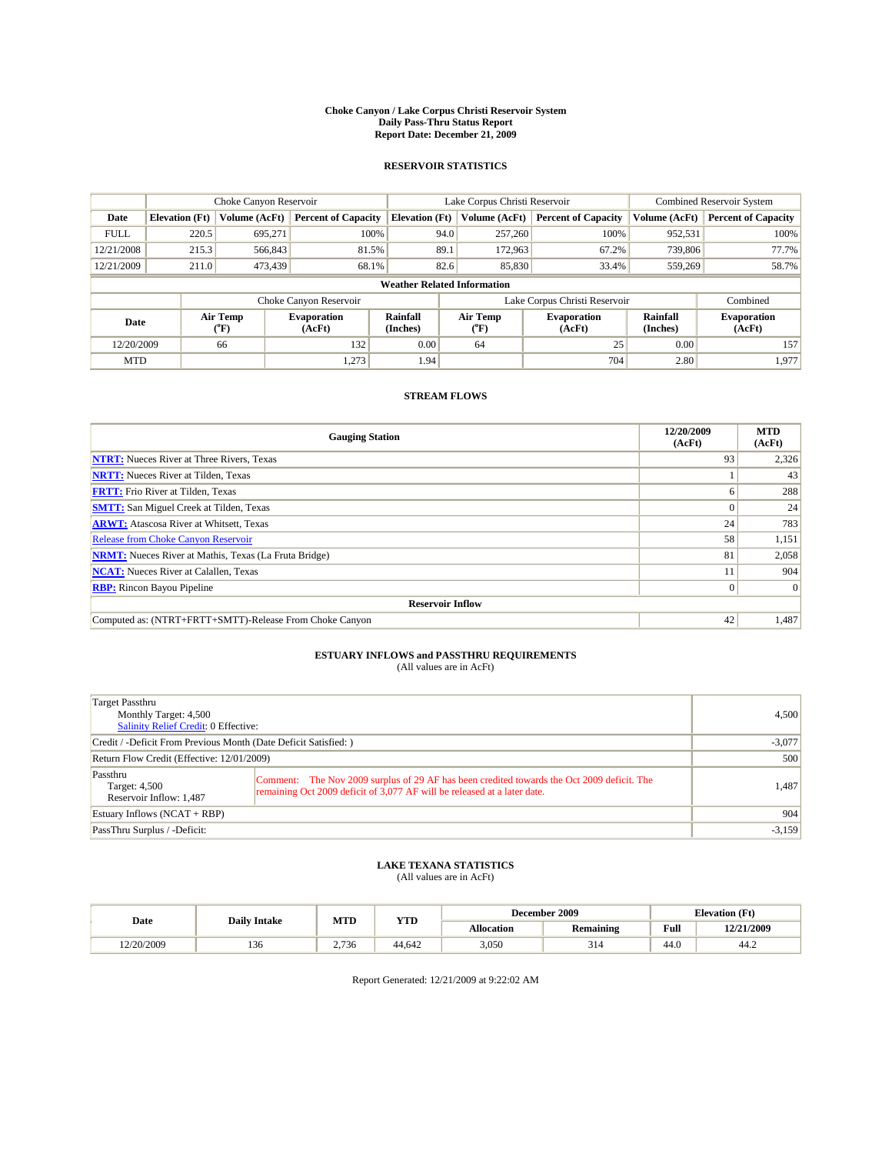#### **Choke Canyon / Lake Corpus Christi Reservoir System Daily Pass-Thru Status Report Report Date: December 21, 2009**

### **RESERVOIR STATISTICS**

|             | Choke Canyon Reservoir |                            |                              |                                    | Lake Corpus Christi Reservoir |                                         |                                                      |               | Combined Reservoir System    |  |
|-------------|------------------------|----------------------------|------------------------------|------------------------------------|-------------------------------|-----------------------------------------|------------------------------------------------------|---------------|------------------------------|--|
| Date        | <b>Elevation</b> (Ft)  | Volume (AcFt)              | <b>Percent of Capacity</b>   | <b>Elevation (Ft)</b>              |                               | Volume (AcFt)                           | <b>Percent of Capacity</b>                           | Volume (AcFt) | <b>Percent of Capacity</b>   |  |
| <b>FULL</b> | 220.5                  | 695,271                    | 100%                         |                                    | 94.0                          | 257,260                                 | 100%                                                 | 952,531       | 100%                         |  |
| 12/21/2008  | 215.3                  | 566,843                    | 81.5%                        |                                    | 89.1                          | 172,963                                 | 67.2%                                                | 739,806       | 77.7%                        |  |
| 12/21/2009  | 211.0                  | 473,439                    | 68.1%                        | 82.6<br>85,830<br>33.4%            |                               | 559,269                                 | 58.7%                                                |               |                              |  |
|             |                        |                            |                              | <b>Weather Related Information</b> |                               |                                         |                                                      |               |                              |  |
|             |                        |                            | Choke Canyon Reservoir       |                                    | Lake Corpus Christi Reservoir |                                         |                                                      |               | Combined                     |  |
| Date        |                        | Air Temp<br>${}^{\circ}F)$ | <b>Evaporation</b><br>(AcFt) | Rainfall<br>(Inches)               |                               | Air Temp<br>$(^{\mathrm{o}}\mathrm{F})$ | Rainfall<br><b>Evaporation</b><br>(Inches)<br>(AcFt) |               | <b>Evaporation</b><br>(AcFt) |  |
| 12/20/2009  |                        | 66                         | 132                          | 0.00                               |                               | 64                                      | 25                                                   | 0.00          | 157                          |  |
| <b>MTD</b>  |                        |                            | 1,273                        | 1.94                               |                               |                                         | 704                                                  | 2.80          | 1,977                        |  |

## **STREAM FLOWS**

| <b>Gauging Station</b>                                       | 12/20/2009<br>(AcFt) | <b>MTD</b><br>(AcFt) |
|--------------------------------------------------------------|----------------------|----------------------|
| <b>NTRT:</b> Nueces River at Three Rivers, Texas             | 93                   | 2,326                |
| <b>NRTT:</b> Nueces River at Tilden, Texas                   |                      | 43                   |
| <b>FRTT:</b> Frio River at Tilden, Texas                     | h                    | 288                  |
| <b>SMTT:</b> San Miguel Creek at Tilden, Texas               |                      | 24                   |
| <b>ARWT:</b> Atascosa River at Whitsett, Texas               | 24                   | 783                  |
| <b>Release from Choke Canyon Reservoir</b>                   | 58                   | 1,151                |
| <b>NRMT:</b> Nueces River at Mathis, Texas (La Fruta Bridge) | 81                   | 2,058                |
| <b>NCAT:</b> Nueces River at Calallen, Texas                 |                      | 904                  |
| <b>RBP:</b> Rincon Bayou Pipeline                            | $\overline{0}$       | $\Omega$             |
| <b>Reservoir Inflow</b>                                      |                      |                      |
| Computed as: (NTRT+FRTT+SMTT)-Release From Choke Canyon      | 42                   | 1,487                |

# **ESTUARY INFLOWS and PASSTHRU REQUIREMENTS**<br>(All values are in AcFt)

| Target Passthru<br>Monthly Target: 4,500<br>Salinity Relief Credit: 0 Effective: |                                                                                                                                                                        | 4,500    |
|----------------------------------------------------------------------------------|------------------------------------------------------------------------------------------------------------------------------------------------------------------------|----------|
| Credit / -Deficit From Previous Month (Date Deficit Satisfied: )                 |                                                                                                                                                                        | $-3,077$ |
| Return Flow Credit (Effective: 12/01/2009)                                       | 500                                                                                                                                                                    |          |
| Passthru<br>Target: 4,500<br>Reservoir Inflow: 1,487                             | Comment: The Nov 2009 surplus of 29 AF has been credited towards the Oct 2009 deficit. The<br>remaining Oct 2009 deficit of 3,077 AF will be released at a later date. | 1,487    |
| Estuary Inflows (NCAT + RBP)                                                     |                                                                                                                                                                        | 904      |
| PassThru Surplus / -Deficit:                                                     |                                                                                                                                                                        | $-3,159$ |

## **LAKE TEXANA STATISTICS** (All values are in AcFt)

|            | <b>Daily Intake</b> | MTD   | <b>YTD</b> | December 2009 |           |                | <b>Elevation</b> (Ft) |
|------------|---------------------|-------|------------|---------------|-----------|----------------|-----------------------|
| Date       |                     |       |            | Allocation    | Remaining | Full           | 12/21/2009            |
| 12/20/2009 | 136                 | 2.736 | 44.642     | 3.050         | 314       | $\sim$<br>44.0 | 44.2                  |

Report Generated: 12/21/2009 at 9:22:02 AM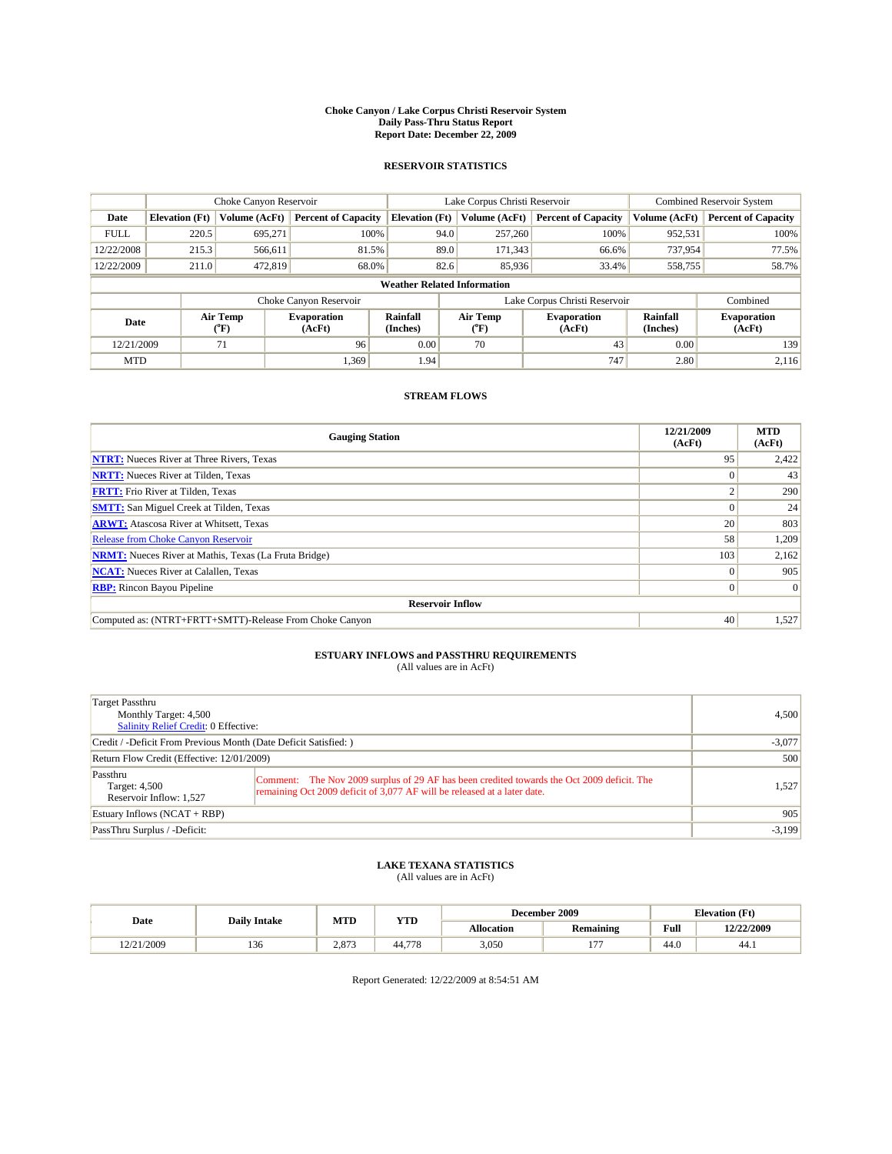#### **Choke Canyon / Lake Corpus Christi Reservoir System Daily Pass-Thru Status Report Report Date: December 22, 2009**

### **RESERVOIR STATISTICS**

|             | Choke Canyon Reservoir |                            |                              |                                                                                                                         | Lake Corpus Christi Reservoir |               |                              |               | Combined Reservoir System  |  |
|-------------|------------------------|----------------------------|------------------------------|-------------------------------------------------------------------------------------------------------------------------|-------------------------------|---------------|------------------------------|---------------|----------------------------|--|
| Date        | <b>Elevation</b> (Ft)  | Volume (AcFt)              | <b>Percent of Capacity</b>   | <b>Elevation</b> (Ft)                                                                                                   |                               | Volume (AcFt) | <b>Percent of Capacity</b>   | Volume (AcFt) | <b>Percent of Capacity</b> |  |
| <b>FULL</b> | 220.5                  | 695,271                    | 100%                         |                                                                                                                         | 94.0                          | 257,260       | 100%                         | 952,531       | 100%                       |  |
| 12/22/2008  | 215.3                  | 566,611                    | 81.5%                        |                                                                                                                         | 89.0                          | 171,343       | 66.6%                        | 737,954       | 77.5%                      |  |
| 12/22/2009  | 211.0                  | 472,819                    | 68.0%                        |                                                                                                                         | 82.6                          | 85,936        | 33.4%                        | 558,755       | 58.7%                      |  |
|             |                        |                            |                              | <b>Weather Related Information</b>                                                                                      |                               |               |                              |               |                            |  |
|             |                        |                            | Choke Canyon Reservoir       |                                                                                                                         | Lake Corpus Christi Reservoir |               |                              |               | Combined                   |  |
| Date        |                        | Air Temp<br>${}^{\circ}F)$ | <b>Evaporation</b><br>(AcFt) | Rainfall<br>Air Temp<br>Rainfall<br><b>Evaporation</b><br>(Inches)<br>(Inches)<br>$(^{\mathrm{o}}\mathrm{F})$<br>(AcFt) |                               |               | <b>Evaporation</b><br>(AcFt) |               |                            |  |
| 12/21/2009  |                        | 71                         | 96                           | 0.00                                                                                                                    |                               | 70            | 43                           | 0.00          | 139                        |  |
| <b>MTD</b>  |                        |                            | 1.369                        | 1.94                                                                                                                    |                               |               | 747                          | 2.80          | 2,116                      |  |

## **STREAM FLOWS**

| <b>Gauging Station</b>                                       | 12/21/2009<br>(AcFt) | <b>MTD</b><br>(AcFt) |
|--------------------------------------------------------------|----------------------|----------------------|
| <b>NTRT:</b> Nueces River at Three Rivers, Texas             | 95                   | 2,422                |
| <b>NRTT:</b> Nueces River at Tilden, Texas                   |                      | 43                   |
| <b>FRTT:</b> Frio River at Tilden, Texas                     |                      | 290                  |
| <b>SMTT:</b> San Miguel Creek at Tilden, Texas               |                      | 24                   |
| <b>ARWT:</b> Atascosa River at Whitsett, Texas               | 20                   | 803                  |
| <b>Release from Choke Canyon Reservoir</b>                   | 58                   | 1,209                |
| <b>NRMT:</b> Nueces River at Mathis, Texas (La Fruta Bridge) | 103                  | 2,162                |
| <b>NCAT:</b> Nueces River at Calallen, Texas                 | $\Omega$             | 905                  |
| <b>RBP:</b> Rincon Bayou Pipeline                            | $\overline{0}$       | $\Omega$             |
| <b>Reservoir Inflow</b>                                      |                      |                      |
| Computed as: (NTRT+FRTT+SMTT)-Release From Choke Canyon      | 40                   | 1,527                |

# **ESTUARY INFLOWS and PASSTHRU REQUIREMENTS**<br>(All values are in AcFt)

| Target Passthru<br>Monthly Target: 4,500<br><b>Salinity Relief Credit: 0 Effective:</b> |                                                                                                                                                                        | 4,500    |
|-----------------------------------------------------------------------------------------|------------------------------------------------------------------------------------------------------------------------------------------------------------------------|----------|
| Credit / -Deficit From Previous Month (Date Deficit Satisfied: )                        | $-3,077$                                                                                                                                                               |          |
| Return Flow Credit (Effective: 12/01/2009)                                              | 500                                                                                                                                                                    |          |
| Passthru<br>Target: 4,500<br>Reservoir Inflow: 1,527                                    | Comment: The Nov 2009 surplus of 29 AF has been credited towards the Oct 2009 deficit. The<br>remaining Oct 2009 deficit of 3,077 AF will be released at a later date. | 1,527    |
| Estuary Inflows (NCAT + RBP)                                                            |                                                                                                                                                                        | 905      |
| PassThru Surplus / -Deficit:                                                            |                                                                                                                                                                        | $-3,199$ |

## **LAKE TEXANA STATISTICS** (All values are in AcFt)

|            | <b>Daily Intake</b> | MTD   | <b>YTD</b> | December 2009     |                  |                                             | <b>Elevation</b> (Ft) |
|------------|---------------------|-------|------------|-------------------|------------------|---------------------------------------------|-----------------------|
| Date       |                     |       |            | <b>Allocation</b> | <b>Remaining</b> | Full<br>the contract of the contract of the | 12/22/2009            |
| 12/21/2009 | 136                 | 2.873 | 44.778     | 3,050             | $-7$             | 44.0                                        | 44.)                  |

Report Generated: 12/22/2009 at 8:54:51 AM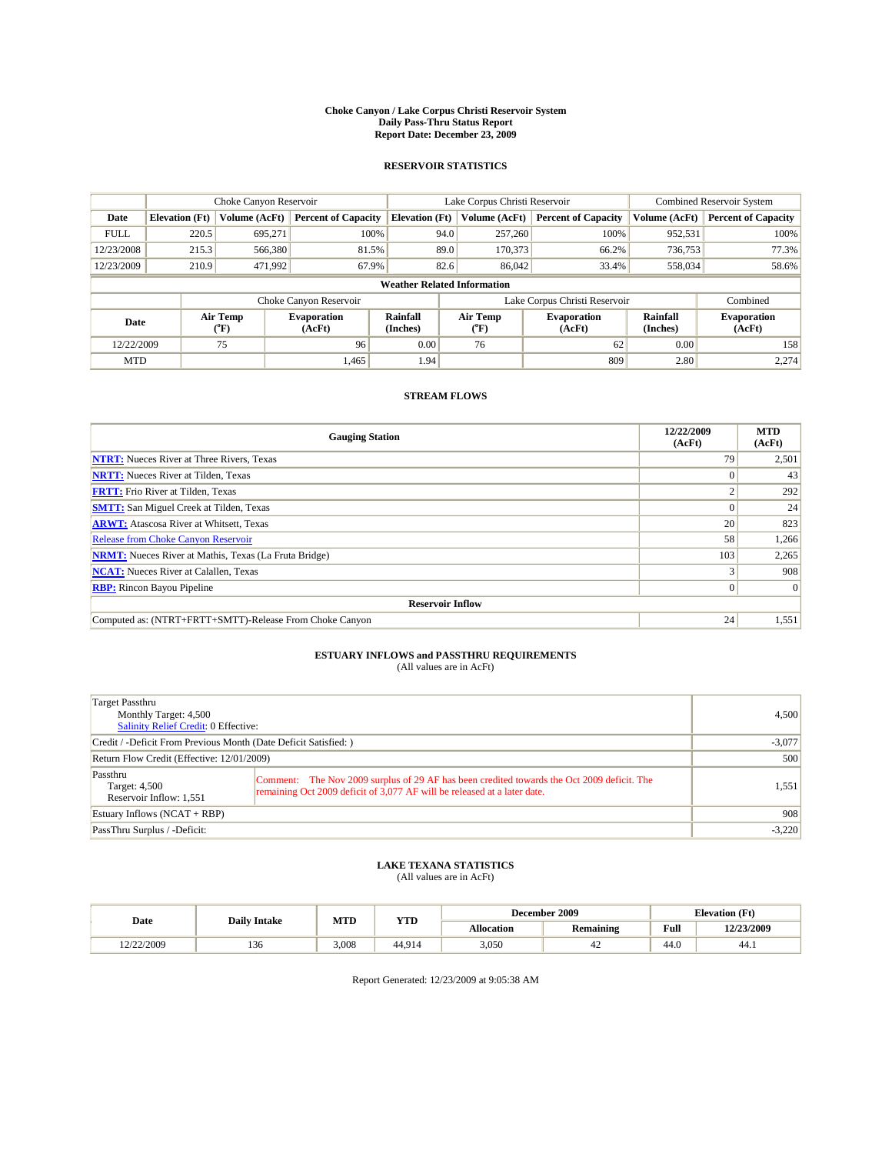#### **Choke Canyon / Lake Corpus Christi Reservoir System Daily Pass-Thru Status Report Report Date: December 23, 2009**

### **RESERVOIR STATISTICS**

|             | Choke Canyon Reservoir |                  |                              |                       | Lake Corpus Christi Reservoir      |                              | <b>Combined Reservoir System</b> |                              |
|-------------|------------------------|------------------|------------------------------|-----------------------|------------------------------------|------------------------------|----------------------------------|------------------------------|
| Date        | <b>Elevation</b> (Ft)  | Volume (AcFt)    | <b>Percent of Capacity</b>   | <b>Elevation</b> (Ft) | Volume (AcFt)                      | <b>Percent of Capacity</b>   | Volume (AcFt)                    | <b>Percent of Capacity</b>   |
| <b>FULL</b> | 220.5                  | 695,271          | 100%                         |                       | 94.0<br>257,260                    | 100%                         | 952,531                          | 100%                         |
| 12/23/2008  | 215.3                  | 566,380          | 81.5%                        |                       | 89.0<br>170,373                    | 66.2%                        | 736,753                          | 77.3%                        |
| 12/23/2009  | 210.9                  | 471,992          | 67.9%                        |                       | 82.6<br>86,042                     | 33.4%                        | 558,034                          | 58.6%                        |
|             |                        |                  |                              |                       | <b>Weather Related Information</b> |                              |                                  |                              |
|             |                        |                  | Choke Canyon Reservoir       |                       | Lake Corpus Christi Reservoir      |                              |                                  | Combined                     |
| Date        |                        | Air Temp<br>(°F) | <b>Evaporation</b><br>(AcFt) | Rainfall<br>(Inches)  | Air Temp<br>("F)                   | <b>Evaporation</b><br>(AcFt) | Rainfall<br>(Inches)             | <b>Evaporation</b><br>(AcFt) |
| 12/22/2009  |                        | 75               | 96                           | 0.00                  | 76                                 | 62                           | 0.00                             | 158                          |
| <b>MTD</b>  |                        |                  | 1.465                        | 1.94                  |                                    | 809                          | 2.80                             | 2,274                        |

## **STREAM FLOWS**

| <b>Gauging Station</b>                                       | 12/22/2009<br>(AcFt) | <b>MTD</b><br>(AcFt) |
|--------------------------------------------------------------|----------------------|----------------------|
| <b>NTRT:</b> Nueces River at Three Rivers, Texas             | 79                   | 2,501                |
| <b>NRTT:</b> Nueces River at Tilden, Texas                   |                      | 43                   |
| <b>FRTT:</b> Frio River at Tilden, Texas                     |                      | 292                  |
| <b>SMTT:</b> San Miguel Creek at Tilden, Texas               |                      | 24                   |
| <b>ARWT:</b> Atascosa River at Whitsett, Texas               | 20                   | 823                  |
| <b>Release from Choke Canyon Reservoir</b>                   | 58                   | 1,266                |
| <b>NRMT:</b> Nueces River at Mathis, Texas (La Fruta Bridge) | 103                  | 2,265                |
| <b>NCAT:</b> Nueces River at Calallen, Texas                 |                      | 908                  |
| <b>RBP:</b> Rincon Bayou Pipeline                            | $\overline{0}$       | $\Omega$             |
| <b>Reservoir Inflow</b>                                      |                      |                      |
| Computed as: (NTRT+FRTT+SMTT)-Release From Choke Canyon      | 24                   | 1,551                |

# **ESTUARY INFLOWS and PASSTHRU REQUIREMENTS**<br>(All values are in AcFt)

| Target Passthru<br>Monthly Target: 4,500<br><b>Salinity Relief Credit: 0 Effective:</b> |                                                                                                                                                                        | 4,500 |
|-----------------------------------------------------------------------------------------|------------------------------------------------------------------------------------------------------------------------------------------------------------------------|-------|
| Credit / -Deficit From Previous Month (Date Deficit Satisfied: )                        | $-3,077$                                                                                                                                                               |       |
| Return Flow Credit (Effective: 12/01/2009)                                              | 500                                                                                                                                                                    |       |
| Passthru<br>Target: 4,500<br>Reservoir Inflow: 1,551                                    | Comment: The Nov 2009 surplus of 29 AF has been credited towards the Oct 2009 deficit. The<br>remaining Oct 2009 deficit of 3,077 AF will be released at a later date. | 1,551 |
| Estuary Inflows (NCAT + RBP)                                                            | 908                                                                                                                                                                    |       |
| PassThru Surplus / -Deficit:                                                            | $-3,220$                                                                                                                                                               |       |

## **LAKE TEXANA STATISTICS** (All values are in AcFt)

|            | <b>Daily Intake</b> | MTD   | <b>YTD</b> | December 2009     |                  |                                             | <b>Elevation</b> (Ft) |
|------------|---------------------|-------|------------|-------------------|------------------|---------------------------------------------|-----------------------|
| Date       |                     |       |            | <b>Allocation</b> | <b>Remaining</b> | Full<br>the contract of the contract of the | 12/23/2009            |
| 12/22/2009 | 136                 | 3.008 | 44.914     | 3,050             | 44               | 44.0                                        | 44.)                  |

Report Generated: 12/23/2009 at 9:05:38 AM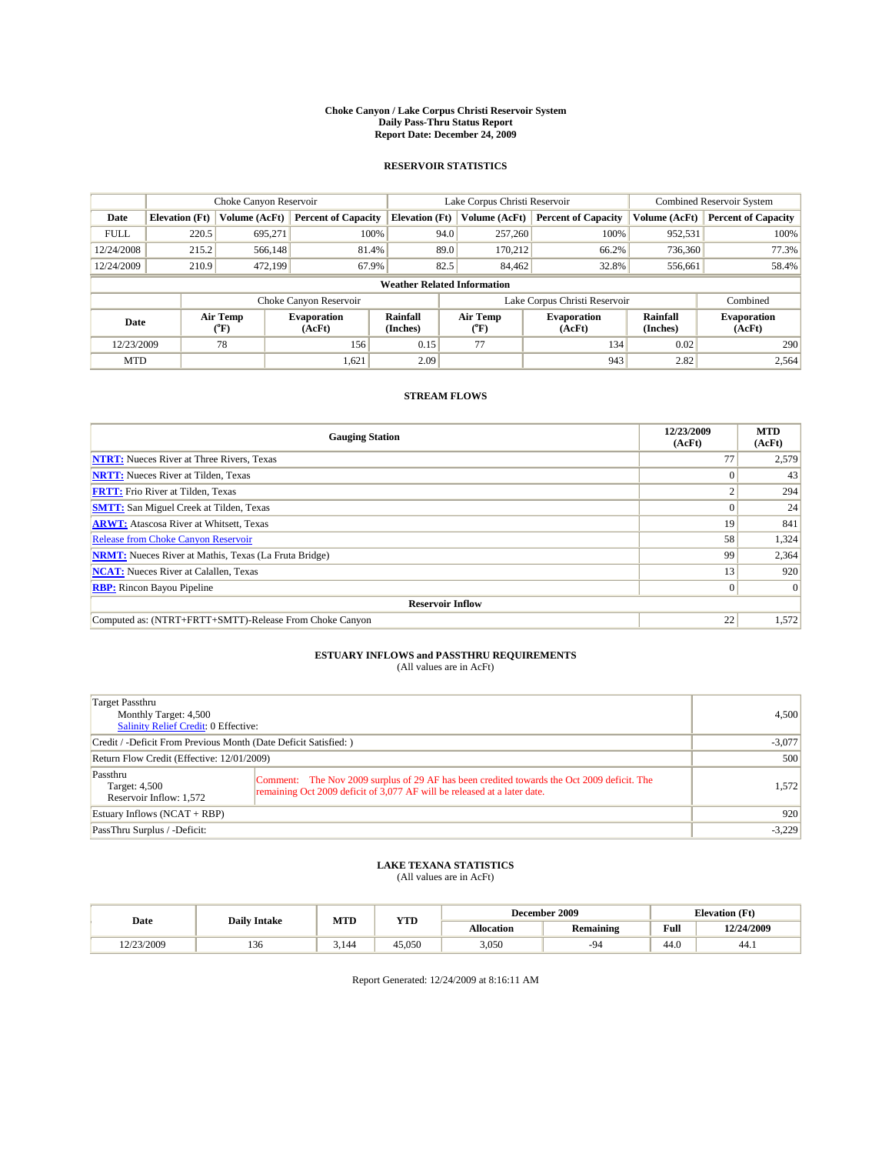#### **Choke Canyon / Lake Corpus Christi Reservoir System Daily Pass-Thru Status Report Report Date: December 24, 2009**

### **RESERVOIR STATISTICS**

|             | Choke Canyon Reservoir |                      |                              |                                    | Lake Corpus Christi Reservoir | <b>Combined Reservoir System</b> |                      |                              |
|-------------|------------------------|----------------------|------------------------------|------------------------------------|-------------------------------|----------------------------------|----------------------|------------------------------|
| Date        | <b>Elevation</b> (Ft)  | <b>Volume (AcFt)</b> | <b>Percent of Capacity</b>   | <b>Elevation</b> (Ft)              | Volume (AcFt)                 | <b>Percent of Capacity</b>       | Volume (AcFt)        | <b>Percent of Capacity</b>   |
| <b>FULL</b> | 220.5                  | 695,271              | 100%                         | 94.0                               | 257,260                       | 100%                             | 952,531              | 100%                         |
| 12/24/2008  | 215.2                  | 566,148              | 81.4%                        | 89.0                               | 170,212                       | 66.2%                            | 736,360              | 77.3%                        |
| 12/24/2009  | 210.9                  | 472,199              | 67.9%                        | 82.5                               | 84,462                        | 32.8%                            | 556,661              | 58.4%                        |
|             |                        |                      |                              | <b>Weather Related Information</b> |                               |                                  |                      |                              |
|             |                        |                      | Choke Canyon Reservoir       |                                    | Lake Corpus Christi Reservoir |                                  |                      | Combined                     |
| Date        |                        | Air Temp<br>(°F)     | <b>Evaporation</b><br>(AcFt) | <b>Rainfall</b><br>(Inches)        | Air Temp<br>(°F)              | <b>Evaporation</b><br>(AcFt)     | Rainfall<br>(Inches) | <b>Evaporation</b><br>(AcFt) |
| 12/23/2009  |                        | 78                   | 156                          | 0.15                               | 77                            | 134                              | 0.02                 | 290                          |
| <b>MTD</b>  |                        |                      | 1,621                        | 2.09                               |                               | 943                              | 2.82                 | 2,564                        |

## **STREAM FLOWS**

| <b>Gauging Station</b>                                       | 12/23/2009<br>(AcFt) | <b>MTD</b><br>(AcFt) |
|--------------------------------------------------------------|----------------------|----------------------|
| <b>NTRT:</b> Nueces River at Three Rivers, Texas             | 77                   | 2,579                |
| <b>NRTT:</b> Nueces River at Tilden, Texas                   |                      | 43                   |
| <b>FRTT:</b> Frio River at Tilden, Texas                     |                      | 294                  |
| <b>SMTT:</b> San Miguel Creek at Tilden, Texas               |                      | 24                   |
| <b>ARWT:</b> Atascosa River at Whitsett, Texas               | 19                   | 841                  |
| <b>Release from Choke Canyon Reservoir</b>                   | 58                   | 1,324                |
| <b>NRMT:</b> Nueces River at Mathis, Texas (La Fruta Bridge) | 99                   | 2,364                |
| <b>NCAT:</b> Nueces River at Calallen, Texas                 | 13                   | 920                  |
| <b>RBP:</b> Rincon Bayou Pipeline                            | $\overline{0}$       | $\Omega$             |
| <b>Reservoir Inflow</b>                                      |                      |                      |
| Computed as: (NTRT+FRTT+SMTT)-Release From Choke Canyon      | 22                   | 1,572                |

# **ESTUARY INFLOWS and PASSTHRU REQUIREMENTS**<br>(All values are in AcFt)

| Target Passthru<br>Monthly Target: 4,500<br>Salinity Relief Credit: 0 Effective: |                                                                                                                                                                        | 4.500 |
|----------------------------------------------------------------------------------|------------------------------------------------------------------------------------------------------------------------------------------------------------------------|-------|
| Credit / -Deficit From Previous Month (Date Deficit Satisfied: )                 | $-3,077$                                                                                                                                                               |       |
| Return Flow Credit (Effective: 12/01/2009)                                       | 500                                                                                                                                                                    |       |
| Passthru<br>Target: 4,500<br>Reservoir Inflow: 1,572                             | Comment: The Nov 2009 surplus of 29 AF has been credited towards the Oct 2009 deficit. The<br>remaining Oct 2009 deficit of 3,077 AF will be released at a later date. | 1,572 |
| Estuary Inflows (NCAT + RBP)                                                     | 920                                                                                                                                                                    |       |
| PassThru Surplus / -Deficit:                                                     | $-3,229$                                                                                                                                                               |       |

## **LAKE TEXANA STATISTICS** (All values are in AcFt)

|            | <b>Daily Intake</b> | MTD   | <b>YTD</b> | December 2009 |                  |                    | <b>Elevation</b> (Ft) |
|------------|---------------------|-------|------------|---------------|------------------|--------------------|-----------------------|
| Date       |                     |       |            | Allocation    | <b>Remaining</b> | Full               | 12/24/2009            |
| 12/23/2009 | 136                 | 3.144 | 45.050     | 3,050         | -94              | $\sqrt{ }$<br>44.0 | 44.1                  |

Report Generated: 12/24/2009 at 8:16:11 AM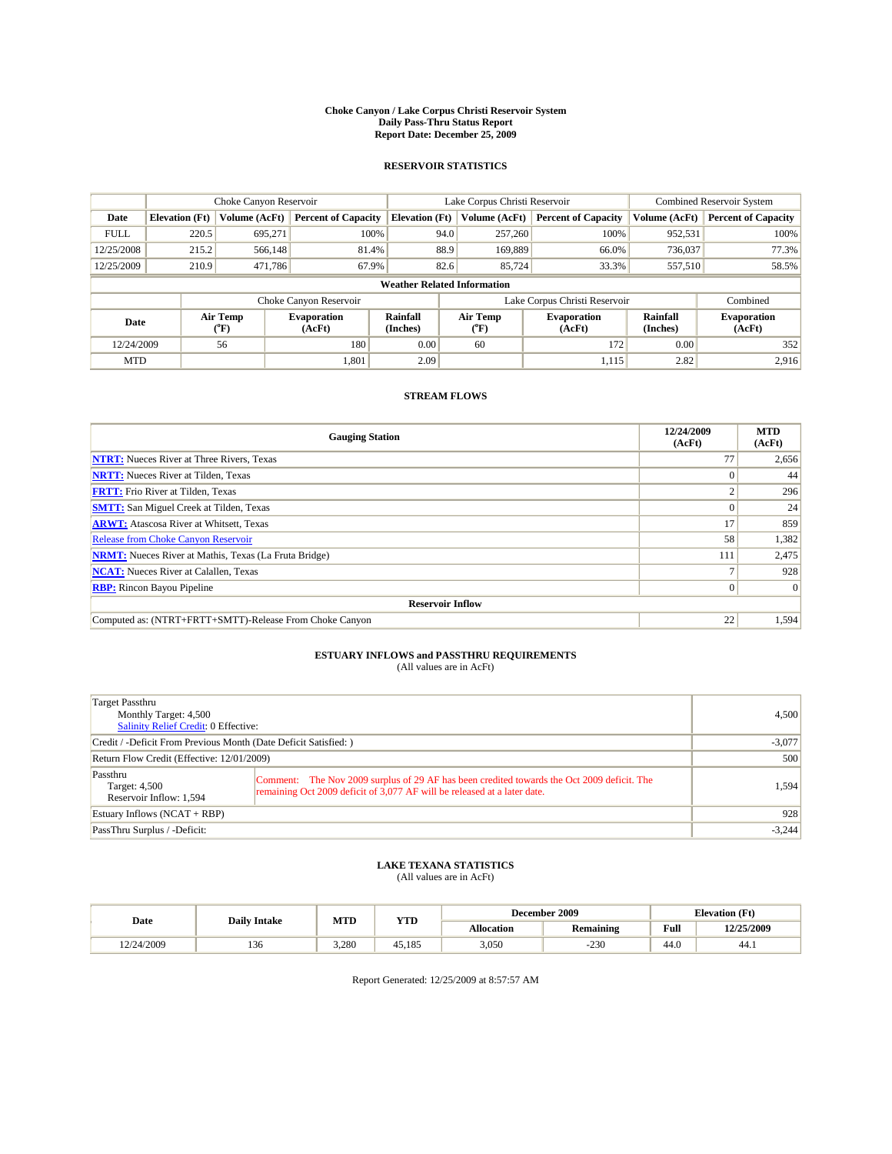#### **Choke Canyon / Lake Corpus Christi Reservoir System Daily Pass-Thru Status Report Report Date: December 25, 2009**

### **RESERVOIR STATISTICS**

|             | Choke Canyon Reservoir                                                                                                                                |               |                            |                                    | Lake Corpus Christi Reservoir | <b>Combined Reservoir System</b> |               |                            |
|-------------|-------------------------------------------------------------------------------------------------------------------------------------------------------|---------------|----------------------------|------------------------------------|-------------------------------|----------------------------------|---------------|----------------------------|
| Date        | <b>Elevation</b> (Ft)                                                                                                                                 | Volume (AcFt) | <b>Percent of Capacity</b> | <b>Elevation (Ft)</b>              | Volume (AcFt)                 | <b>Percent of Capacity</b>       | Volume (AcFt) | <b>Percent of Capacity</b> |
| <b>FULL</b> | 220.5                                                                                                                                                 | 695,271       | 100%                       | 94.0                               | 257,260                       | 100%                             | 952,531       | 100%                       |
| 12/25/2008  | 215.2                                                                                                                                                 | 566,148       | 81.4%                      | 88.9                               | 169,889                       | 66.0%                            | 736,037       | 77.3%                      |
| 12/25/2009  | 210.9                                                                                                                                                 | 471,786       | 67.9%                      | 82.6                               | 85,724                        | 33.3%                            | 557,510       | 58.5%                      |
|             |                                                                                                                                                       |               |                            | <b>Weather Related Information</b> |                               |                                  |               |                            |
|             |                                                                                                                                                       |               | Choke Canyon Reservoir     |                                    | Lake Corpus Christi Reservoir |                                  |               | Combined                   |
|             | Rainfall<br>Air Temp<br>Air Temp<br><b>Evaporation</b><br><b>Evaporation</b><br>Date<br>(Inches)<br>(AcFt)<br>(AcFt)<br>(°F)<br>$({}^{\circ}{\rm F})$ |               | Rainfall<br>(Inches)       | <b>Evaporation</b><br>(AcFt)       |                               |                                  |               |                            |
| 12/24/2009  |                                                                                                                                                       | 56            | 180                        | 0.00                               | 60                            | 172                              | 0.00          | 352                        |
| <b>MTD</b>  |                                                                                                                                                       |               | 1,801                      | 2.09                               |                               | 1,115                            | 2.82          | 2.916                      |

## **STREAM FLOWS**

| <b>Gauging Station</b>                                       | 12/24/2009<br>(AcFt) | <b>MTD</b><br>(AcFt) |  |  |  |  |
|--------------------------------------------------------------|----------------------|----------------------|--|--|--|--|
| <b>NTRT:</b> Nueces River at Three Rivers, Texas             | 77                   | 2,656                |  |  |  |  |
| <b>NRTT:</b> Nueces River at Tilden, Texas                   |                      | 44                   |  |  |  |  |
| <b>FRTT:</b> Frio River at Tilden, Texas                     |                      | 296                  |  |  |  |  |
| <b>SMTT:</b> San Miguel Creek at Tilden, Texas               |                      | 24                   |  |  |  |  |
| <b>ARWT:</b> Atascosa River at Whitsett, Texas               | 17                   | 859                  |  |  |  |  |
| Release from Choke Canyon Reservoir                          | 58                   | 1,382                |  |  |  |  |
| <b>NRMT:</b> Nueces River at Mathis, Texas (La Fruta Bridge) | 111                  | 2,475                |  |  |  |  |
| <b>NCAT:</b> Nueces River at Calallen, Texas                 |                      | 928                  |  |  |  |  |
| <b>RBP:</b> Rincon Bayou Pipeline                            | $\Omega$             | $\Omega$             |  |  |  |  |
| <b>Reservoir Inflow</b>                                      |                      |                      |  |  |  |  |
| Computed as: (NTRT+FRTT+SMTT)-Release From Choke Canyon      | 22                   | 1,594                |  |  |  |  |

# **ESTUARY INFLOWS and PASSTHRU REQUIREMENTS**<br>(All values are in AcFt)

| Target Passthru<br>Monthly Target: 4,500<br>Salinity Relief Credit: 0 Effective: |                                                                                                                                                                        | 4,500    |  |  |
|----------------------------------------------------------------------------------|------------------------------------------------------------------------------------------------------------------------------------------------------------------------|----------|--|--|
| Credit / -Deficit From Previous Month (Date Deficit Satisfied: )                 |                                                                                                                                                                        |          |  |  |
| Return Flow Credit (Effective: 12/01/2009)                                       |                                                                                                                                                                        |          |  |  |
| Passthru<br>Target: 4,500<br>Reservoir Inflow: 1,594                             | Comment: The Nov 2009 surplus of 29 AF has been credited towards the Oct 2009 deficit. The<br>remaining Oct 2009 deficit of 3,077 AF will be released at a later date. | 1,594    |  |  |
| Estuary Inflows $(NCAT + RBP)$                                                   |                                                                                                                                                                        |          |  |  |
| PassThru Surplus / -Deficit:                                                     |                                                                                                                                                                        | $-3,244$ |  |  |

## **LAKE TEXANA STATISTICS** (All values are in AcFt)

|            | <b>Daily Intake</b> |       | <b>YTD</b> | December 2009     |                  |      | <b>Elevation</b> (Ft) |  |
|------------|---------------------|-------|------------|-------------------|------------------|------|-----------------------|--|
| Date       |                     | MTD   |            | <b>Allocation</b> | <b>Remaining</b> | Full | 12/25/2009            |  |
| 12/24/2009 | 136                 | 3.280 | 45.185     | 3,050             | $-230$           | 44.0 | 44.1                  |  |

Report Generated: 12/25/2009 at 8:57:57 AM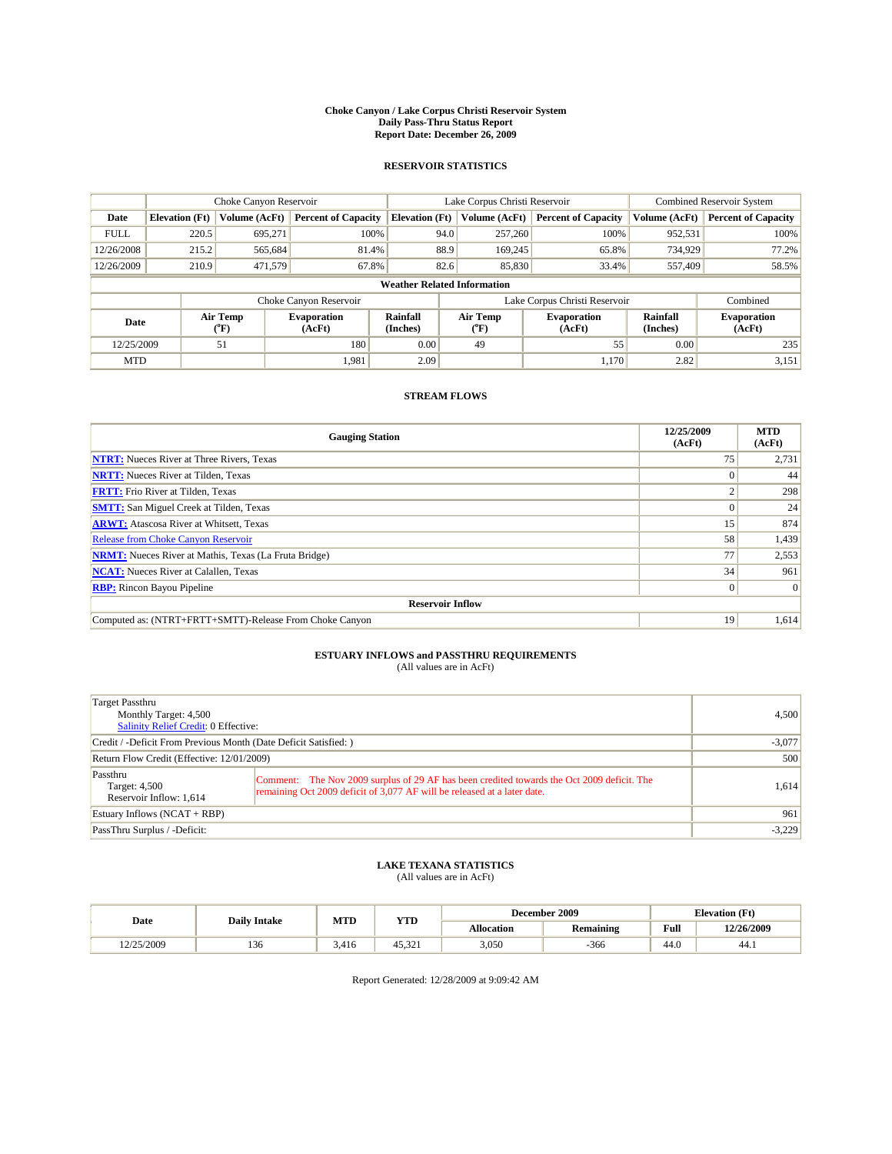#### **Choke Canyon / Lake Corpus Christi Reservoir System Daily Pass-Thru Status Report Report Date: December 26, 2009**

### **RESERVOIR STATISTICS**

|             | Choke Canyon Reservoir                                                                                                                                |               |                            |                                    | Lake Corpus Christi Reservoir | <b>Combined Reservoir System</b> |               |                            |
|-------------|-------------------------------------------------------------------------------------------------------------------------------------------------------|---------------|----------------------------|------------------------------------|-------------------------------|----------------------------------|---------------|----------------------------|
| Date        | <b>Elevation</b> (Ft)                                                                                                                                 | Volume (AcFt) | <b>Percent of Capacity</b> | <b>Elevation (Ft)</b>              | Volume (AcFt)                 | <b>Percent of Capacity</b>       | Volume (AcFt) | <b>Percent of Capacity</b> |
| <b>FULL</b> | 220.5                                                                                                                                                 | 695,271       | 100%                       | 94.0                               | 257,260                       | 100%                             | 952,531       | 100%                       |
| 12/26/2008  | 215.2                                                                                                                                                 | 565,684       | 81.4%                      | 88.9                               | 169,245                       | 65.8%                            | 734,929       | 77.2%                      |
| 12/26/2009  | 210.9                                                                                                                                                 | 471,579       | 67.8%                      | 82.6                               | 85,830                        | 33.4%                            | 557,409       | 58.5%                      |
|             |                                                                                                                                                       |               |                            | <b>Weather Related Information</b> |                               |                                  |               |                            |
|             |                                                                                                                                                       |               | Choke Canyon Reservoir     |                                    | Lake Corpus Christi Reservoir |                                  |               | Combined                   |
|             | Rainfall<br>Air Temp<br>Air Temp<br><b>Evaporation</b><br><b>Evaporation</b><br>Date<br>(Inches)<br>(AcFt)<br>(°F)<br>(AcFt)<br>$({}^{\circ}{\rm F})$ |               | Rainfall<br>(Inches)       | <b>Evaporation</b><br>(AcFt)       |                               |                                  |               |                            |
| 12/25/2009  |                                                                                                                                                       | 51            | 180                        | 0.00                               | 49                            | 55                               | 0.00          | 235                        |
| <b>MTD</b>  |                                                                                                                                                       |               | 1,981                      | 2.09                               |                               | 1.170                            | 2.82          | 3,151                      |

## **STREAM FLOWS**

| <b>Gauging Station</b>                                       | 12/25/2009<br>(AcFt) | <b>MTD</b><br>(AcFt) |
|--------------------------------------------------------------|----------------------|----------------------|
| <b>NTRT:</b> Nueces River at Three Rivers, Texas             | 75                   | 2,731                |
| <b>NRTT:</b> Nueces River at Tilden, Texas                   |                      | 44                   |
| <b>FRTT:</b> Frio River at Tilden, Texas                     |                      | 298                  |
| <b>SMTT:</b> San Miguel Creek at Tilden, Texas               |                      | 24                   |
| <b>ARWT:</b> Atascosa River at Whitsett, Texas               | 15 <sup>1</sup>      | 874                  |
| Release from Choke Canyon Reservoir                          | 58                   | 1,439                |
| <b>NRMT:</b> Nueces River at Mathis, Texas (La Fruta Bridge) | 77                   | 2,553                |
| <b>NCAT:</b> Nueces River at Calallen, Texas                 | 34                   | 961                  |
| <b>RBP:</b> Rincon Bayou Pipeline                            | $\overline{0}$       | $\Omega$             |
| <b>Reservoir Inflow</b>                                      |                      |                      |
| Computed as: (NTRT+FRTT+SMTT)-Release From Choke Canyon      | 19                   | 1,614                |

# **ESTUARY INFLOWS and PASSTHRU REQUIREMENTS**<br>(All values are in AcFt)

| Target Passthru<br>Monthly Target: 4,500<br><b>Salinity Relief Credit: 0 Effective:</b> |                                                                                                                                                                        | 4,500    |  |  |
|-----------------------------------------------------------------------------------------|------------------------------------------------------------------------------------------------------------------------------------------------------------------------|----------|--|--|
| Credit / -Deficit From Previous Month (Date Deficit Satisfied: )                        |                                                                                                                                                                        |          |  |  |
| Return Flow Credit (Effective: 12/01/2009)                                              |                                                                                                                                                                        |          |  |  |
| Passthru<br>Target: 4,500<br>Reservoir Inflow: 1,614                                    | Comment: The Nov 2009 surplus of 29 AF has been credited towards the Oct 2009 deficit. The<br>remaining Oct 2009 deficit of 3,077 AF will be released at a later date. | 1.614    |  |  |
| Estuary Inflows $(NCAT + RBP)$                                                          |                                                                                                                                                                        |          |  |  |
| PassThru Surplus / -Deficit:                                                            |                                                                                                                                                                        | $-3,229$ |  |  |

## **LAKE TEXANA STATISTICS** (All values are in AcFt)

|            | <b>Daily Intake</b> |       | <b>YTD</b>         | December 2009     |                  | <b>Elevation</b> (Ft)                       |            |
|------------|---------------------|-------|--------------------|-------------------|------------------|---------------------------------------------|------------|
| Date       |                     | MTD   |                    | <b>Allocation</b> | <b>Remaining</b> | Full<br>the contract of the contract of the | 12/26/2009 |
| 12/25/2009 | 136                 | 3.416 | 45.32 <sub>1</sub> | 3,050             | $-366$           | 44.0                                        | 44.)       |

Report Generated: 12/28/2009 at 9:09:42 AM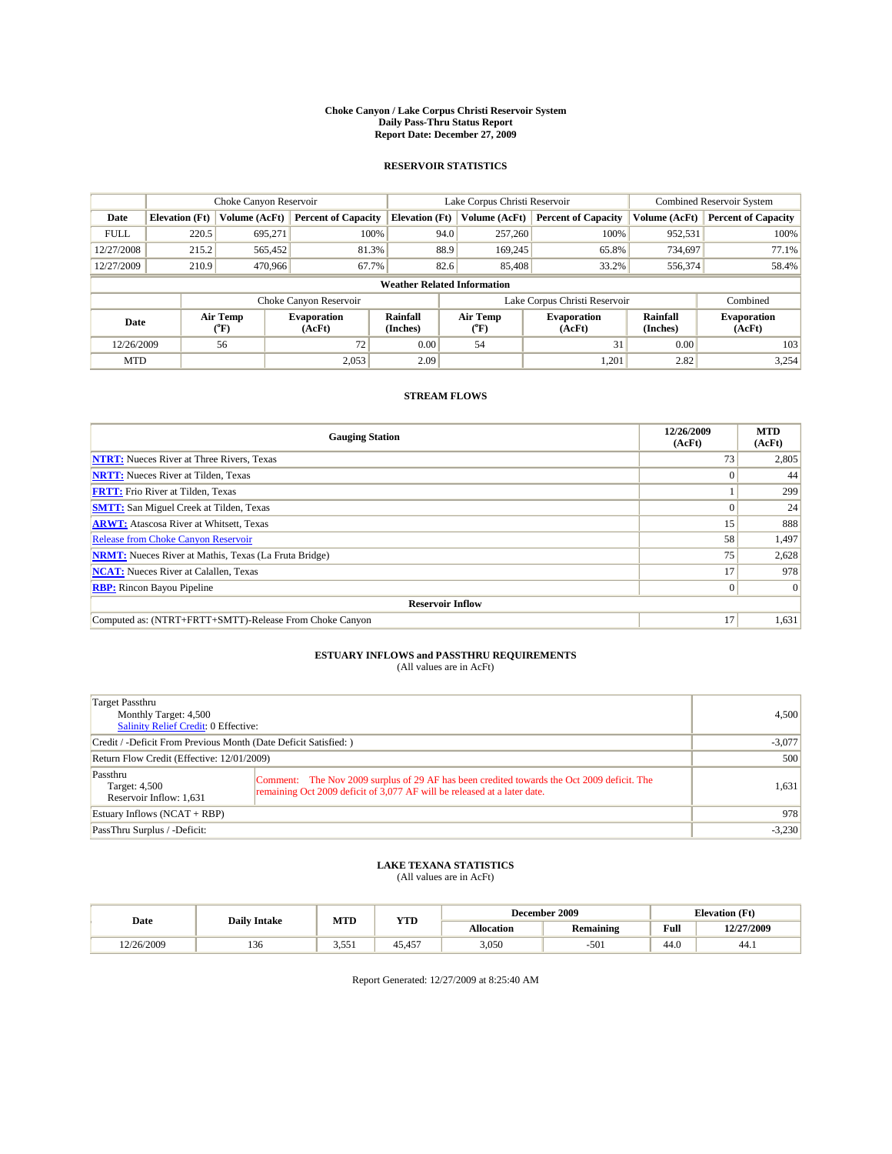#### **Choke Canyon / Lake Corpus Christi Reservoir System Daily Pass-Thru Status Report Report Date: December 27, 2009**

### **RESERVOIR STATISTICS**

|             | Choke Canyon Reservoir                                                                                                               |               |                            |                                    | Lake Corpus Christi Reservoir | <b>Combined Reservoir System</b> |               |                            |
|-------------|--------------------------------------------------------------------------------------------------------------------------------------|---------------|----------------------------|------------------------------------|-------------------------------|----------------------------------|---------------|----------------------------|
| Date        | <b>Elevation</b> (Ft)                                                                                                                | Volume (AcFt) | <b>Percent of Capacity</b> | <b>Elevation</b> (Ft)              | Volume (AcFt)                 | <b>Percent of Capacity</b>       | Volume (AcFt) | <b>Percent of Capacity</b> |
| <b>FULL</b> | 220.5                                                                                                                                | 695,271       | 100%                       | 94.0                               | 257,260                       | 100%                             | 952,531       | 100%                       |
| 12/27/2008  | 215.2                                                                                                                                | 565,452       | 81.3%                      | 88.9                               | 169,245                       | 65.8%                            | 734,697       | 77.1%                      |
| 12/27/2009  | 210.9                                                                                                                                | 470,966       | 67.7%                      | 82.6                               | 85,408                        | 33.2%                            | 556,374       | 58.4%                      |
|             |                                                                                                                                      |               |                            | <b>Weather Related Information</b> |                               |                                  |               |                            |
|             |                                                                                                                                      |               | Choke Canyon Reservoir     |                                    | Lake Corpus Christi Reservoir |                                  |               | Combined                   |
|             | Rainfall<br>Air Temp<br>Air Temp<br><b>Evaporation</b><br><b>Evaporation</b><br>Date<br>(Inches)<br>(AcFt)<br>(°F)<br>(AcFt)<br>("F) |               | Rainfall<br>(Inches)       | <b>Evaporation</b><br>(AcFt)       |                               |                                  |               |                            |
| 12/26/2009  |                                                                                                                                      | 56            | 72                         | 0.00                               | 54                            | 31                               | 0.00          | 103                        |
| <b>MTD</b>  |                                                                                                                                      |               | 2.053                      | 2.09                               |                               | 1,201                            | 2.82          | 3,254                      |

## **STREAM FLOWS**

| <b>Gauging Station</b>                                       | 12/26/2009<br>(AcFt) | <b>MTD</b><br>(AcFt) |  |  |  |  |
|--------------------------------------------------------------|----------------------|----------------------|--|--|--|--|
| <b>NTRT:</b> Nueces River at Three Rivers, Texas             | 73                   | 2,805                |  |  |  |  |
| <b>NRTT:</b> Nueces River at Tilden, Texas                   |                      | 44                   |  |  |  |  |
| <b>FRTT:</b> Frio River at Tilden, Texas                     |                      | 299                  |  |  |  |  |
| <b>SMTT:</b> San Miguel Creek at Tilden, Texas               |                      | 24                   |  |  |  |  |
| <b>ARWT:</b> Atascosa River at Whitsett, Texas               | 15 <sup>1</sup>      | 888                  |  |  |  |  |
| <b>Release from Choke Canyon Reservoir</b>                   | 58                   | 1,497                |  |  |  |  |
| <b>NRMT:</b> Nueces River at Mathis, Texas (La Fruta Bridge) | 75                   | 2,628                |  |  |  |  |
| <b>NCAT:</b> Nueces River at Calallen, Texas                 | 17                   | 978                  |  |  |  |  |
| <b>RBP:</b> Rincon Bayou Pipeline                            | $\overline{0}$       | $\Omega$             |  |  |  |  |
| <b>Reservoir Inflow</b>                                      |                      |                      |  |  |  |  |
| Computed as: (NTRT+FRTT+SMTT)-Release From Choke Canyon      | 17                   | 1,631                |  |  |  |  |

# **ESTUARY INFLOWS and PASSTHRU REQUIREMENTS**<br>(All values are in AcFt)

| Target Passthru<br>Monthly Target: 4,500<br><b>Salinity Relief Credit: 0 Effective:</b> | 4,500                                                                                                                                                                  |       |
|-----------------------------------------------------------------------------------------|------------------------------------------------------------------------------------------------------------------------------------------------------------------------|-------|
| Credit / -Deficit From Previous Month (Date Deficit Satisfied: )                        | $-3,077$                                                                                                                                                               |       |
| Return Flow Credit (Effective: 12/01/2009)                                              | 500                                                                                                                                                                    |       |
| Passthru<br>Target: 4,500<br>Reservoir Inflow: 1,631                                    | Comment: The Nov 2009 surplus of 29 AF has been credited towards the Oct 2009 deficit. The<br>remaining Oct 2009 deficit of 3,077 AF will be released at a later date. | 1,631 |
| Estuary Inflows (NCAT + RBP)                                                            | 978                                                                                                                                                                    |       |
| PassThru Surplus / -Deficit:                                                            | $-3,230$                                                                                                                                                               |       |

## **LAKE TEXANA STATISTICS** (All values are in AcFt)

|            | <b>Daily Intake</b> | MTD<br><b>YTD</b> |        |                   | December 2009    |                                             | <b>Elevation</b> (Ft) |
|------------|---------------------|-------------------|--------|-------------------|------------------|---------------------------------------------|-----------------------|
| Date       |                     |                   |        | <b>Allocation</b> | <b>Remaining</b> | Full<br>the contract of the contract of the | 12/27/2009            |
| 12/26/2009 | 136                 | 3.551             | 45.457 | 3,050             | $-501$           | 44.0                                        | 44.)                  |

Report Generated: 12/27/2009 at 8:25:40 AM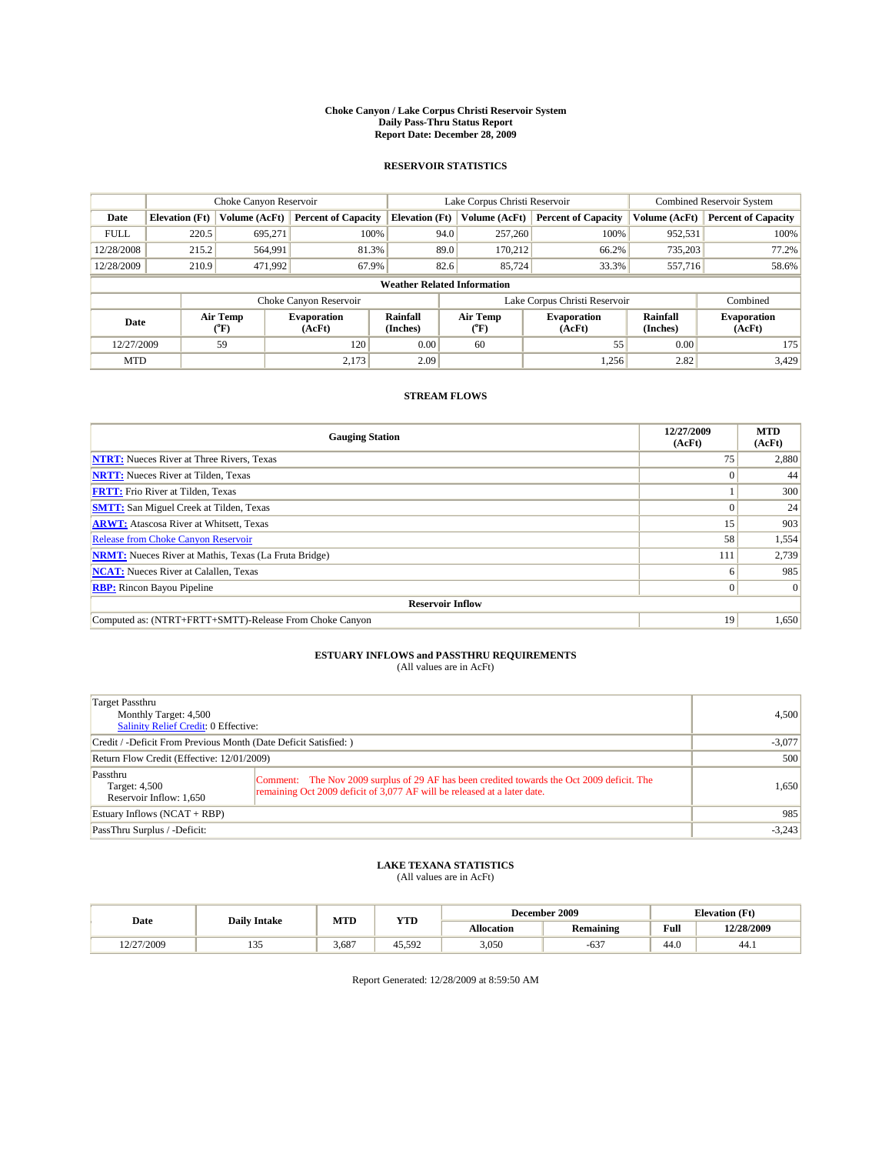#### **Choke Canyon / Lake Corpus Christi Reservoir System Daily Pass-Thru Status Report Report Date: December 28, 2009**

### **RESERVOIR STATISTICS**

|             | Choke Canyon Reservoir |                  |                              |                                    | Lake Corpus Christi Reservoir | <b>Combined Reservoir System</b> |                      |                              |
|-------------|------------------------|------------------|------------------------------|------------------------------------|-------------------------------|----------------------------------|----------------------|------------------------------|
| Date        | <b>Elevation</b> (Ft)  | Volume (AcFt)    | <b>Percent of Capacity</b>   | <b>Elevation</b> (Ft)              | Volume (AcFt)                 | <b>Percent of Capacity</b>       | Volume (AcFt)        | <b>Percent of Capacity</b>   |
| <b>FULL</b> | 220.5                  | 695,271          | 100%                         | 94.0                               | 257,260                       | 100%                             | 952,531              | 100%                         |
| 12/28/2008  | 215.2                  | 564,991          | 81.3%                        | 89.0                               | 170,212                       | 66.2%                            | 735,203              | 77.2%                        |
| 12/28/2009  | 210.9                  | 471,992          | 67.9%                        | 82.6                               | 85.724                        | 33.3%                            | 557,716              | 58.6%                        |
|             |                        |                  |                              | <b>Weather Related Information</b> |                               |                                  |                      |                              |
|             |                        |                  | Choke Canyon Reservoir       |                                    | Lake Corpus Christi Reservoir |                                  |                      | Combined                     |
| Date        |                        | Air Temp<br>(°F) | <b>Evaporation</b><br>(AcFt) | <b>Rainfall</b><br>(Inches)        | Air Temp<br>(°F)              | <b>Evaporation</b><br>(AcFt)     | Rainfall<br>(Inches) | <b>Evaporation</b><br>(AcFt) |
| 12/27/2009  |                        | 59               | 120                          | 0.00                               | 60                            | 55                               | 0.00                 | 175                          |
| <b>MTD</b>  |                        |                  | 2,173                        | 2.09                               |                               | 1,256                            | 2.82                 | 3.429                        |

## **STREAM FLOWS**

| <b>Gauging Station</b>                                       | 12/27/2009<br>(AcFt) | <b>MTD</b><br>(AcFt) |
|--------------------------------------------------------------|----------------------|----------------------|
| <b>NTRT:</b> Nueces River at Three Rivers, Texas             | 75                   | 2,880                |
| <b>NRTT:</b> Nueces River at Tilden, Texas                   |                      | 44                   |
| <b>FRTT:</b> Frio River at Tilden, Texas                     |                      | 300                  |
| <b>SMTT:</b> San Miguel Creek at Tilden, Texas               |                      | 24                   |
| <b>ARWT:</b> Atascosa River at Whitsett, Texas               | 15 <sup>1</sup>      | 903                  |
| Release from Choke Canyon Reservoir                          | 58                   | 1,554                |
| <b>NRMT:</b> Nueces River at Mathis, Texas (La Fruta Bridge) | 111                  | 2,739                |
| <b>NCAT:</b> Nueces River at Calallen, Texas                 | 6                    | 985                  |
| <b>RBP:</b> Rincon Bayou Pipeline                            | $\overline{0}$       | $\Omega$             |
| <b>Reservoir Inflow</b>                                      |                      |                      |
| Computed as: (NTRT+FRTT+SMTT)-Release From Choke Canyon      | 19                   | 1,650                |

# **ESTUARY INFLOWS and PASSTHRU REQUIREMENTS**<br>(All values are in AcFt)

| <b>Target Passthru</b><br>Monthly Target: 4,500<br>Salinity Relief Credit: 0 Effective: |                                                                                                                                                                        | 4.500    |  |
|-----------------------------------------------------------------------------------------|------------------------------------------------------------------------------------------------------------------------------------------------------------------------|----------|--|
| Credit / -Deficit From Previous Month (Date Deficit Satisfied:)                         |                                                                                                                                                                        | $-3,077$ |  |
| Return Flow Credit (Effective: 12/01/2009)                                              |                                                                                                                                                                        |          |  |
| Passthru<br>Target: 4,500<br>Reservoir Inflow: 1,650                                    | Comment: The Nov 2009 surplus of 29 AF has been credited towards the Oct 2009 deficit. The<br>remaining Oct 2009 deficit of 3,077 AF will be released at a later date. | 1,650    |  |
| Estuary Inflows $(NCAT + RBP)$                                                          |                                                                                                                                                                        | 985      |  |
| PassThru Surplus / -Deficit:                                                            |                                                                                                                                                                        | $-3,243$ |  |

## **LAKE TEXANA STATISTICS** (All values are in AcFt)

|            |                        | MTD   | <b>YTD</b> |            | December 2009    | <b>Elevation</b> (Ft) |            |
|------------|------------------------|-------|------------|------------|------------------|-----------------------|------------|
| Date       | <b>Daily Intake</b>    |       |            | Allocation | <b>Remaining</b> | Full                  | 12/28/2009 |
| 12/27/2009 | $\sim$ $\sim$<br>ر د د | 3.687 | 45.592     | 3,050      | $-637$           | 44.0                  | 44.1       |

Report Generated: 12/28/2009 at 8:59:50 AM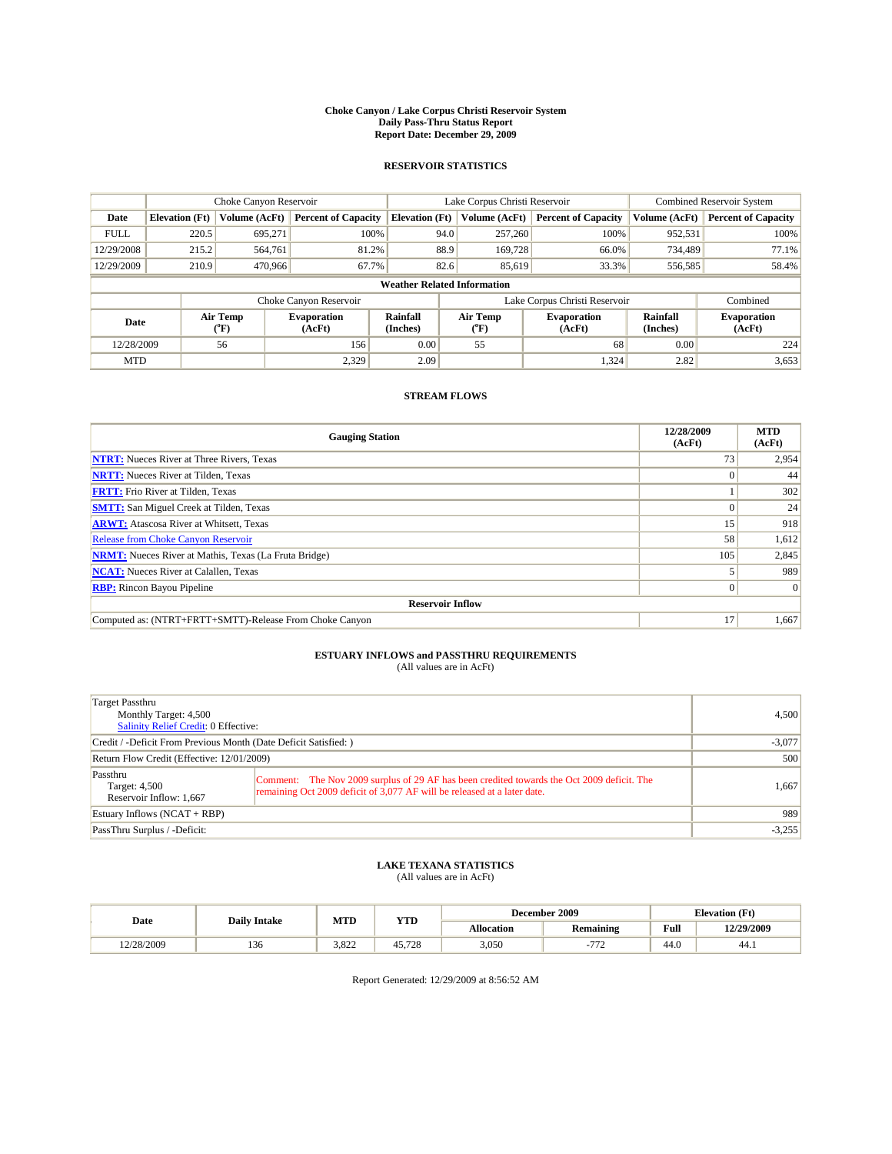#### **Choke Canyon / Lake Corpus Christi Reservoir System Daily Pass-Thru Status Report Report Date: December 29, 2009**

### **RESERVOIR STATISTICS**

|             | Choke Canyon Reservoir |                  |                              |                             | Lake Corpus Christi Reservoir      | <b>Combined Reservoir System</b> |                      |                              |
|-------------|------------------------|------------------|------------------------------|-----------------------------|------------------------------------|----------------------------------|----------------------|------------------------------|
| Date        | <b>Elevation</b> (Ft)  | Volume (AcFt)    | <b>Percent of Capacity</b>   | <b>Elevation (Ft)</b>       | Volume (AcFt)                      | <b>Percent of Capacity</b>       | Volume (AcFt)        | <b>Percent of Capacity</b>   |
| <b>FULL</b> | 220.5                  | 695,271          | 100%                         |                             | 257,260<br>94.0                    | 100%                             | 952,531              | 100%                         |
| 12/29/2008  | 215.2                  | 564,761          | 81.2%                        |                             | 88.9<br>169,728                    | 66.0%                            | 734,489              | 77.1%                        |
| 12/29/2009  | 210.9                  | 470,966          | 67.7%                        |                             | 82.6<br>85,619                     | 33.3%                            | 556,585              | 58.4%                        |
|             |                        |                  |                              |                             | <b>Weather Related Information</b> |                                  |                      |                              |
|             |                        |                  | Choke Canyon Reservoir       |                             | Lake Corpus Christi Reservoir      |                                  |                      | Combined                     |
| Date        |                        | Air Temp<br>(°F) | <b>Evaporation</b><br>(AcFt) | <b>Rainfall</b><br>(Inches) | Air Temp<br>(°F)                   | <b>Evaporation</b><br>(AcFt)     | Rainfall<br>(Inches) | <b>Evaporation</b><br>(AcFt) |
| 12/28/2009  |                        | 56               | 156                          | 0.00                        | 55                                 | 68                               | 0.00                 | 224                          |
| <b>MTD</b>  |                        |                  | 2.329                        | 2.09                        |                                    | 1,324                            | 2.82                 | 3,653                        |

## **STREAM FLOWS**

| <b>Gauging Station</b>                                       | 12/28/2009<br>(AcFt) | <b>MTD</b><br>(AcFt) |
|--------------------------------------------------------------|----------------------|----------------------|
| <b>NTRT:</b> Nueces River at Three Rivers, Texas             | 73                   | 2,954                |
| <b>NRTT:</b> Nueces River at Tilden, Texas                   |                      | 44                   |
| <b>FRTT:</b> Frio River at Tilden, Texas                     |                      | 302                  |
| <b>SMTT:</b> San Miguel Creek at Tilden, Texas               |                      | 24                   |
| <b>ARWT:</b> Atascosa River at Whitsett, Texas               | 15                   | 918                  |
| <b>Release from Choke Canyon Reservoir</b>                   | 58                   | 1,612                |
| <b>NRMT:</b> Nueces River at Mathis, Texas (La Fruta Bridge) | 105                  | 2,845                |
| <b>NCAT:</b> Nueces River at Calallen, Texas                 |                      | 989                  |
| <b>RBP:</b> Rincon Bayou Pipeline                            | $\Omega$             | $\Omega$             |
| <b>Reservoir Inflow</b>                                      |                      |                      |
| Computed as: (NTRT+FRTT+SMTT)-Release From Choke Canyon      | 17                   | 1,667                |

# **ESTUARY INFLOWS and PASSTHRU REQUIREMENTS**<br>(All values are in AcFt)

| Target Passthru<br>Monthly Target: 4,500<br>Salinity Relief Credit: 0 Effective: |                                                                                                                                                                        | 4,500    |
|----------------------------------------------------------------------------------|------------------------------------------------------------------------------------------------------------------------------------------------------------------------|----------|
| Credit / -Deficit From Previous Month (Date Deficit Satisfied: )                 |                                                                                                                                                                        | $-3,077$ |
| Return Flow Credit (Effective: 12/01/2009)                                       |                                                                                                                                                                        | 500      |
| Passthru<br>Target: 4,500<br>Reservoir Inflow: 1,667                             | Comment: The Nov 2009 surplus of 29 AF has been credited towards the Oct 2009 deficit. The<br>remaining Oct 2009 deficit of 3,077 AF will be released at a later date. | 1,667    |
| Estuary Inflows (NCAT + RBP)                                                     |                                                                                                                                                                        | 989      |
| PassThru Surplus / -Deficit:                                                     |                                                                                                                                                                        | $-3,255$ |

## **LAKE TEXANA STATISTICS** (All values are in AcFt)

|            | <b>Daily Intake</b> | December 2009<br>MTD<br><b>YTD</b> |             |            |                  | <b>Elevation</b> (Ft)                       |            |
|------------|---------------------|------------------------------------|-------------|------------|------------------|---------------------------------------------|------------|
| Date       |                     |                                    |             | Allocation | <b>Remaining</b> | Full<br>the contract of the contract of the | 12/29/2009 |
| 12/28/2009 | 136                 | 3.822                              | .728<br>45. | 3,050      | 777              | 44.0                                        | 44.)       |

Report Generated: 12/29/2009 at 8:56:52 AM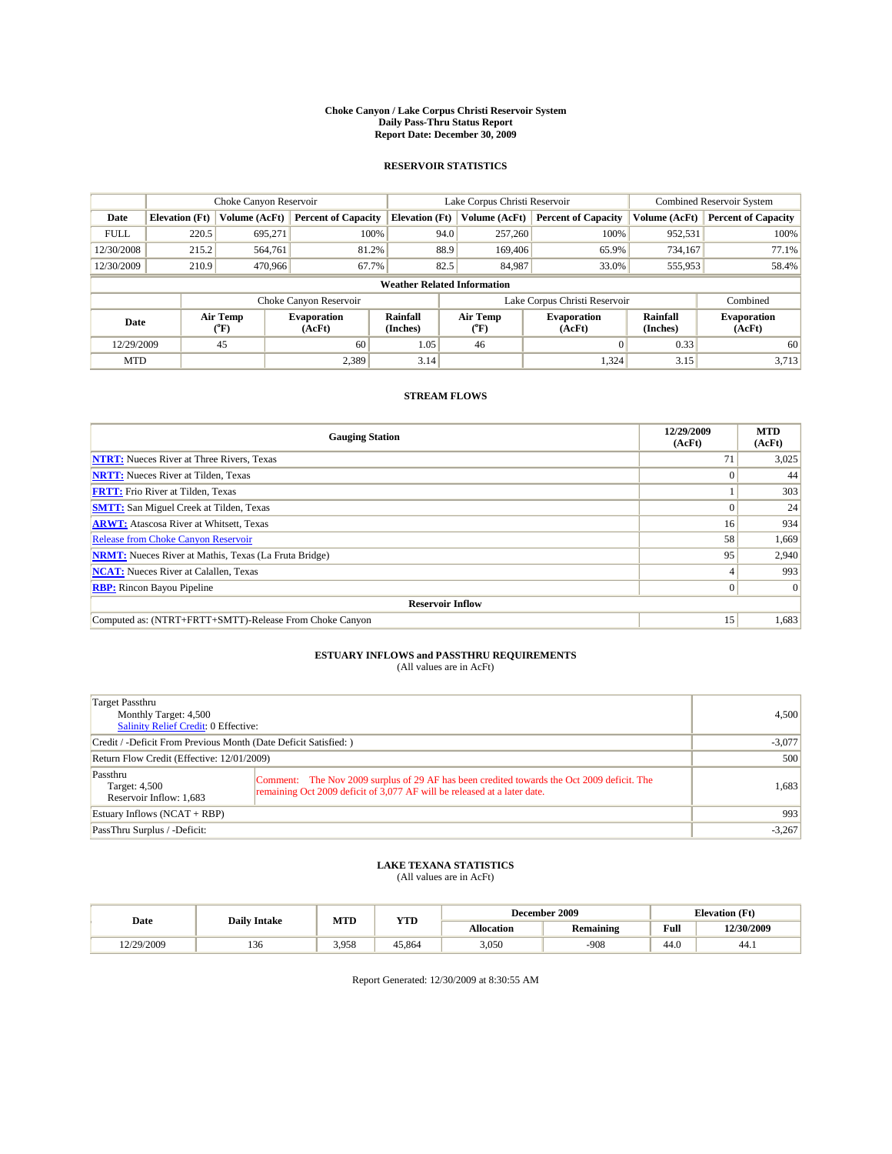#### **Choke Canyon / Lake Corpus Christi Reservoir System Daily Pass-Thru Status Report Report Date: December 30, 2009**

### **RESERVOIR STATISTICS**

|             | Choke Canyon Reservoir |                             |                              |                             | Lake Corpus Christi Reservoir      | <b>Combined Reservoir System</b> |                      |                              |
|-------------|------------------------|-----------------------------|------------------------------|-----------------------------|------------------------------------|----------------------------------|----------------------|------------------------------|
| Date        | <b>Elevation</b> (Ft)  | Volume (AcFt)               | <b>Percent of Capacity</b>   | <b>Elevation</b> (Ft)       | Volume (AcFt)                      | <b>Percent of Capacity</b>       | Volume (AcFt)        | <b>Percent of Capacity</b>   |
| <b>FULL</b> | 220.5                  | 695,271                     | 100%                         |                             | 257,260<br>94.0                    | 100%                             | 952,531              | 100%                         |
| 12/30/2008  | 215.2                  | 564,761                     | 81.2%                        |                             | 88.9<br>169,406                    | 65.9%                            | 734.167              | 77.1%                        |
| 12/30/2009  | 210.9                  | 470,966                     | 67.7%                        | 82.5                        | 84.987                             | 33.0%                            | 555,953              | 58.4%                        |
|             |                        |                             |                              |                             | <b>Weather Related Information</b> |                                  |                      |                              |
|             |                        |                             | Choke Canyon Reservoir       |                             | Lake Corpus Christi Reservoir      |                                  |                      | Combined                     |
| Date        |                        | Air Temp<br>${}^{\circ}$ F) | <b>Evaporation</b><br>(AcFt) | <b>Rainfall</b><br>(Inches) | Air Temp<br>(°F)                   | <b>Evaporation</b><br>(AcFt)     | Rainfall<br>(Inches) | <b>Evaporation</b><br>(AcFt) |
| 12/29/2009  |                        | 45                          | 60                           | 1.05                        | 46                                 | $\Omega$                         | 0.33                 | 60                           |
| <b>MTD</b>  |                        |                             | 2,389                        | 3.14                        |                                    | 1,324                            | 3.15                 | 3,713                        |

## **STREAM FLOWS**

| <b>Gauging Station</b>                                       | 12/29/2009<br>(AcFt) | <b>MTD</b><br>(AcFt) |  |  |  |  |
|--------------------------------------------------------------|----------------------|----------------------|--|--|--|--|
| <b>NTRT:</b> Nueces River at Three Rivers, Texas             | 71                   | 3,025                |  |  |  |  |
| <b>NRTT:</b> Nueces River at Tilden, Texas                   |                      | 44                   |  |  |  |  |
| <b>FRTT:</b> Frio River at Tilden, Texas                     |                      | 303                  |  |  |  |  |
| <b>SMTT:</b> San Miguel Creek at Tilden, Texas               |                      | 24                   |  |  |  |  |
| <b>ARWT:</b> Atascosa River at Whitsett, Texas               | 16 <sup>1</sup>      | 934                  |  |  |  |  |
| <b>Release from Choke Canyon Reservoir</b>                   | 58                   | 1,669                |  |  |  |  |
| <b>NRMT:</b> Nueces River at Mathis, Texas (La Fruta Bridge) | 95                   | 2,940                |  |  |  |  |
| <b>NCAT:</b> Nueces River at Calallen, Texas                 |                      | 993                  |  |  |  |  |
| <b>RBP:</b> Rincon Bayou Pipeline                            | $\overline{0}$       | $\Omega$             |  |  |  |  |
| <b>Reservoir Inflow</b>                                      |                      |                      |  |  |  |  |
| Computed as: (NTRT+FRTT+SMTT)-Release From Choke Canyon      | 15 <sup>1</sup>      | 1,683                |  |  |  |  |

# **ESTUARY INFLOWS and PASSTHRU REQUIREMENTS**<br>(All values are in AcFt)

| Target Passthru<br>Monthly Target: 4,500<br>Salinity Relief Credit: 0 Effective: | 4.500                                                                                                                                                                  |          |
|----------------------------------------------------------------------------------|------------------------------------------------------------------------------------------------------------------------------------------------------------------------|----------|
| Credit / -Deficit From Previous Month (Date Deficit Satisfied: )                 | $-3,077$                                                                                                                                                               |          |
| Return Flow Credit (Effective: 12/01/2009)                                       | 500                                                                                                                                                                    |          |
| Passthru<br>Target: 4,500<br>Reservoir Inflow: 1,683                             | Comment: The Nov 2009 surplus of 29 AF has been credited towards the Oct 2009 deficit. The<br>remaining Oct 2009 deficit of 3,077 AF will be released at a later date. | 1,683    |
| Estuary Inflows $(NCAT + RBP)$                                                   |                                                                                                                                                                        | 993      |
| PassThru Surplus / -Deficit:                                                     |                                                                                                                                                                        | $-3,267$ |

## **LAKE TEXANA STATISTICS** (All values are in AcFt)

| Date       | <b>Daily Intake</b> | MTD   | <b>YTD</b> | December 2009 |                  | <b>Elevation</b> (Ft)                       |            |
|------------|---------------------|-------|------------|---------------|------------------|---------------------------------------------|------------|
|            |                     |       |            | Allocation    | <b>Remaining</b> | Full<br>the contract of the contract of the | 12/30/2009 |
| 12/29/2009 | 136                 | 3.958 | 45.864     | 3,050         | .908             | $\sqrt{ }$<br>44.0                          | 44.1       |

Report Generated: 12/30/2009 at 8:30:55 AM